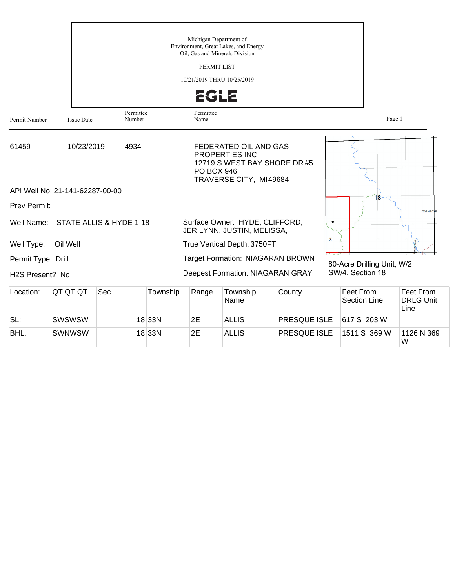|                              |                                 |                         |          | Michigan Department of<br>Oil, Gas and Minerals Division<br>PERMIT LIST<br>10/21/2019 THRU 10/25/2019<br>2GLZ | Environment, Great Lakes, and Energy                                                              |                           |                            |                                       |
|------------------------------|---------------------------------|-------------------------|----------|---------------------------------------------------------------------------------------------------------------|---------------------------------------------------------------------------------------------------|---------------------------|----------------------------|---------------------------------------|
| Permit Number                | <b>Issue Date</b>               | Permittee<br>Number     |          | Permittee<br>Name                                                                                             |                                                                                                   |                           | Page 1                     |                                       |
| 61459                        | 10/23/2019                      | 4934                    |          | <b>PO BOX 946</b>                                                                                             | FEDERATED OIL AND GAS<br>PROPERTIES INC<br>12719 S WEST BAY SHORE DR #5<br>TRAVERSE CITY, MI49684 |                           |                            |                                       |
|                              | API Well No: 21-141-62287-00-00 |                         |          |                                                                                                               |                                                                                                   |                           | 18                         |                                       |
| Prev Permit:                 |                                 |                         |          |                                                                                                               |                                                                                                   |                           |                            | T33NR02E                              |
| Well Name:                   |                                 | STATE ALLIS & HYDE 1-18 |          |                                                                                                               | Surface Owner: HYDE, CLIFFORD,<br>JERILYNN, JUSTIN, MELISSA,                                      |                           |                            |                                       |
| Well Type:                   | Oil Well                        |                         |          |                                                                                                               | True Vertical Depth: 3750FT                                                                       | $\boldsymbol{\mathsf{x}}$ |                            |                                       |
| Permit Type: Drill           |                                 |                         |          |                                                                                                               | Target Formation: NIAGARAN BROWN                                                                  |                           | 80-Acre Drilling Unit, W/2 |                                       |
| H <sub>2</sub> S Present? No |                                 |                         |          |                                                                                                               | <b>Deepest Formation: NIAGARAN GRAY</b>                                                           |                           | SW/4, Section 18           |                                       |
| Location:                    | QT QT QT                        | Sec                     | Township | Range                                                                                                         | Township<br>Name                                                                                  | County                    | Feet From<br>Section Line  | Feet From<br><b>DRLG Unit</b><br>Line |
| SL:                          | <b>SWSWSW</b>                   |                         | 18 33N   | 2E                                                                                                            | <b>ALLIS</b>                                                                                      | PRESQUE ISLE              | 617 S 203 W                |                                       |
| BHL:                         | <b>SWNWSW</b>                   |                         | 18 33N   | 2E                                                                                                            | <b>ALLIS</b>                                                                                      | PRESQUE ISLE              | 1511 S 369 W               | 1126 N 369<br>W                       |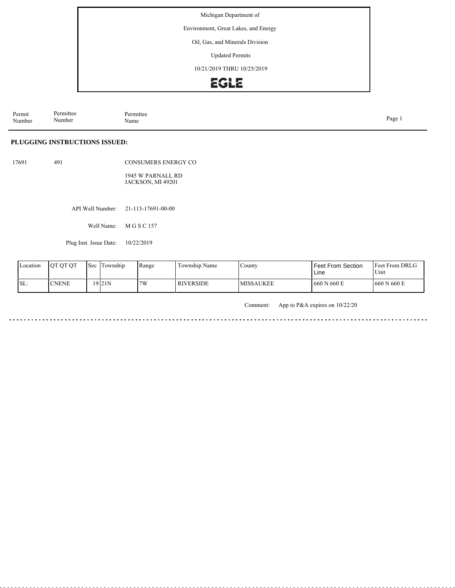Environment, Great Lakes, and Energy

Oil, Gas, and Minerals Division

Updated Permits

10/21/2019 THRU 10/25/2019

# **EGLE**

Permit Number Permittee Number Permittee<br>Name Name Page 1

### **PLUGGING INSTRUCTIONS ISSUED:**

17691 491

CONSUMERS ENERGY CO 1945 W PARNALL RD JACKSON, MI 49201

API Well Number: 21-113-17691-00-00

Well Name: M G S C 157

Plug Inst. Issue Date: 10/22/2019

| Location | <b>OT OT OT</b> | 'Sec | Township | Range | Township Name    | County     | Feet From Section<br>Line | <b>Feet From DRLG</b><br>Unit |
|----------|-----------------|------|----------|-------|------------------|------------|---------------------------|-------------------------------|
| ISL:     | <b>CNENE</b>    |      | 19 21 N  | 7W    | <b>RIVERSIDE</b> | IMISSAUKEE | 660 N 660 E               | 660 N 660 E                   |

Comment: App to P&A expires on 10/22/20

a a a a a <u>. . . . . .</u>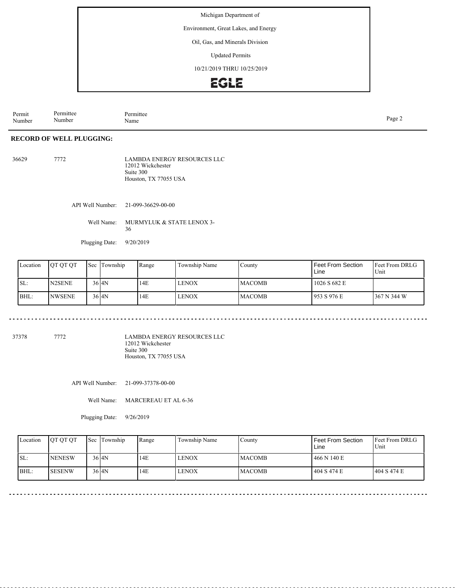Environment, Great Lakes, and Energy

Oil, Gas, and Minerals Division

Updated Permits

10/21/2019 THRU 10/25/2019

# **EGLE**

Permit Number Permittee Number Permittee<br>Name Page 2<br>Name

### **RECORD OF WELL PLUGGING:**

| 36629 | 7772 | LAMBDA ENERGY RESOURCES LLC |
|-------|------|-----------------------------|
|       |      | 12012 Wickchester           |
|       |      | Suite 300                   |
|       |      | Houston, TX 77055 USA       |

API Well Number: 21-099-36629-00-00

Well Name: MURMYLUK & STATE LENOX 3-36

Plugging Date: 9/20/2019

| Location | IOT OT OT     | Sec Township | Range | Township Name | County         | Feet From Section<br>Line | <b>Feet From DRLG</b><br>Unit |
|----------|---------------|--------------|-------|---------------|----------------|---------------------------|-------------------------------|
| SL:      | N2SENE        | $36$ $4N$    | 14E   | I LENOX       | <b>IMACOMB</b> | 1026 S 682 E              |                               |
| BHL:     | <b>NWSENE</b> | $36$ $4N$    | 14E   | I LENOX       | <b>MACOMB</b>  | 1953 S 976 E              | 367 N 344 W                   |

37378 7772

LAMBDA ENERGY RESOURCES LLC 12012 Wickchester Suite 300 Houston, TX 77055 USA

API Well Number: 21-099-37378-00-00

Well Name: MARCEREAU ET AL 6-36

Plugging Date: 9/26/2019

| Location | <b>IOT OT OT</b> | Sec Township | Range | Township Name | County         | Feet From Section<br>Line | <b>IFeet From DRLG</b><br>Unit |
|----------|------------------|--------------|-------|---------------|----------------|---------------------------|--------------------------------|
| ISL:     | <b>NENESW</b>    | $36$ $4N$    | 14E   | <b>LENOX</b>  | <b>IMACOMB</b> | 466 N 140 E               |                                |
| BHL:     | <b>SESENW</b>    | $36$ $4N$    | 14E   | <b>LENOX</b>  | <b>IMACOMB</b> | 404 S 474 E               | 1404 S 474 E                   |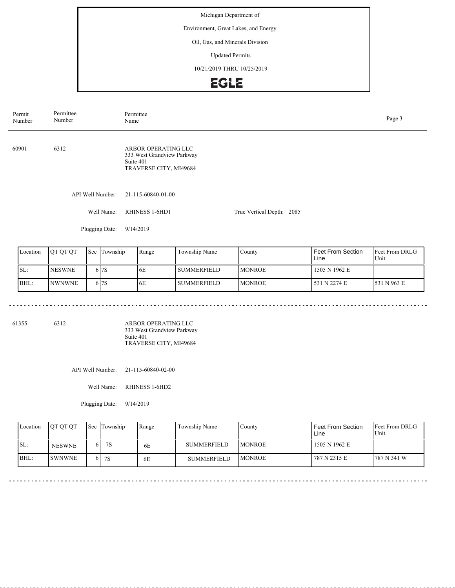Environment, Great Lakes, and Energy

### Oil, Gas, and Minerals Division

Updated Permits

10/21/2019 THRU 10/25/2019

# EGLE

| Permit<br>Number | Permittee<br>Number | Permittee<br>Page 3<br>Name                                                              |                          |  |  |  |  |
|------------------|---------------------|------------------------------------------------------------------------------------------|--------------------------|--|--|--|--|
| 60901            | 6312                | ARBOR OPERATING LLC<br>333 West Grandview Parkway<br>Suite 401<br>TRAVERSE CITY, MI49684 |                          |  |  |  |  |
|                  | API Well Number:    | 21-115-60840-01-00                                                                       |                          |  |  |  |  |
|                  | Well Name:          | RHINESS 1-6HD1                                                                           | True Vertical Depth 2085 |  |  |  |  |
|                  | Plugging Date:      | 9/14/2019                                                                                |                          |  |  |  |  |

| Location | <b>JOT OT OT</b> | 'Sec | Township | Range | Township Name  | County         | Feet From Section<br>Line | <b>IFeet From DRLG</b><br>Unit |
|----------|------------------|------|----------|-------|----------------|----------------|---------------------------|--------------------------------|
| SL:      | <b>INESWNE</b>   |      | 617S     | 6E    | l summerfield. | <b>IMONROE</b> | 1505 N 1962 E             |                                |
| BHL:     | <b>INWNWNE</b>   |      | 617S     | 6E    | l summerfield  | <b>IMONROE</b> | 531 N 2274 E              | 1531 N 963 E                   |

61355 6312

ARBOR OPERATING LLC 333 West Grandview Parkway Suite 401 TRAVERSE CITY, MI49684

API Well Number: 21-115-60840-02-00

Well Name: RHINESS 1-6HD2

Plugging Date: 9/14/2019

| Location | <b>OT OT OT</b> |    | <b>Sec</b> Township | Range | Township Name      | Countv         | Feet From Section<br>Line | <b>Feet From DRLG</b><br>Unit |
|----------|-----------------|----|---------------------|-------|--------------------|----------------|---------------------------|-------------------------------|
| SL:      | <b>NESWNE</b>   | hΙ | 7S                  | 6E    | <b>SUMMERFIELD</b> | <b>IMONROE</b> | 1505 N 1962 E             |                               |
| BHL:     | <b>SWNWNE</b>   |    | 6 7S                | 6E    | <b>SUMMERFIELD</b> | <b>IMONROE</b> | 787 N 2315 E              | 787 N 341 W                   |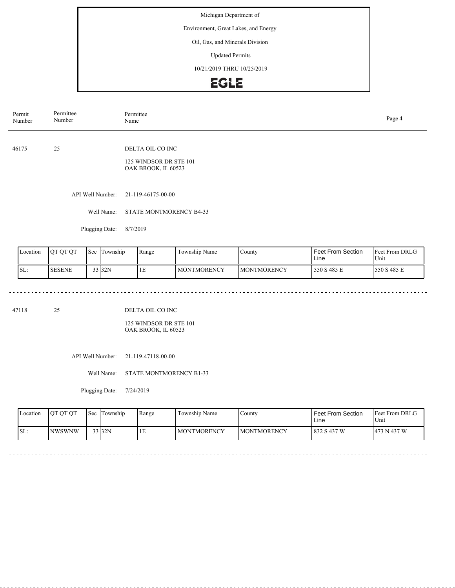Environment, Great Lakes, and Energy

## Oil, Gas, and Minerals Division

Updated Permits

10/21/2019 THRU 10/25/2019

# EGLE

| Permit<br>Number | Permittee<br>Number | Permittee<br>Name                                                 |  |  |  |  |
|------------------|---------------------|-------------------------------------------------------------------|--|--|--|--|
| 46175            | 25                  | DELTA OIL CO INC<br>125 WINDSOR DR STE 101<br>OAK BROOK, IL 60523 |  |  |  |  |
|                  | API Well Number:    | 21-119-46175-00-00                                                |  |  |  |  |
|                  | Well Name:          | STATE MONTMORENCY B4-33                                           |  |  |  |  |
|                  | Plugging Date:      | 8/7/2019                                                          |  |  |  |  |

| Location | <b>OT OT OT</b> | 'Sec | l Township | Range | Township Name      | County              | Feet From Section<br>Line | <b>Feet From DRLG</b><br>Unit |
|----------|-----------------|------|------------|-------|--------------------|---------------------|---------------------------|-------------------------------|
| SL:      | 'SESENE         |      | 33 32N     | 1E    | <b>MONTMORENCY</b> | <b>IMONTMORENCY</b> | 550 S 485 E               | 550 S 485 E                   |

47118 25

DELTA OIL CO INC

125 WINDSOR DR STE 101 OAK BROOK, IL 60523

API Well Number: 21-119-47118-00-00

Well Name: STATE MONTMORENCY B1-33

Plugging Date: 7/24/2019

<u>. . . . . . . . . . . .</u>

| Location | <b>OT OT OT</b> | l Sec | Township | Range | Township Name      | County              | Feet From Section<br>Line | <b>Feet From DRLG</b><br>Unit |
|----------|-----------------|-------|----------|-------|--------------------|---------------------|---------------------------|-------------------------------|
| ISL:     | <b>NWSWNW</b>   |       | 33 32N   | IЕ.   | <b>MONTMORENCY</b> | <b>IMONTMORENCY</b> | 832 S 437 W               | 1473 N 437 W                  |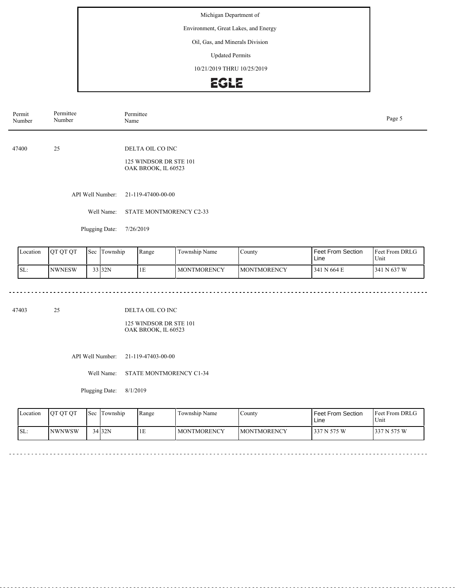Environment, Great Lakes, and Energy

## Oil, Gas, and Minerals Division

Updated Permits

10/21/2019 THRU 10/25/2019

# EGLE

| Permit<br>Number | Permittee<br>Number | Permittee<br>Name                                                 | Page 5 |
|------------------|---------------------|-------------------------------------------------------------------|--------|
| 47400            | 25                  | DELTA OIL CO INC<br>125 WINDSOR DR STE 101<br>OAK BROOK, IL 60523 |        |
|                  | API Well Number:    | 21-119-47400-00-00                                                |        |
|                  | Well Name:          | <b>STATE MONTMORENCY C2-33</b>                                    |        |
|                  | Plugging Date:      | 7/26/2019                                                         |        |

| Location         | <b>IOT OT OT</b> | 'Sec | . .<br>Township | Range | $\mathbf{v}$<br>Township Name | County              | <b>Feet From Section</b><br>Line | <b>Feet From DRLG</b><br>Unit |
|------------------|------------------|------|-----------------|-------|-------------------------------|---------------------|----------------------------------|-------------------------------|
| $\mathsf{ISL}$ : | <b>INWNESW</b>   |      | 33 32N          | 1E    | <b>MONTMORENCY</b>            | <b>IMONTMORENCY</b> | 1341 N 664 E                     | N 637 W<br>341                |

dia a dia a di

 $\sim$   $\sim$   $\sim$ 

47403 25

DELTA OIL CO INC

125 WINDSOR DR STE 101 OAK BROOK, IL 60523

API Well Number: 21-119-47403-00-00

Well Name: STATE MONTMORENCY C1-34

Plugging Date: 8/1/2019

<u>. . . . . . . . .</u>

| Location | <b>OT OT OT</b> | Sec | Township | Range | Township Name      | <b>County</b>       | Feet From Section<br>Line | <b>Feet From DRLG</b><br>Unit |
|----------|-----------------|-----|----------|-------|--------------------|---------------------|---------------------------|-------------------------------|
| ISL:     | <b>INWNWSW</b>  |     | 34 32N   | ΙE    | <b>MONTMORENCY</b> | <b>IMONTMORENCY</b> | 337 N 575 W               | 337 N 575 W                   |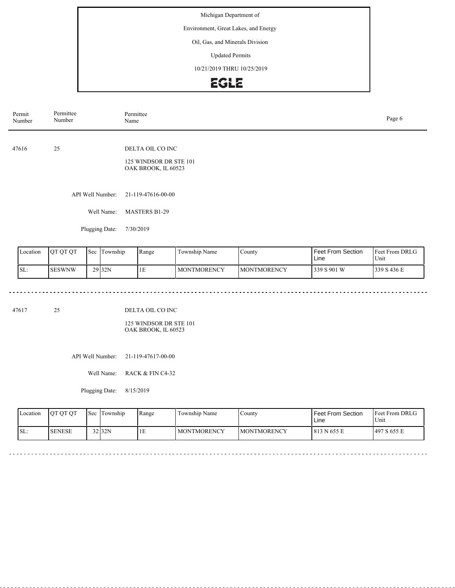Environment, Great Lakes, and Energy

## Oil, Gas, and Minerals Division

Updated Permits

10/21/2019 THRU 10/25/2019

# **EGLE**

| Permit<br>Number | Permittee<br>Number | Permittee<br>Name                                                 | Page 6 |
|------------------|---------------------|-------------------------------------------------------------------|--------|
| 47616            | 25                  | DELTA OIL CO INC<br>125 WINDSOR DR STE 101<br>OAK BROOK, IL 60523 |        |
|                  | API Well Number:    | 21-119-47616-00-00                                                |        |
|                  | Well Name:          | <b>MASTERS B1-29</b>                                              |        |
|                  | Plugging Date:      | 7/30/2019                                                         |        |

| Location | <b>IOT OT OT</b> | 'Sec | Im<br>i Township  | Range | Township Name | County              | <b>Feet From Section</b><br>Line | <b>Feet From DRLG</b><br>Unit |
|----------|------------------|------|-------------------|-------|---------------|---------------------|----------------------------------|-------------------------------|
| ISL:     | <b>SESWNW</b>    |      | 29 <sub>32N</sub> | 1E    | I MONTMORENCY | <b>IMONTMORENCY</b> | 339 S 901 W                      | 339 S 436 E                   |

47617 25

DELTA OIL CO INC

125 WINDSOR DR STE 101 OAK BROOK, IL 60523

API Well Number: 21-119-47617-00-00

Well Name: RACK & FIN C4-32

Plugging Date: 8/15/2019

| Location | <b>OT OT OT</b> | <b>Sec</b> | Township | Range | Township Name      | County              | l Feet From Section<br>∟ine | <b>Feet From DRLG</b><br>Unit |
|----------|-----------------|------------|----------|-------|--------------------|---------------------|-----------------------------|-------------------------------|
| ISL:     | <b>I</b> SENESE |            | $32$ 32N | . E.  | <b>MONTMORENCY</b> | <b>IMONTMORENCY</b> | 1 813 N 655 E               | 1497 S 655 E                  |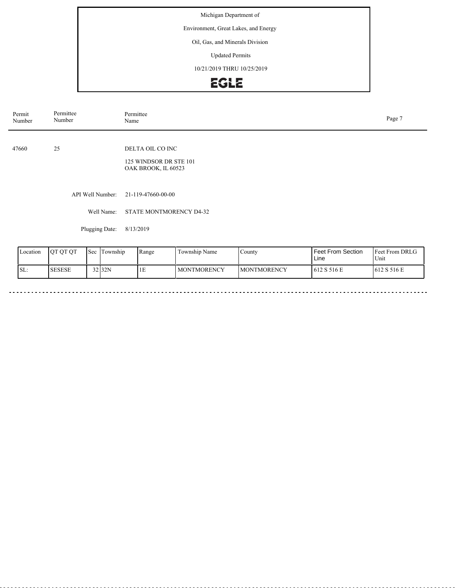Environment, Great Lakes, and Energy

## Oil, Gas, and Minerals Division

Updated Permits

10/21/2019 THRU 10/25/2019

# EGLE

| Permit<br>Number | Permittee<br>Number | Permittee<br>Name                                                 | Page 7 |
|------------------|---------------------|-------------------------------------------------------------------|--------|
| 47660            | 25                  | DELTA OIL CO INC<br>125 WINDSOR DR STE 101<br>OAK BROOK, IL 60523 |        |
|                  | API Well Number:    | 21-119-47660-00-00                                                |        |
|                  | Well Name:          | STATE MONTMORENCY D4-32                                           |        |
|                  | Plugging Date:      | 8/13/2019                                                         |        |
|                  |                     |                                                                   |        |

| Location | <b>OT OT OT</b> | Sec | Township | Range | Township Name | County.             | Feet From Section<br>Line | <b>Feet From DRLG</b><br>Unit |
|----------|-----------------|-----|----------|-------|---------------|---------------------|---------------------------|-------------------------------|
| 'SL:     | <b>SESESE</b>   |     | 32 32N   | 1E    | I MONTMORENCY | <b>IMONTMORENCY</b> | 612 S 516 E               | 1612 S 516 E                  |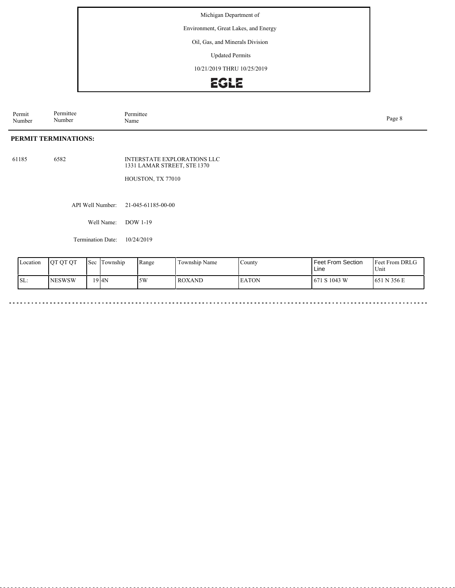Environment, Great Lakes, and Energy

Oil, Gas, and Minerals Division

Updated Permits

10/21/2019 THRU 10/25/2019

# **EGLE**

Permit Number Permittee Number Permittee<br>Name Name Page 8

## **PERMIT TERMINATIONS:**

61185 6582 INTERSTATE EXPLORATIONS LLC 1331 LAMAR STREET, STE 1370

HOUSTON, TX 77010

API Well Number: 21-045-61185-00-00

Well Name: DOW 1-19

Termination Date: 10/24/2019

| Location | <b>OT OT OT</b> | $\mathsf{I}\mathsf{Sec}$ | Township | l Range | Township Name | . County     | Feet From Section<br>Line | <b>Feet From DRLG</b><br>Unit |
|----------|-----------------|--------------------------|----------|---------|---------------|--------------|---------------------------|-------------------------------|
| SL:      | INESWSW         |                          | 19 4N    | 5W      | <b>ROXAND</b> | <b>EATON</b> | 671 S 1043 W              | N 356 E<br>651                |

. . . . . . .

 $\frac{1}{2}$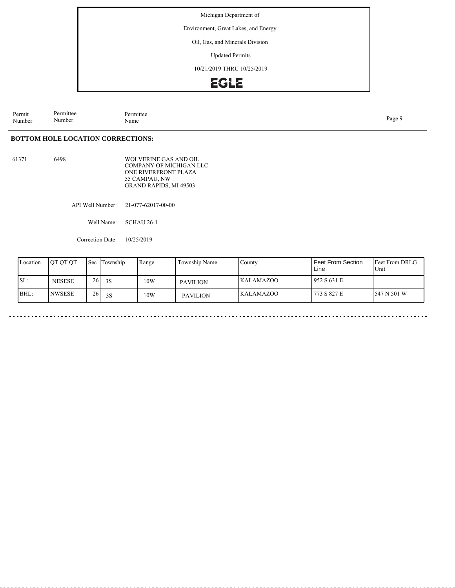Environment, Great Lakes, and Energy

Oil, Gas, and Minerals Division

Updated Permits

10/21/2019 THRU 10/25/2019

# **EGLE**

Permit Number Permittee Number Permittee<br>Name Name Page 9

### **BOTTOM HOLE LOCATION CORRECTIONS:**

61371 6498 WOLVERINE GAS AND OIL COMPANY OF MICHIGAN LLC ONE RIVERFRONT PLAZA 55 CAMPAU, NW GRAND RAPIDS, MI 49503

API Well Number: 21-077-62017-00-00

Well Name: SCHAU 26-1

Correction Date: 10/25/2019

| Location | <b>IOT OT OT</b> | <b>Sec</b>      | Township | Range | Township Name   | County            | Feet From Section<br>Line | <b>IFeet From DRLG</b><br>Unit |
|----------|------------------|-----------------|----------|-------|-----------------|-------------------|---------------------------|--------------------------------|
| SL:      | <b>NESESE</b>    | 26 <sup>1</sup> | 3S       | 10W   | PAVILION        | <b>IKALAMAZOO</b> | 1952 S 631 E              |                                |
| BHL:     | <b>INWSESE</b>   | 26              | 3S       | 10W   | <b>PAVILION</b> | <b>KALAMAZOO</b>  | 773 S 827 E               | 1547 N 501 W                   |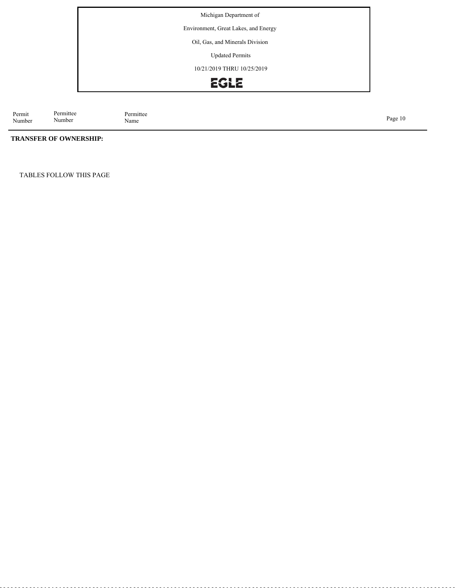Environment, Great Lakes, and Energy

Oil, Gas, and Minerals Division

Updated Permits

10/21/2019 THRU 10/25/2019

# EGLE

Permit Number Permittee<br>Name Page 10<br>Name Page 10

## **TRANSFER OF OWNERSHIP:**

Permittee Number

TABLES FOLLOW THIS PAGE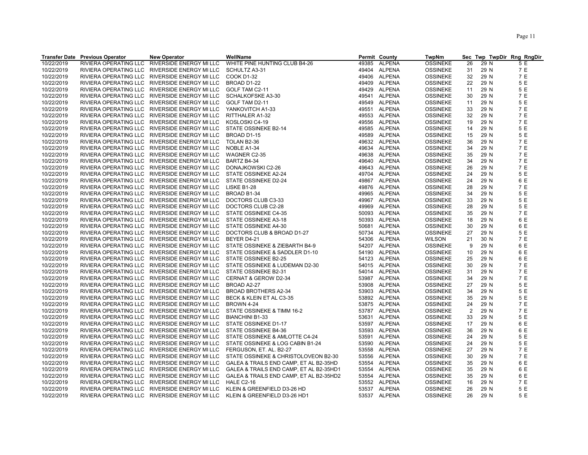|            | <b>Transfer Date Previous Operator</b> | <b>New Operator</b>                           | WellName                                |       | Permit County | TwpNm           |                |      | Sec Twp TwpDir Rng RngDir |
|------------|----------------------------------------|-----------------------------------------------|-----------------------------------------|-------|---------------|-----------------|----------------|------|---------------------------|
| 10/22/2019 | RIVIERA OPERATING LLC                  | RIVERSIDE ENERGY MI LLC                       | WHITE PINE HUNTING CLUB B4-26           | 49385 | ALPENA        | <b>OSSINEKE</b> | 26             | 29 N | 5 E                       |
| 10/22/2019 |                                        | RIVIERA OPERATING LLC RIVERSIDE ENERGY MI LLC | SCHULTZ A3-31                           |       | 49404 ALPENA  | <b>OSSINEKE</b> | 31             | 29 N | 7 E                       |
| 10/22/2019 |                                        | RIVIERA OPERATING LLC RIVERSIDE ENERGY MI LLC | <b>COOK D1-32</b>                       | 49406 | <b>ALPENA</b> | <b>OSSINEKE</b> | 32             | 29 N | 7 E                       |
| 10/22/2019 |                                        | RIVIERA OPERATING LLC RIVERSIDE ENERGY MI LLC | BROAD D1-22                             | 49409 | <b>ALPENA</b> | <b>OSSINEKE</b> | 22             | 29 N | 5 E                       |
| 10/22/2019 |                                        | RIVIERA OPERATING LLC RIVERSIDE ENERGY MI LLC | GOLF TAM C2-11                          | 49429 | <b>ALPENA</b> | <b>OSSINEKE</b> | 11             | 29 N | 5 E                       |
| 10/22/2019 |                                        | RIVIERA OPERATING LLC RIVERSIDE ENERGY MI LLC | SCHALKOFSKE A3-30                       | 49541 | ALPENA        | <b>OSSINEKE</b> | 30             | 29 N | 7 E                       |
| 10/22/2019 | RIVIERA OPERATING LLC                  | RIVERSIDE ENERGY MI LLC                       | GOLF TAM D2-11                          | 49549 | ALPENA        | <b>OSSINEKE</b> | 11             | 29 N | 5 E                       |
| 10/22/2019 | RIVIERA OPERATING LLC                  | RIVERSIDE ENERGY MI LLC                       | YANKOVITCH A1-33                        |       | 49551 ALPENA  | <b>OSSINEKE</b> | 33             | 29 N | 7 E                       |
| 10/22/2019 |                                        | RIVIERA OPERATING LLC RIVERSIDE ENERGY MI LLC | RITTHALER A1-32                         | 49553 | <b>ALPENA</b> | <b>OSSINEKE</b> | 32             | 29 N | 7 E                       |
| 10/22/2019 |                                        | RIVIERA OPERATING LLC RIVERSIDE ENERGY MI LLC | KOSLOSKI C4-19                          | 49556 | <b>ALPENA</b> | <b>OSSINEKE</b> | 19             | 29 N | 7 E                       |
| 10/22/2019 |                                        | RIVIERA OPERATING LLC RIVERSIDE ENERGY MI LLC | STATE OSSINEKE B2-14                    | 49585 | ALPENA        | <b>OSSINEKE</b> | 14             | 29 N | 5 E                       |
| 10/22/2019 |                                        | RIVIERA OPERATING LLC RIVERSIDE ENERGY MI LLC | BROAD D1-15                             |       | <b>ALPENA</b> | <b>OSSINEKE</b> | 15             | 29 N | 5 E                       |
|            |                                        |                                               |                                         | 49589 |               |                 |                |      |                           |
| 10/22/2019 |                                        | RIVIERA OPERATING LLC RIVERSIDE ENERGY MI LLC | TOLAN B2-36                             |       | 49632 ALPENA  | <b>OSSINEKE</b> | 36             | 29 N | 7 E                       |
| 10/22/2019 |                                        | RIVIERA OPERATING LLC RIVERSIDE ENERGY MI LLC | NOBLE A1-34                             |       | 49634 ALPENA  | <b>OSSINEKE</b> | 34             | 29 N | 7 E                       |
| 10/22/2019 |                                        | RIVIERA OPERATING LLC RIVERSIDE ENERGY MI LLC | WAGNER C2-35                            | 49638 | <b>ALPENA</b> | <b>OSSINEKE</b> | 35             | 29 N | 7 E                       |
| 10/22/2019 |                                        | RIVIERA OPERATING LLC RIVERSIDE ENERGY MI LLC | BARTZ B4-34                             |       | 49640 ALPENA  | <b>OSSINEKE</b> | 34             | 29 N | 7 E                       |
| 10/22/2019 |                                        | RIVIERA OPERATING LLC RIVERSIDE ENERGY MI LLC | DONAJKOWSKI C2-26                       | 49643 | <b>ALPENA</b> | <b>OSSINEKE</b> | 26             | 29 N | 7 E                       |
| 10/22/2019 |                                        | RIVIERA OPERATING LLC RIVERSIDE ENERGY MI LLC | STATE OSSINEKE A2-24                    |       | 49704 ALPENA  | <b>OSSINEKE</b> | 24             | 29 N | 5 E                       |
| 10/22/2019 |                                        | RIVIERA OPERATING LLC RIVERSIDE ENERGY MI LLC | STATE OSSINEKE D2-24                    |       | 49867 ALPENA  | <b>OSSINEKE</b> | 24             | 29 N | 6 E                       |
| 10/22/2019 |                                        | RIVIERA OPERATING LLC RIVERSIDE ENERGY MI LLC | LISKE B1-28                             | 49876 | <b>ALPENA</b> | <b>OSSINEKE</b> | 28             | 29 N | 7 E                       |
| 10/22/2019 |                                        | RIVIERA OPERATING LLC RIVERSIDE ENERGY MI LLC | BROAD B1-34                             | 49965 | <b>ALPENA</b> | <b>OSSINEKE</b> | 34             | 29 N | 5 E                       |
| 10/22/2019 |                                        | RIVIERA OPERATING LLC RIVERSIDE ENERGY MI LLC | DOCTORS CLUB C3-33                      | 49967 | ALPENA        | <b>OSSINEKE</b> | 33             | 29 N | 5 E                       |
| 10/22/2019 |                                        | RIVIERA OPERATING LLC RIVERSIDE ENERGY MI LLC | DOCTORS CLUB C2-28                      | 49969 | <b>ALPENA</b> | <b>OSSINEKE</b> | 28             | 29 N | 5 E                       |
| 10/22/2019 |                                        | RIVIERA OPERATING LLC RIVERSIDE ENERGY MI LLC | STATE OSSINEKE C4-35                    | 50093 | ALPENA        | <b>OSSINEKE</b> | 35             | 29 N | 7 E                       |
| 10/22/2019 |                                        | RIVIERA OPERATING LLC RIVERSIDE ENERGY MI LLC | STATE OSSINEKE A3-18                    |       | 50393 ALPENA  | <b>OSSINEKE</b> | 18             | 29 N | 6 E                       |
| 10/22/2019 |                                        | RIVIERA OPERATING LLC RIVERSIDE ENERGY MI LLC | STATE OSSINEKE A4-30                    | 50681 | <b>ALPENA</b> | <b>OSSINEKE</b> | 30             | 29 N | 6 E                       |
| 10/22/2019 |                                        | RIVIERA OPERATING LLC RIVERSIDE ENERGY MI LLC | DOCTORS CLUB & BROAD D1-27              |       | 50734 ALPENA  | <b>OSSINEKE</b> | 27             | 29 N | 5 E                       |
| 10/22/2019 |                                        | RIVIERA OPERATING LLC RIVERSIDE ENERGY MI LLC | BEYER D4-21                             | 54306 | <b>ALPENA</b> | WILSON          | 21             | 30 N | 7 E                       |
| 10/22/2019 | RIVIERA OPERATING LLC                  | RIVERSIDE ENERGY MI LLC                       | STATE OSSINEKE & ZIEBARTH B4-9          | 54207 | ALPENA        | <b>OSSINEKE</b> | 9              | 29 N | 6 E                       |
| 10/22/2019 |                                        | RIVIERA OPERATING LLC RIVERSIDE ENERGY MI LLC | STATE OSSINEKE & SADDLER D1-10          |       | 54190 ALPENA  | <b>OSSINEKE</b> | 10             | 29 N | 6 E                       |
| 10/22/2019 |                                        | RIVIERA OPERATING LLC RIVERSIDE ENERGY MI LLC | STATE OSSINEKE B2-25                    |       | 54123 ALPENA  | <b>OSSINEKE</b> | 25             | 29 N | 6 E                       |
| 10/22/2019 |                                        | RIVIERA OPERATING LLC RIVERSIDE ENERGY MI LLC | STATE OSSINEKE & LUDEMAN D2-30          |       | 54015 ALPENA  | <b>OSSINEKE</b> | 30             | 29 N | 7 E                       |
| 10/22/2019 |                                        | RIVIERA OPERATING LLC RIVERSIDE ENERGY MI LLC | STATE OSSINEKE B2-31                    |       | 54014 ALPENA  | <b>OSSINEKE</b> | 31             | 29 N | 7 E                       |
| 10/22/2019 |                                        | RIVIERA OPERATING LLC RIVERSIDE ENERGY MI LLC | CERNAT & GEROW D2-34                    | 53987 | <b>ALPENA</b> | <b>OSSINEKE</b> | 34             | 29 N | 7 E                       |
| 10/22/2019 |                                        | RIVIERA OPERATING LLC RIVERSIDE ENERGY MI LLC | BROAD A2-27                             |       | 53908 ALPENA  | <b>OSSINEKE</b> | 27             | 29 N | 5 E                       |
| 10/22/2019 |                                        | RIVIERA OPERATING LLC RIVERSIDE ENERGY MI LLC | BROAD BROTHERS A2-34                    | 53903 | ALPENA        | <b>OSSINEKE</b> | 34             | 29 N | 5 E                       |
| 10/22/2019 |                                        | RIVIERA OPERATING LLC RIVERSIDE ENERGY MI LLC | BECK & KLEIN ET AL C3-35                |       | 53892 ALPENA  | <b>OSSINEKE</b> | 35             | 29 N | 5 E                       |
| 10/22/2019 |                                        | RIVIERA OPERATING LLC RIVERSIDE ENERGY MI LLC | <b>BROWN 4-24</b>                       |       | 53875 ALPENA  | <b>OSSINEKE</b> | 24             | 29 N | 7 E                       |
| 10/22/2019 |                                        | RIVIERA OPERATING LLC RIVERSIDE ENERGY MI LLC | STATE OSSINEKE & TIMM 16-2              | 53787 | <b>ALPENA</b> | <b>OSSINEKE</b> | $\overline{2}$ | 29 N | 7 E                       |
| 10/22/2019 |                                        | RIVIERA OPERATING LLC RIVERSIDE ENERGY MI LLC | <b>BIANCHINI B1-33</b>                  |       | 53631 ALPENA  | <b>OSSINEKE</b> | 33             | 29 N | 5 E                       |
| 10/22/2019 |                                        | RIVIERA OPERATING LLC RIVERSIDE ENERGY MI LLC | STATE OSSINEKE D1-17                    |       | 53597 ALPENA  | <b>OSSINEKE</b> | 17             | 29 N | 6 E                       |
| 10/22/2019 |                                        |                                               | STATE OSSINEKE B4-36                    |       | ALPENA        |                 | 36             | 29 N | 6 E                       |
|            |                                        | RIVIERA OPERATING LLC RIVERSIDE ENERGY MI LLC |                                         | 53593 | <b>ALPENA</b> | <b>OSSINEKE</b> |                | 29 N |                           |
| 10/22/2019 |                                        | RIVIERA OPERATING LLC RIVERSIDE ENERGY MI LLC | STATE OSSINEKE & AMLOTTE C4-24          | 53591 |               | <b>OSSINEKE</b> | 24             |      | 5 E                       |
| 10/22/2019 |                                        | RIVIERA OPERATING LLC RIVERSIDE ENERGY MI LLC | STATE OSSINEKE & LOG CABIN B1-24        | 53590 | ALPENA        | <b>OSSINEKE</b> | 24             | 29 N | 5 E                       |
| 10/22/2019 | RIVIERA OPERATING LLC                  | RIVERSIDE ENERGY MI LLC                       | FERGUSON, ET. AL. B2-27                 | 53558 | ALPENA        | <b>OSSINEKE</b> | 27             | 29 N | 7 E                       |
| 10/22/2019 |                                        | RIVIERA OPERATING LLC RIVERSIDE ENERGY MI LLC | STATE OSSINEKE & CHRISTOLOVEON B2-30    | 53556 | ALPENA        | <b>OSSINEKE</b> | 30             | 29 N | 7 E                       |
| 10/22/2019 |                                        | RIVIERA OPERATING LLC RIVERSIDE ENERGY MI LLC | GALEA & TRAILS END CAMP, ET AL B2-35HD  |       | 53554 ALPENA  | <b>OSSINEKE</b> | 35             | 29 N | 6 E                       |
| 10/22/2019 |                                        | RIVIERA OPERATING LLC RIVERSIDE ENERGY MI LLC | GALEA & TRAILS END CAMP, ET AL B2-35HD1 |       | 53554 ALPENA  | <b>OSSINEKE</b> | 35             | 29 N | 6 E                       |
| 10/22/2019 |                                        | RIVIERA OPERATING LLC RIVERSIDE ENERGY MI LLC | GALEA & TRAILS END CAMP, ET AL B2-35HD2 |       | 53554 ALPENA  | <b>OSSINEKE</b> | 35             | 29 N | 6 E                       |
| 10/22/2019 |                                        | RIVIERA OPERATING LLC RIVERSIDE ENERGY MI LLC | <b>HALE C2-16</b>                       |       | 53552 ALPENA  | <b>OSSINEKE</b> | 16             | 29 N | 7 E                       |
| 10/22/2019 |                                        | RIVIERA OPERATING LLC RIVERSIDE ENERGY MI LLC | KLEIN & GREENFIELD D3-26 HD             |       | 53537 ALPENA  | <b>OSSINEKE</b> | 26             | 29 N | 5 E                       |
| 10/22/2019 |                                        | RIVIERA OPERATING LLC RIVERSIDE ENERGY MI LLC | KLEIN & GREENFIELD D3-26 HD1            |       | 53537 ALPENA  | <b>OSSINEKE</b> | 26             | 29 N | 5 E                       |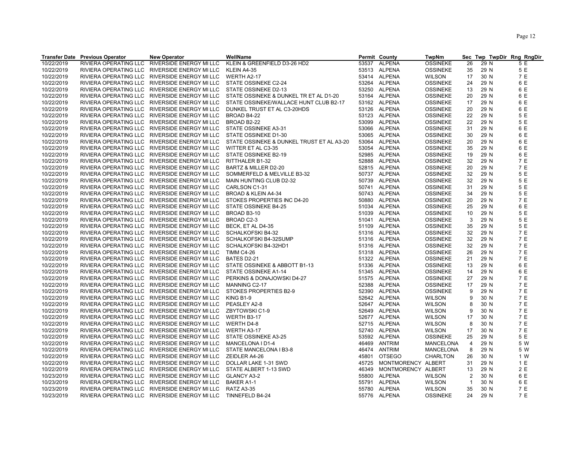|            | <b>Transfer Date Previous Operator</b> | <b>New Operator</b>                           | WellName                                                                                                                                                                                                                                                       |       | Permit County      | TwpNm            |              |      | Sec Twp TwpDir Rng RngDir |
|------------|----------------------------------------|-----------------------------------------------|----------------------------------------------------------------------------------------------------------------------------------------------------------------------------------------------------------------------------------------------------------------|-------|--------------------|------------------|--------------|------|---------------------------|
| 10/22/2019 | RIVIERA OPERATING LLC                  | RIVERSIDE ENERGY MI LLC                       | KLEIN & GREENFIELD D3-26 HD2                                                                                                                                                                                                                                   |       | 53537 ALPENA       | <b>OSSINEKE</b>  | 26           | 29 N | 5 E                       |
| 10/22/2019 |                                        | RIVIERA OPERATING LLC RIVERSIDE ENERGY MI LLC | KLEIN A4-35                                                                                                                                                                                                                                                    |       | 53513 ALPENA       | <b>OSSINEKE</b>  | 35           | 29 N | 5 E                       |
| 10/22/2019 |                                        | RIVIERA OPERATING LLC RIVERSIDE ENERGY MI LLC | WERTH A2-17                                                                                                                                                                                                                                                    |       | 53414 ALPENA       | <b>WILSON</b>    | 17           | 30 N | 7 E                       |
| 10/22/2019 |                                        | RIVIERA OPERATING LLC RIVERSIDE ENERGY MI LLC | STATE OSSINEKE C2-24                                                                                                                                                                                                                                           |       | 53264 ALPENA       | <b>OSSINEKE</b>  | 24           | 29 N | 6 E                       |
| 10/22/2019 | RIVIERA OPERATING LLC                  | RIVERSIDE ENERGY MI LLC                       | STATE OSSINEKE D2-13                                                                                                                                                                                                                                           | 53250 | <b>ALPENA</b>      | <b>OSSINEKE</b>  | 13           | 29 N | 6 E                       |
| 10/22/2019 |                                        | RIVIERA OPERATING LLC RIVERSIDE ENERGY MI LLC | STATE OSSINEKE & DUNKEL TR ET AL D1-20                                                                                                                                                                                                                         |       | 53164 ALPENA       | <b>OSSINEKE</b>  | 20           | 29 N | 6 E                       |
| 10/22/2019 |                                        | RIVIERA OPERATING LLC RIVERSIDE ENERGY MI LLC | STATE OSSINEKE/WALLACE HUNT CLUB B2-17                                                                                                                                                                                                                         |       | 53162 ALPENA       | <b>OSSINEKE</b>  | 17           | 29 N | 6 E                       |
| 10/22/2019 |                                        | RIVIERA OPERATING LLC RIVERSIDE ENERGY MI LLC | DUNKEL TRUST ET AL C3-20HDS                                                                                                                                                                                                                                    |       | 53126 ALPENA       | <b>OSSINEKE</b>  | 20           | 29 N | 6 E                       |
| 10/22/2019 |                                        | RIVIERA OPERATING LLC RIVERSIDE ENERGY MI LLC | BROAD B4-22                                                                                                                                                                                                                                                    |       | 53123 ALPENA       | <b>OSSINEKE</b>  | 22           | 29 N | 5 E                       |
| 10/22/2019 |                                        | RIVIERA OPERATING LLC RIVERSIDE ENERGY MI LLC | BROAD B2-22                                                                                                                                                                                                                                                    | 53099 | <b>ALPENA</b>      | <b>OSSINEKE</b>  | 22           | 29 N | 5 E                       |
| 10/22/2019 |                                        | RIVIERA OPERATING LLC RIVERSIDE ENERGY MI LLC | STATE OSSINEKE A3-31                                                                                                                                                                                                                                           |       | 53066 ALPENA       | <b>OSSINEKE</b>  | 31           | 29 N | 6 E                       |
| 10/22/2019 |                                        | RIVIERA OPERATING LLC RIVERSIDE ENERGY MI LLC | STATE OSSINEKE D1-30                                                                                                                                                                                                                                           |       | 53065 ALPENA       | <b>OSSINEKE</b>  | 30           | 29 N | 6 E                       |
| 10/22/2019 |                                        | RIVIERA OPERATING LLC RIVERSIDE ENERGY MI LLC | STATE OSSINEKE & DUNKEL TRUST ET AL A3-20                                                                                                                                                                                                                      |       | 53064 ALPENA       | <b>OSSINEKE</b>  | 20           | 29 N | 6 E                       |
| 10/22/2019 |                                        | RIVIERA OPERATING LLC RIVERSIDE ENERGY MI LLC | WITTER ET AL C3-35                                                                                                                                                                                                                                             |       | 53054 ALPENA       | <b>OSSINEKE</b>  | 35           | 29 N | 6 E                       |
| 10/22/2019 |                                        | RIVIERA OPERATING LLC RIVERSIDE ENERGY MI LLC | STATE OSSINEKE B2-19                                                                                                                                                                                                                                           | 52985 | <b>ALPENA</b>      | <b>OSSINEKE</b>  | 19           | 29 N | 6 E                       |
| 10/22/2019 |                                        | RIVIERA OPERATING LLC RIVERSIDE ENERGY MI LLC | RITTHALER B1-32                                                                                                                                                                                                                                                |       | 52888 ALPENA       | <b>OSSINEKE</b>  | 32           | 29 N | 7 E                       |
| 10/22/2019 |                                        |                                               | BARTZ & MILLER D2-20                                                                                                                                                                                                                                           |       | 52815 ALPENA       |                  | 20           | 29 N | 7 E                       |
|            |                                        | RIVIERA OPERATING LLC RIVERSIDE ENERGY MI LLC |                                                                                                                                                                                                                                                                |       |                    | <b>OSSINEKE</b>  |              |      |                           |
| 10/22/2019 |                                        | RIVIERA OPERATING LLC RIVERSIDE ENERGY MI LLC | SOMMERFELD & MELVILLE B3-32                                                                                                                                                                                                                                    |       | 50737 ALPENA       | <b>OSSINEKE</b>  | 32           | 29 N | 5 E                       |
| 10/22/2019 |                                        | RIVIERA OPERATING LLC RIVERSIDE ENERGY MI LLC | MAIN HUNTING CLUB D2-32                                                                                                                                                                                                                                        |       | 50739 ALPENA       | <b>OSSINEKE</b>  | 32           | 29 N | 5 E                       |
| 10/22/2019 |                                        | RIVIERA OPERATING LLC RIVERSIDE ENERGY MI LLC |                                                                                                                                                                                                                                                                |       | 50741 ALPENA       | <b>OSSINEKE</b>  | 31           | 29 N | 5 E                       |
| 10/22/2019 |                                        | RIVIERA OPERATING LLC RIVERSIDE ENERGY MI LLC |                                                                                                                                                                                                                                                                |       | 50743 ALPENA       | <b>OSSINEKE</b>  | 34           | 29 N | 5 E                       |
| 10/22/2019 |                                        | RIVIERA OPERATING LLC RIVERSIDE ENERGY MI LLC |                                                                                                                                                                                                                                                                | 50880 | <b>ALPENA</b>      | <b>OSSINEKE</b>  | 20           | 29 N | 7 E                       |
| 10/22/2019 |                                        | RIVIERA OPERATING LLC RIVERSIDE ENERGY MI LLC |                                                                                                                                                                                                                                                                |       | 51034 ALPENA       | <b>OSSINEKE</b>  | 25           | 29 N | 6 E                       |
| 10/22/2019 |                                        | RIVIERA OPERATING LLC RIVERSIDE ENERGY MI LLC | <sup>1</sup> 1.20 N C1-31<br>JAD & KLEIN A4-34<br>OKES PROPERTIES INC D4-20<br>TATE OSSINEKE B4-25<br>ROAD B3-10<br>3ROAD C2-3<br>BECK, ET AL D4-35<br>SCHALKOFSKI B4-32<br>SCHALKOFSKI B4-32<br>SCHALKOFSKI B4-32SUMP<br>SCHALKOFSKI B4-32SUMP<br>SCHALKOFSKI | 51039 | <b>ALPENA</b>      | <b>OSSINEKE</b>  | 10           | 29 N | 5 E                       |
| 10/22/2019 |                                        | RIVIERA OPERATING LLC RIVERSIDE ENERGY MI LLC |                                                                                                                                                                                                                                                                |       | 51041 ALPENA       | <b>OSSINEKE</b>  | 3            | 29 N | 5 E                       |
| 10/22/2019 |                                        | RIVIERA OPERATING LLC RIVERSIDE ENERGY MI LLC |                                                                                                                                                                                                                                                                |       | 51109 ALPENA       | <b>OSSINEKE</b>  | 35           | 29 N | 5 E                       |
| 10/22/2019 |                                        | RIVIERA OPERATING LLC RIVERSIDE ENERGY MI LLC |                                                                                                                                                                                                                                                                |       | 51316 ALPENA       | <b>OSSINEKE</b>  | 32           | 29 N | 7 E                       |
| 10/22/2019 |                                        | RIVIERA OPERATING LLC RIVERSIDE ENERGY MI LLC |                                                                                                                                                                                                                                                                |       | 51316 ALPENA       | <b>OSSINEKE</b>  | 32           | 29 N | 7 E                       |
| 10/22/2019 |                                        | RIVIERA OPERATING LLC RIVERSIDE ENERGY MI LLC |                                                                                                                                                                                                                                                                |       | 51316 ALPENA       | <b>OSSINEKE</b>  | 32           | 29 N | 7 E                       |
| 10/22/2019 |                                        | RIVIERA OPERATING LLC RIVERSIDE ENERGY MI LLC |                                                                                                                                                                                                                                                                |       | 51318 ALPENA       | <b>OSSINEKE</b>  | 26           | 29 N | 7 E                       |
| 10/22/2019 |                                        | RIVIERA OPERATING LLC RIVERSIDE ENERGY MI LLC | BATES D2-21                                                                                                                                                                                                                                                    |       | 51322 ALPENA       | <b>OSSINEKE</b>  | 21           | 29 N | 7 E                       |
| 10/22/2019 |                                        | RIVIERA OPERATING LLC RIVERSIDE ENERGY MI LLC | STATE OSSINEKE & ABBOTT B1-13                                                                                                                                                                                                                                  | 51336 | ALPENA             | <b>OSSINEKE</b>  | 13           | 29 N | 6 E                       |
| 10/22/2019 |                                        | RIVIERA OPERATING LLC RIVERSIDE ENERGY MI LLC | STATE OSSINEKE A1-14<br>PERKINS & DONAJOWSKI D4-27<br>MANNING C2-17<br>STOKES PROPERTIES B2-9                                                                                                                                                                  |       | 51345 ALPENA       | <b>OSSINEKE</b>  | 14           | 29 N | 6 E                       |
| 10/22/2019 |                                        | RIVIERA OPERATING LLC RIVERSIDE ENERGY MI LLC |                                                                                                                                                                                                                                                                |       | 51575 ALPENA       | <b>OSSINEKE</b>  | 27           | 29 N | 7 E                       |
| 10/22/2019 |                                        | RIVIERA OPERATING LLC RIVERSIDE ENERGY MI LLC |                                                                                                                                                                                                                                                                |       | 52388 ALPENA       | <b>OSSINEKE</b>  | 17           | 29 N | 7 E                       |
| 10/22/2019 |                                        | RIVIERA OPERATING LLC RIVERSIDE ENERGY MI LLC |                                                                                                                                                                                                                                                                | 52390 | <b>ALPENA</b>      | <b>OSSINEKE</b>  | 9            | 29 N | 7 E                       |
| 10/22/2019 |                                        |                                               |                                                                                                                                                                                                                                                                |       | 52642 ALPENA       | <b>WILSON</b>    | 9            | 30 N | 7 E                       |
| 10/22/2019 |                                        |                                               |                                                                                                                                                                                                                                                                |       | 52647 ALPENA       | <b>WILSON</b>    | 8            | 30 N | 7 E                       |
| 10/22/2019 |                                        |                                               |                                                                                                                                                                                                                                                                | 52649 | <b>ALPENA</b>      | <b>WILSON</b>    | 9            | 30 N | 7 E                       |
| 10/22/2019 |                                        |                                               |                                                                                                                                                                                                                                                                |       | 52677 ALPENA       | <b>WILSON</b>    | 17           | 30 N | 7 E                       |
| 10/22/2019 |                                        |                                               |                                                                                                                                                                                                                                                                |       | 52715 ALPENA       | <b>WILSON</b>    | 8            | 30 N | 7 E                       |
| 10/22/2019 |                                        |                                               |                                                                                                                                                                                                                                                                |       | 52740 ALPENA       | <b>WILSON</b>    | 17           | 30 N | 7 E                       |
| 10/22/2019 |                                        |                                               |                                                                                                                                                                                                                                                                |       | 53592 ALPENA       | <b>OSSINEKE</b>  | 25           | 29 N | 5 E                       |
| 10/22/2019 |                                        |                                               |                                                                                                                                                                                                                                                                | 46469 | <b>ANTRIM</b>      | <b>MANCELONA</b> | 4            | 29 N | 5 W                       |
| 10/22/2019 |                                        |                                               |                                                                                                                                                                                                                                                                |       | 46474 ANTRIM       | MANCELONA        | 8            | 29 N | 5 W                       |
| 10/22/2019 |                                        |                                               |                                                                                                                                                                                                                                                                | 45801 | <b>OTSEGO</b>      | CHARLTON         | 26           | 30 N | 1 W                       |
| 10/22/2019 |                                        |                                               |                                                                                                                                                                                                                                                                | 45725 | MONTMORENCY ALBERT |                  | 31           | 29 N | 1 E                       |
| 10/22/2019 |                                        |                                               |                                                                                                                                                                                                                                                                | 46349 | MONTMORENCY ALBERT |                  | 13           | 29 N | 2 E                       |
| 10/23/2019 |                                        |                                               |                                                                                                                                                                                                                                                                | 55800 | ALPENA             | <b>WILSON</b>    | 2            | 30 N | 6 E                       |
| 10/23/2019 |                                        |                                               |                                                                                                                                                                                                                                                                | 55791 | <b>ALPENA</b>      | <b>WILSON</b>    | $\mathbf{1}$ | 30 N | 6 E                       |
| 10/23/2019 |                                        |                                               |                                                                                                                                                                                                                                                                |       | 55780 ALPENA       | <b>WILSON</b>    | 35           | 30 N | 7 E                       |
| 10/23/2019 |                                        |                                               | THE SERVICE STATE MANUSCRIP (THE SERVICE SPEED AND THE SPEED PERTING LLC RIVERSIDE ENERGY MILLC WERTH B3-17<br>THERA OPERATING LLC RIVERSIDE ENERGY MILLC WERTH D4-8<br>RIVIERA OPERATING LLC RIVERSIDE ENERGY MILLC WERTH A3-17<br>                           |       | 55776 ALPENA       | <b>OSSINEKE</b>  | 24           | 29 N | 7 E                       |
|            |                                        |                                               |                                                                                                                                                                                                                                                                |       |                    |                  |              |      |                           |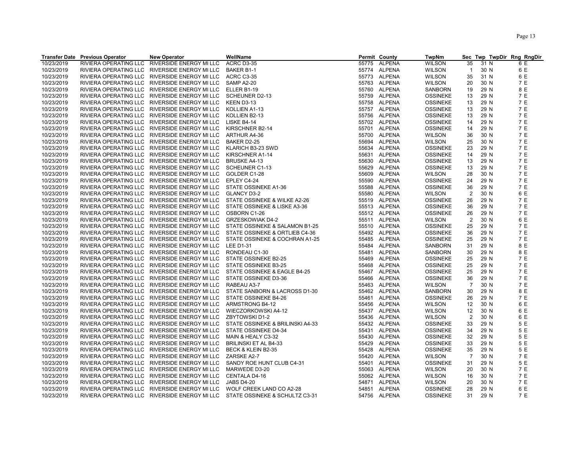|            | <b>Transfer Date Previous Operator</b> | <b>New Operator</b>                           | WellName                                                                     |       | Permit County | <b>TwpNm</b>    |                |      | Sec Twp TwpDir Rng RngDir |
|------------|----------------------------------------|-----------------------------------------------|------------------------------------------------------------------------------|-------|---------------|-----------------|----------------|------|---------------------------|
| 10/23/2019 | RIVIERA OPERATING LLC                  | RIVERSIDE ENERGY MI LLC                       | ACRC D3-35                                                                   | 55775 | ALPENA        | <b>WILSON</b>   | 35             | 31 N | 6 E                       |
| 10/23/2019 |                                        | RIVIERA OPERATING LLC RIVERSIDE ENERGY MI LLC | <b>BAKER B1-1</b>                                                            | 55774 | <b>ALPENA</b> | <b>WILSON</b>   | $\mathbf{1}$   | 30 N | 6 E                       |
| 10/23/2019 | RIVIERA OPERATING LLC                  | RIVERSIDE ENERGY MI LLC                       | ACRC C3-35                                                                   |       | 55773 ALPENA  | <b>WILSON</b>   | 35             | 31 N | 6 E                       |
| 10/23/2019 |                                        | RIVIERA OPERATING LLC RIVERSIDE ENERGY MI LLC | SAMP A2-20                                                                   |       | 55763 ALPENA  | <b>WILSON</b>   | 20             | 30 N | 7 E                       |
| 10/23/2019 |                                        | RIVIERA OPERATING LLC RIVERSIDE ENERGY MI LLC | ELLER B1-19                                                                  |       | 55760 ALPENA  | <b>SANBORN</b>  | 19             | 29 N | 8 E                       |
| 10/23/2019 | RIVIERA OPERATING LLC                  | RIVERSIDE ENERGY MI LLC                       | <b>SCHEUNER D2-13</b>                                                        |       | 55759 ALPENA  | <b>OSSINEKE</b> | 13             | 29 N | 7 E                       |
| 10/23/2019 |                                        | RIVIERA OPERATING LLC RIVERSIDE ENERGY MI LLC | KEEN D3-13                                                                   |       | 55758 ALPENA  | <b>OSSINEKE</b> | 13             | 29 N | 7 E                       |
| 10/23/2019 |                                        | RIVIERA OPERATING LLC RIVERSIDE ENERGY MI LLC | KOLLIEN A1-13                                                                |       | 55757 ALPENA  | <b>OSSINEKE</b> | 13             | 29 N | 7 E                       |
| 10/23/2019 |                                        | RIVIERA OPERATING LLC RIVERSIDE ENERGY MI LLC | KOLLIEN B2-13                                                                |       | 55756 ALPENA  | <b>OSSINEKE</b> | 13             | 29 N | 7 E                       |
| 10/23/2019 |                                        | RIVIERA OPERATING LLC RIVERSIDE ENERGY MI LLC | LISKE B4-14                                                                  |       | 55702 ALPENA  | <b>OSSINEKE</b> | 14             | 29 N | 7 E                       |
| 10/23/2019 |                                        | RIVIERA OPERATING LLC RIVERSIDE ENERGY MI LLC | KIRSCHNER B2-14                                                              |       | 55701 ALPENA  | <b>OSSINEKE</b> | 14             | 29 N | 7 E                       |
|            |                                        |                                               |                                                                              |       | 55700 ALPENA  |                 |                |      | 7 E                       |
| 10/23/2019 |                                        | RIVIERA OPERATING LLC RIVERSIDE ENERGY MI LLC | ARTHUR A4-36                                                                 |       |               | <b>WILSON</b>   | 36             | 30 N |                           |
| 10/23/2019 |                                        | RIVIERA OPERATING LLC RIVERSIDE ENERGY MI LLC | BAKER D2-25                                                                  | 55694 | ALPENA        | <b>WILSON</b>   | 25             | 30 N | 7 E                       |
| 10/23/2019 |                                        | RIVIERA OPERATING LLC RIVERSIDE ENERGY MI LLC | KLARICH B3-23 SWD                                                            | 55634 | <b>ALPENA</b> | <b>OSSINEKE</b> | 23             | 29 N | 7 E                       |
| 10/23/2019 |                                        | RIVIERA OPERATING LLC RIVERSIDE ENERGY MI LLC | KIRSCHNER A1-14                                                              |       | 55631 ALPENA  | <b>OSSINEKE</b> | 14             | 29 N | 7 E                       |
| 10/23/2019 |                                        | RIVIERA OPERATING LLC RIVERSIDE ENERGY MI LLC | <b>BRUSKE A4-13</b>                                                          |       | 55630 ALPENA  | <b>OSSINEKE</b> | 13             | 29 N | 7 E                       |
| 10/23/2019 | RIVIERA OPERATING LLC                  | RIVERSIDE ENERGY MI LLC                       | SCHEUNER C1-13                                                               | 55629 | ALPENA        | <b>OSSINEKE</b> | 13             | 29 N | 7 E                       |
| 10/23/2019 |                                        | RIVIERA OPERATING LLC RIVERSIDE ENERGY MI LLC | GOLDER C1-28                                                                 |       | 55609 ALPENA  | <b>WILSON</b>   | 28             | 30 N | 7 E                       |
| 10/23/2019 |                                        | RIVIERA OPERATING LLC RIVERSIDE ENERGY MI LLC | EPLEY C4-24                                                                  |       | 55590 ALPENA  | <b>OSSINEKE</b> | 24             | 29 N | 7 E                       |
| 10/23/2019 |                                        | RIVIERA OPERATING LLC RIVERSIDE ENERGY MI LLC | STATE OSSINEKE A1-36                                                         |       | 55588 ALPENA  | <b>OSSINEKE</b> | 36             | 29 N | 7 E                       |
| 10/23/2019 |                                        | RIVIERA OPERATING LLC RIVERSIDE ENERGY MI LLC | GLANCY D3-2                                                                  |       | 55580 ALPENA  | <b>WILSON</b>   | $\overline{2}$ | 30 N | 6 E                       |
| 10/23/2019 |                                        | RIVIERA OPERATING LLC RIVERSIDE ENERGY MI LLC | STATE OSSINEKE & WILKE A2-26                                                 |       | 55519 ALPENA  | <b>OSSINEKE</b> | 26             | 29 N | 7 E                       |
| 10/23/2019 | RIVIERA OPERATING LLC                  | RIVERSIDE ENERGY MI LLC                       | STATE OSSINEKE & LISKE A3-36                                                 |       | 55513 ALPENA  | <b>OSSINEKE</b> | 36             | 29 N | 7 E                       |
| 10/23/2019 |                                        | RIVIERA OPERATING LLC RIVERSIDE ENERGY MI LLC | OSBORN C1-26                                                                 |       | 55512 ALPENA  | <b>OSSINEKE</b> | 26             | 29 N | 7 E                       |
| 10/23/2019 |                                        | RIVIERA OPERATING LLC RIVERSIDE ENERGY MI LLC | <b>GRZESKOWIAK D4-2</b>                                                      |       | 55511 ALPENA  | <b>WILSON</b>   | $\overline{2}$ | 30 N | 6 E                       |
| 10/23/2019 |                                        | RIVIERA OPERATING LLC RIVERSIDE ENERGY MI LLC | STATE OSSINEKE & SALAMON B1-25                                               |       | 55510 ALPENA  | <b>OSSINEKE</b> | 25             | 29 N | 7 E                       |
| 10/23/2019 |                                        | RIVIERA OPERATING LLC RIVERSIDE ENERGY MI LLC | STATE OSSINEKE & ORTLIEB C4-36                                               |       | 55492 ALPENA  | <b>OSSINEKE</b> | 36             | 29 N | 7 E                       |
| 10/23/2019 |                                        | RIVIERA OPERATING LLC RIVERSIDE ENERGY MI LLC | STATE OSSINEKE & COCHRAN A1-25                                               |       | 55485 ALPENA  | <b>OSSINEKE</b> | 25             | 29 N | 7 E                       |
| 10/23/2019 | RIVIERA OPERATING LLC                  | RIVERSIDE ENERGY MI LLC                       | LEE D1-31                                                                    | 55484 | ALPENA        | <b>SANBORN</b>  | 31             | 29 N | 8 E                       |
| 10/23/2019 |                                        | RIVIERA OPERATING LLC RIVERSIDE ENERGY MI LLC | RONDEAU C1-30                                                                |       | 55481 ALPENA  | SANBORN         | 30             | 29 N | 8 E                       |
| 10/23/2019 |                                        | RIVIERA OPERATING LLC RIVERSIDE ENERGY MI LLC | STATE OSSINEKE B2-25                                                         |       | 55469 ALPENA  | <b>OSSINEKE</b> | 25             | 29 N | 7 E                       |
| 10/23/2019 |                                        | RIVIERA OPERATING LLC RIVERSIDE ENERGY MI LLC | STATE OSSINEKE B3-25                                                         |       | 55468 ALPENA  | <b>OSSINEKE</b> | 25             | 29 N | 7 E                       |
| 10/23/2019 |                                        | RIVIERA OPERATING LLC RIVERSIDE ENERGY MI LLC | STATE OSSINEKE & EAGLE B4-25                                                 |       | 55467 ALPENA  | <b>OSSINEKE</b> | 25             | 29 N | 7 E                       |
| 10/23/2019 | RIVIERA OPERATING LLC                  | RIVERSIDE ENERGY MI LLC                       | STATE OSSINEKE D3-36                                                         |       | 55466 ALPENA  | <b>OSSINEKE</b> | 36             | 29 N | 7 E                       |
| 10/23/2019 |                                        | RIVIERA OPERATING LLC RIVERSIDE ENERGY MI LLC | RABEAU A3-7                                                                  |       | 55463 ALPENA  | <b>WILSON</b>   | $\overline{7}$ | 30 N | 7 E                       |
| 10/23/2019 |                                        | RIVIERA OPERATING LLC RIVERSIDE ENERGY MI LLC | STATE SANBORN & LACROSS D1-30                                                |       | 55462 ALPENA  | SANBORN         | 30             | 29 N | 8 E                       |
| 10/23/2019 |                                        | RIVIERA OPERATING LLC RIVERSIDE ENERGY MI LLC | STATE OSSINEKE B4-26                                                         |       | 55461 ALPENA  | <b>OSSINEKE</b> | 26             | 29 N | 7 E                       |
| 10/23/2019 |                                        | RIVIERA OPERATING LLC RIVERSIDE ENERGY MI LLC | ARMSTRONG B4-12                                                              |       | 55456 ALPENA  | <b>WILSON</b>   | 12             | 30 N | 6 E                       |
| 10/23/2019 |                                        | RIVIERA OPERATING LLC RIVERSIDE ENERGY MI LLC | WIECZORKOWSKI A4-12                                                          |       | 55437 ALPENA  | <b>WILSON</b>   | 12             | 30 N | 6 E                       |
| 10/23/2019 |                                        | RIVIERA OPERATING LLC RIVERSIDE ENERGY MI LLC | ZBYTOWSKI D1-2                                                               |       | 55436 ALPENA  | <b>WILSON</b>   | $\overline{2}$ | 30 N | 6 E                       |
| 10/23/2019 |                                        | RIVIERA OPERATING LLC RIVERSIDE ENERGY MI LLC | STATE OSSINEKE & BRILINSKI A4-33                                             |       | 55432 ALPENA  | <b>OSSINEKE</b> | 33             | 29 N | 5 E                       |
|            |                                        |                                               | STATE OSSINEKE D4-34                                                         |       | 55431 ALPENA  | <b>OSSINEKE</b> | 34             | 29 N | 5 E                       |
| 10/23/2019 |                                        | RIVIERA OPERATING LLC RIVERSIDE ENERGY MI LLC |                                                                              |       |               |                 | 32             |      |                           |
| 10/23/2019 |                                        | RIVIERA OPERATING LLC RIVERSIDE ENERGY MI LLC | MAIN & HEALY C3-32                                                           |       | 55430 ALPENA  | <b>OSSINEKE</b> |                | 29 N | 5 E                       |
| 10/23/2019 |                                        | RIVIERA OPERATING LLC RIVERSIDE ENERGY MI LLC | <b>BRILINSKI ET AL B4-33</b>                                                 |       | 55429 ALPENA  | <b>OSSINEKE</b> | 33             | 29 N | 5 E                       |
| 10/23/2019 | RIVIERA OPERATING LLC                  | RIVERSIDE ENERGY MI LLC                       | BECK & KLEIN B2-35                                                           |       | 55428 ALPENA  | <b>OSSINEKE</b> | 35             | 29 N | 5 E                       |
| 10/23/2019 |                                        | RIVIERA OPERATING LLC RIVERSIDE ENERGY MI LLC | ZARSKE A2-7                                                                  | 55420 | ALPENA        | WILSON          | $\overline{7}$ | 30 N | 7 E                       |
| 10/23/2019 |                                        | RIVIERA OPERATING LLC RIVERSIDE ENERGY MI LLC | SANDY ROE HUNT CLUB C4-31                                                    |       | 55401 ALPENA  | <b>OSSINEKE</b> | 31             | 29 N | 5 E                       |
| 10/23/2019 |                                        | RIVIERA OPERATING LLC RIVERSIDE ENERGY MI LLC | MARWEDE D3-20                                                                |       | 55063 ALPENA  | <b>WILSON</b>   | 20             | 30 N | 7 E                       |
| 10/23/2019 |                                        | RIVIERA OPERATING LLC RIVERSIDE ENERGY MI LLC | CENTALA D4-16                                                                |       | 55062 ALPENA  | <b>WILSON</b>   | 16             | 30 N | 7 E                       |
| 10/23/2019 |                                        | RIVIERA OPERATING LLC RIVERSIDE ENERGY MI LLC | <b>JABS D4-20</b>                                                            |       | 54871 ALPENA  | <b>WILSON</b>   | 20             | 30 N | 7 E                       |
| 10/23/2019 |                                        | RIVIERA OPERATING LLC RIVERSIDE ENERGY MI LLC | WOLF CREEK LAND CO A2-28                                                     |       | 54851 ALPENA  | <b>OSSINEKE</b> | 28             | 29 N | 6 E                       |
| 10/23/2019 |                                        |                                               | RIVIERA OPERATING LLC RIVERSIDE ENERGY MI LLC STATE OSSINEKE & SCHULTZ C3-31 |       | 54756 ALPENA  | <b>OSSINEKE</b> | 31             | 29 N | 7 E                       |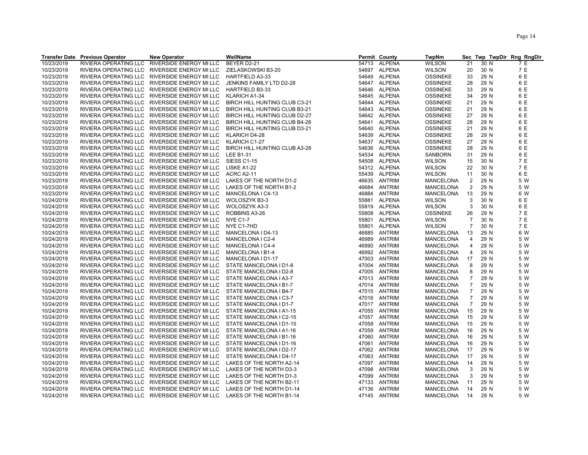| 10/23/2019<br>RIVIERA OPERATING LLC<br>RIVERSIDE ENERGY MI LLC<br>BEYER D2-21<br>54713<br><b>ALPENA</b><br><b>WILSON</b><br>21<br>7 E<br>30 N<br>7 E<br>54697 ALPENA<br>30 N<br>10/23/2019<br>RIVIERA OPERATING LLC RIVERSIDE ENERGY MI LLC<br>ZIELASKOWSKI B3-20<br><b>WILSON</b><br>20<br>6 E<br>10/23/2019<br><b>ALPENA</b><br>29 N<br>RIVIERA OPERATING LLC<br>RIVERSIDE ENERGY MI LLC<br>HARTFIELD A3-33<br>54649<br><b>OSSINEKE</b><br>33<br>6 E<br>10/23/2019<br>RIVIERA OPERATING LLC RIVERSIDE ENERGY MI LLC<br>JENKINS FAMILY LTD D2-28<br>54647 ALPENA<br><b>OSSINEKE</b><br>28<br>29 N<br>6 E<br>10/23/2019<br>RIVIERA OPERATING LLC RIVERSIDE ENERGY MI LLC<br>HARTFIELD B3-33<br>ALPENA<br>29 N<br>54646<br><b>OSSINEKE</b><br>33<br>6 E<br>10/23/2019<br>ALPENA<br>29 N<br>RIVIERA OPERATING LLC RIVERSIDE ENERGY MI LLC<br>KLARICH A1-34<br>54645<br><b>OSSINEKE</b><br>34<br>6 E<br>10/23/2019<br>RIVIERA OPERATING LLC RIVERSIDE ENERGY MI LLC<br>BIRCH HILL HUNTING CLUB C3-21<br>54644<br>ALPENA<br><b>OSSINEKE</b><br>21<br>29 N<br>6 E<br>54643 ALPENA<br>10/23/2019<br>RIVIERA OPERATING LLC RIVERSIDE ENERGY MI LLC<br>BIRCH HILL HUNTING CLUB B3-21<br>21<br>29 N<br><b>OSSINEKE</b><br>54642 ALPENA<br>6 E<br>10/23/2019<br>RIVIERA OPERATING LLC RIVERSIDE ENERGY MI LLC<br>BIRCH HILL HUNTING CLUB D2-27<br><b>OSSINEKE</b><br>27<br>29 N<br>6 E<br>10/23/2019<br>ALPENA<br>29 N<br>RIVIERA OPERATING LLC RIVERSIDE ENERGY MI LLC<br>BIRCH HILL HUNTING CLUB B4-28<br>54641<br><b>OSSINEKE</b><br>28<br>6 E<br>10/23/2019<br><b>ALPENA</b><br>RIVIERA OPERATING LLC RIVERSIDE ENERGY MI LLC<br>BIRCH HILL HUNTING CLUB D3-21<br>54640<br><b>OSSINEKE</b><br>21<br>29 N<br><b>ALPENA</b><br>6 E<br>10/23/2019<br>RIVIERA OPERATING LLC<br>RIVERSIDE ENERGY MI LLC<br>KLARICH D4-28<br>54639<br><b>OSSINEKE</b><br>28<br>29 N<br>6 E<br>10/23/2019<br>54637 ALPENA<br>27<br>29 N<br>RIVIERA OPERATING LLC RIVERSIDE ENERGY MI LLC<br>KLARICH C1-27<br><b>OSSINEKE</b><br><b>ALPENA</b><br>6 E<br>10/23/2019<br>RIVIERA OPERATING LLC RIVERSIDE ENERGY MI LLC<br>BIRCH HILL HUNTING CLUB A3-28<br>28<br>29 N<br>54636<br><b>OSSINEKE</b><br>8 E<br>10/23/2019<br>ALPENA<br><b>SANBORN</b><br>29 N<br>RIVIERA OPERATING LLC RIVERSIDE ENERGY MI LLC<br>LEE B1-31<br>54534<br>31<br>7 E<br>10/23/2019<br><b>ALPENA</b><br>RIVIERA OPERATING LLC RIVERSIDE ENERGY MI LLC<br><b>SIESS C1-15</b><br>54508<br><b>WILSON</b><br>30 N<br>15<br>7 E<br>10/23/2019<br><b>ALPENA</b><br>22<br>30 N<br>RIVIERA OPERATING LLC<br>RIVERSIDE ENERGY MI LLC<br>LISKE A1-22<br>54312<br><b>WILSON</b><br>6 E<br>10/23/2019<br>RIVIERA OPERATING LLC RIVERSIDE ENERGY MI LLC<br>ALPENA<br><b>WILSON</b><br>30 N<br><b>ACRC A2-11</b><br>55439<br>11<br>5 W<br>10/23/2019<br>LAKES OF THE NORTH D1-2<br>2<br>29 N<br>RIVIERA OPERATING LLC RIVERSIDE ENERGY MI LLC<br>46635<br>ANTRIM<br><b>MANCELONA</b><br>10/23/2019<br>RIVIERA OPERATING LLC RIVERSIDE ENERGY MI LLC<br>ANTRIM<br><b>MANCELONA</b><br>$\overline{2}$<br>29 N<br>5 W<br>LAKES OF THE NORTH B1-2<br>46684<br>10/23/2019<br>6 W<br>RIVIERA OPERATING LLC RIVERSIDE ENERGY MI LLC<br>MANCELONA I C4-13<br>46884<br>ANTRIM<br>MANCELONA<br>13<br>29 N<br>10/24/2019<br><b>ALPENA</b><br>3<br>6 E<br>RIVIERA OPERATING LLC RIVERSIDE ENERGY MI LLC<br>WOLOSZYK B3-3<br><b>WILSON</b><br>30 N<br>55881<br>3<br>6 E<br>10/24/2019<br>RIVIERA OPERATING LLC RIVERSIDE ENERGY MI LLC<br>WOLOSZYK A3-3<br>55819 ALPENA<br><b>WILSON</b><br>30 N<br>ALPENA<br>7 E<br>10/24/2019<br>RIVIERA OPERATING LLC RIVERSIDE ENERGY MI LLC<br>ROBBINS A3-26<br>55808<br><b>OSSINEKE</b><br>26<br>29 N<br>7 E<br>10/24/2019<br><b>NYE C1-7</b><br>ALPENA<br>$\overline{7}$<br>RIVIERA OPERATING LLC RIVERSIDE ENERGY MI LLC<br>55801<br><b>WILSON</b><br>30 N<br>7 E<br>10/24/2019<br><b>ALPENA</b><br>RIVIERA OPERATING LLC RIVERSIDE ENERGY MI LLC<br>NYE C1-7HD<br>55801<br><b>WILSON</b><br>$\overline{7}$<br>30 N<br><b>ANTRIM</b><br>6 W<br>10/24/2019<br>RIVIERA OPERATING LLC RIVERSIDE ENERGY MI LLC<br>MANCELONA I D4-13<br>MANCELONA<br>29 N<br>46885<br>13<br>10/24/2019<br><b>ANTRIM</b><br>5 W<br>RIVIERA OPERATING LLC RIVERSIDE ENERGY MI LLC<br>MANCELONA I C2-4<br><b>MANCELONA</b><br>29 N<br>46989<br>4<br>10/24/2019<br>ANTRIM<br><b>MANCELONA</b><br>29 N<br>5 W<br>RIVIERA OPERATING LLC<br>RIVERSIDE ENERGY MI LLC<br>MANCELONA I C4-4<br>46990<br>4<br>5 W<br>10/24/2019<br>RIVIERA OPERATING LLC RIVERSIDE ENERGY MI LLC<br>MANCELONA I B1-4<br>46992<br>ANTRIM<br>MANCELONA<br>4<br>29 N<br>10/24/2019<br>29 N<br>5 W<br>RIVIERA OPERATING LLC RIVERSIDE ENERGY MI LLC<br>MANCELONA I D1-17<br>47003<br>ANTRIM<br><b>MANCELONA</b><br>17<br>10/24/2019<br>RIVIERA OPERATING LLC RIVERSIDE ENERGY MI LLC<br>STATE MANCELONA I D1-8<br>47004<br>ANTRIM<br>MANCELONA<br>8<br>29 N<br>5 W<br>10/24/2019<br>RIVIERA OPERATING LLC RIVERSIDE ENERGY MI LLC<br>STATE MANCELONA I D2-8<br>ANTRIM<br><b>MANCELONA</b><br>8<br>29 N<br>5 W<br>47005<br>10/24/2019<br>RIVIERA OPERATING LLC<br>STATE MANCELONA I A3-7<br>ANTRIM<br>$\overline{7}$<br>29 N<br>5 W<br>RIVERSIDE ENERGY MI LLC<br>47013<br><b>MANCELONA</b><br>$\overline{7}$<br>10/24/2019<br>RIVIERA OPERATING LLC RIVERSIDE ENERGY MI LLC<br>STATE MANCELONA I B1-7<br>47014 ANTRIM<br>MANCELONA<br>29 N<br>5 W<br>$\overline{7}$<br>5 W<br>10/24/2019<br>RIVIERA OPERATING LLC RIVERSIDE ENERGY MI LLC<br>STATE MANCELONA I B4-7<br>47015<br>ANTRIM<br>MANCELONA<br>29 N<br>5 W<br>10/24/2019<br>RIVIERA OPERATING LLC RIVERSIDE ENERGY MI LLC<br>STATE MANCELONA I C3-7<br>ANTRIM<br>MANCELONA<br>$\overline{7}$<br>29 N<br>47016<br>10/24/2019<br>47017 ANTRIM<br>$\overline{7}$<br>29 N<br>5 W<br>RIVIERA OPERATING LLC RIVERSIDE ENERGY MI LLC<br>STATE MANCELONA I D1-7<br>MANCELONA<br>10/24/2019<br>RIVIERA OPERATING LLC RIVERSIDE ENERGY MI LLC<br>STATE MANCELONA I A1-15<br>ANTRIM<br>29 N<br>5 W<br>47055<br><b>MANCELONA</b><br>15<br>10/24/2019<br>RIVIERA OPERATING LLC RIVERSIDE ENERGY MI LLC<br>STATE MANCELONA I C2-15<br>47057 ANTRIM<br>MANCELONA<br>15<br>29 N<br>5 W<br>10/24/2019<br>RIVIERA OPERATING LLC RIVERSIDE ENERGY MI LLC<br>MANCELONA<br>5 W<br>STATE MANCELONA I D1-15<br>47058<br>ANTRIM<br>15<br>29 N<br>5 W<br>10/24/2019<br>RIVIERA OPERATING LLC RIVERSIDE ENERGY MI LLC<br>STATE MANCELONA   A1-16<br>47059<br>ANTRIM<br>MANCELONA<br>16<br>29 N<br>10/24/2019<br>RIVIERA OPERATING LLC RIVERSIDE ENERGY MI LLC<br>ANTRIM<br>MANCELONA<br>29 N<br>5 W<br>STATE MANCELONA I B1-16<br>47060<br>16 | <b>Transfer Date Previous Operator</b> | <b>New Operator</b> | WellName | Permit County | <b>TwpNm</b> |  | Sec Twp TwpDir Rng RngDir |
|------------------------------------------------------------------------------------------------------------------------------------------------------------------------------------------------------------------------------------------------------------------------------------------------------------------------------------------------------------------------------------------------------------------------------------------------------------------------------------------------------------------------------------------------------------------------------------------------------------------------------------------------------------------------------------------------------------------------------------------------------------------------------------------------------------------------------------------------------------------------------------------------------------------------------------------------------------------------------------------------------------------------------------------------------------------------------------------------------------------------------------------------------------------------------------------------------------------------------------------------------------------------------------------------------------------------------------------------------------------------------------------------------------------------------------------------------------------------------------------------------------------------------------------------------------------------------------------------------------------------------------------------------------------------------------------------------------------------------------------------------------------------------------------------------------------------------------------------------------------------------------------------------------------------------------------------------------------------------------------------------------------------------------------------------------------------------------------------------------------------------------------------------------------------------------------------------------------------------------------------------------------------------------------------------------------------------------------------------------------------------------------------------------------------------------------------------------------------------------------------------------------------------------------------------------------------------------------------------------------------------------------------------------------------------------------------------------------------------------------------------------------------------------------------------------------------------------------------------------------------------------------------------------------------------------------------------------------------------------------------------------------------------------------------------------------------------------------------------------------------------------------------------------------------------------------------------------------------------------------------------------------------------------------------------------------------------------------------------------------------------------------------------------------------------------------------------------------------------------------------------------------------------------------------------------------------------------------------------------------------------------------------------------------------------------------------------------------------------------------------------------------------------------------------------------------------------------------------------------------------------------------------------------------------------------------------------------------------------------------------------------------------------------------------------------------------------------------------------------------------------------------------------------------------------------------------------------------------------------------------------------------------------------------------------------------------------------------------------------------------------------------------------------------------------------------------------------------------------------------------------------------------------------------------------------------------------------------------------------------------------------------------------------------------------------------------------------------------------------------------------------------------------------------------------------------------------------------------------------------------------------------------------------------------------------------------------------------------------------------------------------------------------------------------------------------------------------------------------------------------------------------------------------------------------------------------------------------------------------------------------------------------------------------------------------------------------------------------------------------------------------------------------------------------------------------------------------------------------------------------------------------------------------------------------------------------------------------------------------------------------------------------------------------------------------------------------------------------------------------------------------------------------------------------------------------------------------------------------------------------------------------------------------------------------------------------------------------------------------------------------------------------------------------------------------------------------------------------------------------------------------------------------------------------------------------------------------------------------------------------------------------------------------------------------------------------------------------------------------------------------------------------------------------------------------------------------------------------------------------------------------------------------------------------------------------------------|----------------------------------------|---------------------|----------|---------------|--------------|--|---------------------------|
|                                                                                                                                                                                                                                                                                                                                                                                                                                                                                                                                                                                                                                                                                                                                                                                                                                                                                                                                                                                                                                                                                                                                                                                                                                                                                                                                                                                                                                                                                                                                                                                                                                                                                                                                                                                                                                                                                                                                                                                                                                                                                                                                                                                                                                                                                                                                                                                                                                                                                                                                                                                                                                                                                                                                                                                                                                                                                                                                                                                                                                                                                                                                                                                                                                                                                                                                                                                                                                                                                                                                                                                                                                                                                                                                                                                                                                                                                                                                                                                                                                                                                                                                                                                                                                                                                                                                                                                                                                                                                                                                                                                                                                                                                                                                                                                                                                                                                                                                                                                                                                                                                                                                                                                                                                                                                                                                                                                                                                                                                                                                                                                                                                                                                                                                                                                                                                                                                                                                                                                                                                                                                                                                                                                                                                                                                                                                                                                                                                                                                                                                                                              |                                        |                     |          |               |              |  |                           |
|                                                                                                                                                                                                                                                                                                                                                                                                                                                                                                                                                                                                                                                                                                                                                                                                                                                                                                                                                                                                                                                                                                                                                                                                                                                                                                                                                                                                                                                                                                                                                                                                                                                                                                                                                                                                                                                                                                                                                                                                                                                                                                                                                                                                                                                                                                                                                                                                                                                                                                                                                                                                                                                                                                                                                                                                                                                                                                                                                                                                                                                                                                                                                                                                                                                                                                                                                                                                                                                                                                                                                                                                                                                                                                                                                                                                                                                                                                                                                                                                                                                                                                                                                                                                                                                                                                                                                                                                                                                                                                                                                                                                                                                                                                                                                                                                                                                                                                                                                                                                                                                                                                                                                                                                                                                                                                                                                                                                                                                                                                                                                                                                                                                                                                                                                                                                                                                                                                                                                                                                                                                                                                                                                                                                                                                                                                                                                                                                                                                                                                                                                                              |                                        |                     |          |               |              |  |                           |
|                                                                                                                                                                                                                                                                                                                                                                                                                                                                                                                                                                                                                                                                                                                                                                                                                                                                                                                                                                                                                                                                                                                                                                                                                                                                                                                                                                                                                                                                                                                                                                                                                                                                                                                                                                                                                                                                                                                                                                                                                                                                                                                                                                                                                                                                                                                                                                                                                                                                                                                                                                                                                                                                                                                                                                                                                                                                                                                                                                                                                                                                                                                                                                                                                                                                                                                                                                                                                                                                                                                                                                                                                                                                                                                                                                                                                                                                                                                                                                                                                                                                                                                                                                                                                                                                                                                                                                                                                                                                                                                                                                                                                                                                                                                                                                                                                                                                                                                                                                                                                                                                                                                                                                                                                                                                                                                                                                                                                                                                                                                                                                                                                                                                                                                                                                                                                                                                                                                                                                                                                                                                                                                                                                                                                                                                                                                                                                                                                                                                                                                                                                              |                                        |                     |          |               |              |  |                           |
|                                                                                                                                                                                                                                                                                                                                                                                                                                                                                                                                                                                                                                                                                                                                                                                                                                                                                                                                                                                                                                                                                                                                                                                                                                                                                                                                                                                                                                                                                                                                                                                                                                                                                                                                                                                                                                                                                                                                                                                                                                                                                                                                                                                                                                                                                                                                                                                                                                                                                                                                                                                                                                                                                                                                                                                                                                                                                                                                                                                                                                                                                                                                                                                                                                                                                                                                                                                                                                                                                                                                                                                                                                                                                                                                                                                                                                                                                                                                                                                                                                                                                                                                                                                                                                                                                                                                                                                                                                                                                                                                                                                                                                                                                                                                                                                                                                                                                                                                                                                                                                                                                                                                                                                                                                                                                                                                                                                                                                                                                                                                                                                                                                                                                                                                                                                                                                                                                                                                                                                                                                                                                                                                                                                                                                                                                                                                                                                                                                                                                                                                                                              |                                        |                     |          |               |              |  |                           |
|                                                                                                                                                                                                                                                                                                                                                                                                                                                                                                                                                                                                                                                                                                                                                                                                                                                                                                                                                                                                                                                                                                                                                                                                                                                                                                                                                                                                                                                                                                                                                                                                                                                                                                                                                                                                                                                                                                                                                                                                                                                                                                                                                                                                                                                                                                                                                                                                                                                                                                                                                                                                                                                                                                                                                                                                                                                                                                                                                                                                                                                                                                                                                                                                                                                                                                                                                                                                                                                                                                                                                                                                                                                                                                                                                                                                                                                                                                                                                                                                                                                                                                                                                                                                                                                                                                                                                                                                                                                                                                                                                                                                                                                                                                                                                                                                                                                                                                                                                                                                                                                                                                                                                                                                                                                                                                                                                                                                                                                                                                                                                                                                                                                                                                                                                                                                                                                                                                                                                                                                                                                                                                                                                                                                                                                                                                                                                                                                                                                                                                                                                                              |                                        |                     |          |               |              |  |                           |
|                                                                                                                                                                                                                                                                                                                                                                                                                                                                                                                                                                                                                                                                                                                                                                                                                                                                                                                                                                                                                                                                                                                                                                                                                                                                                                                                                                                                                                                                                                                                                                                                                                                                                                                                                                                                                                                                                                                                                                                                                                                                                                                                                                                                                                                                                                                                                                                                                                                                                                                                                                                                                                                                                                                                                                                                                                                                                                                                                                                                                                                                                                                                                                                                                                                                                                                                                                                                                                                                                                                                                                                                                                                                                                                                                                                                                                                                                                                                                                                                                                                                                                                                                                                                                                                                                                                                                                                                                                                                                                                                                                                                                                                                                                                                                                                                                                                                                                                                                                                                                                                                                                                                                                                                                                                                                                                                                                                                                                                                                                                                                                                                                                                                                                                                                                                                                                                                                                                                                                                                                                                                                                                                                                                                                                                                                                                                                                                                                                                                                                                                                                              |                                        |                     |          |               |              |  |                           |
|                                                                                                                                                                                                                                                                                                                                                                                                                                                                                                                                                                                                                                                                                                                                                                                                                                                                                                                                                                                                                                                                                                                                                                                                                                                                                                                                                                                                                                                                                                                                                                                                                                                                                                                                                                                                                                                                                                                                                                                                                                                                                                                                                                                                                                                                                                                                                                                                                                                                                                                                                                                                                                                                                                                                                                                                                                                                                                                                                                                                                                                                                                                                                                                                                                                                                                                                                                                                                                                                                                                                                                                                                                                                                                                                                                                                                                                                                                                                                                                                                                                                                                                                                                                                                                                                                                                                                                                                                                                                                                                                                                                                                                                                                                                                                                                                                                                                                                                                                                                                                                                                                                                                                                                                                                                                                                                                                                                                                                                                                                                                                                                                                                                                                                                                                                                                                                                                                                                                                                                                                                                                                                                                                                                                                                                                                                                                                                                                                                                                                                                                                                              |                                        |                     |          |               |              |  |                           |
|                                                                                                                                                                                                                                                                                                                                                                                                                                                                                                                                                                                                                                                                                                                                                                                                                                                                                                                                                                                                                                                                                                                                                                                                                                                                                                                                                                                                                                                                                                                                                                                                                                                                                                                                                                                                                                                                                                                                                                                                                                                                                                                                                                                                                                                                                                                                                                                                                                                                                                                                                                                                                                                                                                                                                                                                                                                                                                                                                                                                                                                                                                                                                                                                                                                                                                                                                                                                                                                                                                                                                                                                                                                                                                                                                                                                                                                                                                                                                                                                                                                                                                                                                                                                                                                                                                                                                                                                                                                                                                                                                                                                                                                                                                                                                                                                                                                                                                                                                                                                                                                                                                                                                                                                                                                                                                                                                                                                                                                                                                                                                                                                                                                                                                                                                                                                                                                                                                                                                                                                                                                                                                                                                                                                                                                                                                                                                                                                                                                                                                                                                                              |                                        |                     |          |               |              |  |                           |
|                                                                                                                                                                                                                                                                                                                                                                                                                                                                                                                                                                                                                                                                                                                                                                                                                                                                                                                                                                                                                                                                                                                                                                                                                                                                                                                                                                                                                                                                                                                                                                                                                                                                                                                                                                                                                                                                                                                                                                                                                                                                                                                                                                                                                                                                                                                                                                                                                                                                                                                                                                                                                                                                                                                                                                                                                                                                                                                                                                                                                                                                                                                                                                                                                                                                                                                                                                                                                                                                                                                                                                                                                                                                                                                                                                                                                                                                                                                                                                                                                                                                                                                                                                                                                                                                                                                                                                                                                                                                                                                                                                                                                                                                                                                                                                                                                                                                                                                                                                                                                                                                                                                                                                                                                                                                                                                                                                                                                                                                                                                                                                                                                                                                                                                                                                                                                                                                                                                                                                                                                                                                                                                                                                                                                                                                                                                                                                                                                                                                                                                                                                              |                                        |                     |          |               |              |  |                           |
|                                                                                                                                                                                                                                                                                                                                                                                                                                                                                                                                                                                                                                                                                                                                                                                                                                                                                                                                                                                                                                                                                                                                                                                                                                                                                                                                                                                                                                                                                                                                                                                                                                                                                                                                                                                                                                                                                                                                                                                                                                                                                                                                                                                                                                                                                                                                                                                                                                                                                                                                                                                                                                                                                                                                                                                                                                                                                                                                                                                                                                                                                                                                                                                                                                                                                                                                                                                                                                                                                                                                                                                                                                                                                                                                                                                                                                                                                                                                                                                                                                                                                                                                                                                                                                                                                                                                                                                                                                                                                                                                                                                                                                                                                                                                                                                                                                                                                                                                                                                                                                                                                                                                                                                                                                                                                                                                                                                                                                                                                                                                                                                                                                                                                                                                                                                                                                                                                                                                                                                                                                                                                                                                                                                                                                                                                                                                                                                                                                                                                                                                                                              |                                        |                     |          |               |              |  |                           |
|                                                                                                                                                                                                                                                                                                                                                                                                                                                                                                                                                                                                                                                                                                                                                                                                                                                                                                                                                                                                                                                                                                                                                                                                                                                                                                                                                                                                                                                                                                                                                                                                                                                                                                                                                                                                                                                                                                                                                                                                                                                                                                                                                                                                                                                                                                                                                                                                                                                                                                                                                                                                                                                                                                                                                                                                                                                                                                                                                                                                                                                                                                                                                                                                                                                                                                                                                                                                                                                                                                                                                                                                                                                                                                                                                                                                                                                                                                                                                                                                                                                                                                                                                                                                                                                                                                                                                                                                                                                                                                                                                                                                                                                                                                                                                                                                                                                                                                                                                                                                                                                                                                                                                                                                                                                                                                                                                                                                                                                                                                                                                                                                                                                                                                                                                                                                                                                                                                                                                                                                                                                                                                                                                                                                                                                                                                                                                                                                                                                                                                                                                                              |                                        |                     |          |               |              |  |                           |
|                                                                                                                                                                                                                                                                                                                                                                                                                                                                                                                                                                                                                                                                                                                                                                                                                                                                                                                                                                                                                                                                                                                                                                                                                                                                                                                                                                                                                                                                                                                                                                                                                                                                                                                                                                                                                                                                                                                                                                                                                                                                                                                                                                                                                                                                                                                                                                                                                                                                                                                                                                                                                                                                                                                                                                                                                                                                                                                                                                                                                                                                                                                                                                                                                                                                                                                                                                                                                                                                                                                                                                                                                                                                                                                                                                                                                                                                                                                                                                                                                                                                                                                                                                                                                                                                                                                                                                                                                                                                                                                                                                                                                                                                                                                                                                                                                                                                                                                                                                                                                                                                                                                                                                                                                                                                                                                                                                                                                                                                                                                                                                                                                                                                                                                                                                                                                                                                                                                                                                                                                                                                                                                                                                                                                                                                                                                                                                                                                                                                                                                                                                              |                                        |                     |          |               |              |  |                           |
|                                                                                                                                                                                                                                                                                                                                                                                                                                                                                                                                                                                                                                                                                                                                                                                                                                                                                                                                                                                                                                                                                                                                                                                                                                                                                                                                                                                                                                                                                                                                                                                                                                                                                                                                                                                                                                                                                                                                                                                                                                                                                                                                                                                                                                                                                                                                                                                                                                                                                                                                                                                                                                                                                                                                                                                                                                                                                                                                                                                                                                                                                                                                                                                                                                                                                                                                                                                                                                                                                                                                                                                                                                                                                                                                                                                                                                                                                                                                                                                                                                                                                                                                                                                                                                                                                                                                                                                                                                                                                                                                                                                                                                                                                                                                                                                                                                                                                                                                                                                                                                                                                                                                                                                                                                                                                                                                                                                                                                                                                                                                                                                                                                                                                                                                                                                                                                                                                                                                                                                                                                                                                                                                                                                                                                                                                                                                                                                                                                                                                                                                                                              |                                        |                     |          |               |              |  |                           |
|                                                                                                                                                                                                                                                                                                                                                                                                                                                                                                                                                                                                                                                                                                                                                                                                                                                                                                                                                                                                                                                                                                                                                                                                                                                                                                                                                                                                                                                                                                                                                                                                                                                                                                                                                                                                                                                                                                                                                                                                                                                                                                                                                                                                                                                                                                                                                                                                                                                                                                                                                                                                                                                                                                                                                                                                                                                                                                                                                                                                                                                                                                                                                                                                                                                                                                                                                                                                                                                                                                                                                                                                                                                                                                                                                                                                                                                                                                                                                                                                                                                                                                                                                                                                                                                                                                                                                                                                                                                                                                                                                                                                                                                                                                                                                                                                                                                                                                                                                                                                                                                                                                                                                                                                                                                                                                                                                                                                                                                                                                                                                                                                                                                                                                                                                                                                                                                                                                                                                                                                                                                                                                                                                                                                                                                                                                                                                                                                                                                                                                                                                                              |                                        |                     |          |               |              |  |                           |
|                                                                                                                                                                                                                                                                                                                                                                                                                                                                                                                                                                                                                                                                                                                                                                                                                                                                                                                                                                                                                                                                                                                                                                                                                                                                                                                                                                                                                                                                                                                                                                                                                                                                                                                                                                                                                                                                                                                                                                                                                                                                                                                                                                                                                                                                                                                                                                                                                                                                                                                                                                                                                                                                                                                                                                                                                                                                                                                                                                                                                                                                                                                                                                                                                                                                                                                                                                                                                                                                                                                                                                                                                                                                                                                                                                                                                                                                                                                                                                                                                                                                                                                                                                                                                                                                                                                                                                                                                                                                                                                                                                                                                                                                                                                                                                                                                                                                                                                                                                                                                                                                                                                                                                                                                                                                                                                                                                                                                                                                                                                                                                                                                                                                                                                                                                                                                                                                                                                                                                                                                                                                                                                                                                                                                                                                                                                                                                                                                                                                                                                                                                              |                                        |                     |          |               |              |  |                           |
|                                                                                                                                                                                                                                                                                                                                                                                                                                                                                                                                                                                                                                                                                                                                                                                                                                                                                                                                                                                                                                                                                                                                                                                                                                                                                                                                                                                                                                                                                                                                                                                                                                                                                                                                                                                                                                                                                                                                                                                                                                                                                                                                                                                                                                                                                                                                                                                                                                                                                                                                                                                                                                                                                                                                                                                                                                                                                                                                                                                                                                                                                                                                                                                                                                                                                                                                                                                                                                                                                                                                                                                                                                                                                                                                                                                                                                                                                                                                                                                                                                                                                                                                                                                                                                                                                                                                                                                                                                                                                                                                                                                                                                                                                                                                                                                                                                                                                                                                                                                                                                                                                                                                                                                                                                                                                                                                                                                                                                                                                                                                                                                                                                                                                                                                                                                                                                                                                                                                                                                                                                                                                                                                                                                                                                                                                                                                                                                                                                                                                                                                                                              |                                        |                     |          |               |              |  |                           |
|                                                                                                                                                                                                                                                                                                                                                                                                                                                                                                                                                                                                                                                                                                                                                                                                                                                                                                                                                                                                                                                                                                                                                                                                                                                                                                                                                                                                                                                                                                                                                                                                                                                                                                                                                                                                                                                                                                                                                                                                                                                                                                                                                                                                                                                                                                                                                                                                                                                                                                                                                                                                                                                                                                                                                                                                                                                                                                                                                                                                                                                                                                                                                                                                                                                                                                                                                                                                                                                                                                                                                                                                                                                                                                                                                                                                                                                                                                                                                                                                                                                                                                                                                                                                                                                                                                                                                                                                                                                                                                                                                                                                                                                                                                                                                                                                                                                                                                                                                                                                                                                                                                                                                                                                                                                                                                                                                                                                                                                                                                                                                                                                                                                                                                                                                                                                                                                                                                                                                                                                                                                                                                                                                                                                                                                                                                                                                                                                                                                                                                                                                                              |                                        |                     |          |               |              |  |                           |
|                                                                                                                                                                                                                                                                                                                                                                                                                                                                                                                                                                                                                                                                                                                                                                                                                                                                                                                                                                                                                                                                                                                                                                                                                                                                                                                                                                                                                                                                                                                                                                                                                                                                                                                                                                                                                                                                                                                                                                                                                                                                                                                                                                                                                                                                                                                                                                                                                                                                                                                                                                                                                                                                                                                                                                                                                                                                                                                                                                                                                                                                                                                                                                                                                                                                                                                                                                                                                                                                                                                                                                                                                                                                                                                                                                                                                                                                                                                                                                                                                                                                                                                                                                                                                                                                                                                                                                                                                                                                                                                                                                                                                                                                                                                                                                                                                                                                                                                                                                                                                                                                                                                                                                                                                                                                                                                                                                                                                                                                                                                                                                                                                                                                                                                                                                                                                                                                                                                                                                                                                                                                                                                                                                                                                                                                                                                                                                                                                                                                                                                                                                              |                                        |                     |          |               |              |  |                           |
|                                                                                                                                                                                                                                                                                                                                                                                                                                                                                                                                                                                                                                                                                                                                                                                                                                                                                                                                                                                                                                                                                                                                                                                                                                                                                                                                                                                                                                                                                                                                                                                                                                                                                                                                                                                                                                                                                                                                                                                                                                                                                                                                                                                                                                                                                                                                                                                                                                                                                                                                                                                                                                                                                                                                                                                                                                                                                                                                                                                                                                                                                                                                                                                                                                                                                                                                                                                                                                                                                                                                                                                                                                                                                                                                                                                                                                                                                                                                                                                                                                                                                                                                                                                                                                                                                                                                                                                                                                                                                                                                                                                                                                                                                                                                                                                                                                                                                                                                                                                                                                                                                                                                                                                                                                                                                                                                                                                                                                                                                                                                                                                                                                                                                                                                                                                                                                                                                                                                                                                                                                                                                                                                                                                                                                                                                                                                                                                                                                                                                                                                                                              |                                        |                     |          |               |              |  |                           |
|                                                                                                                                                                                                                                                                                                                                                                                                                                                                                                                                                                                                                                                                                                                                                                                                                                                                                                                                                                                                                                                                                                                                                                                                                                                                                                                                                                                                                                                                                                                                                                                                                                                                                                                                                                                                                                                                                                                                                                                                                                                                                                                                                                                                                                                                                                                                                                                                                                                                                                                                                                                                                                                                                                                                                                                                                                                                                                                                                                                                                                                                                                                                                                                                                                                                                                                                                                                                                                                                                                                                                                                                                                                                                                                                                                                                                                                                                                                                                                                                                                                                                                                                                                                                                                                                                                                                                                                                                                                                                                                                                                                                                                                                                                                                                                                                                                                                                                                                                                                                                                                                                                                                                                                                                                                                                                                                                                                                                                                                                                                                                                                                                                                                                                                                                                                                                                                                                                                                                                                                                                                                                                                                                                                                                                                                                                                                                                                                                                                                                                                                                                              |                                        |                     |          |               |              |  |                           |
|                                                                                                                                                                                                                                                                                                                                                                                                                                                                                                                                                                                                                                                                                                                                                                                                                                                                                                                                                                                                                                                                                                                                                                                                                                                                                                                                                                                                                                                                                                                                                                                                                                                                                                                                                                                                                                                                                                                                                                                                                                                                                                                                                                                                                                                                                                                                                                                                                                                                                                                                                                                                                                                                                                                                                                                                                                                                                                                                                                                                                                                                                                                                                                                                                                                                                                                                                                                                                                                                                                                                                                                                                                                                                                                                                                                                                                                                                                                                                                                                                                                                                                                                                                                                                                                                                                                                                                                                                                                                                                                                                                                                                                                                                                                                                                                                                                                                                                                                                                                                                                                                                                                                                                                                                                                                                                                                                                                                                                                                                                                                                                                                                                                                                                                                                                                                                                                                                                                                                                                                                                                                                                                                                                                                                                                                                                                                                                                                                                                                                                                                                                              |                                        |                     |          |               |              |  |                           |
|                                                                                                                                                                                                                                                                                                                                                                                                                                                                                                                                                                                                                                                                                                                                                                                                                                                                                                                                                                                                                                                                                                                                                                                                                                                                                                                                                                                                                                                                                                                                                                                                                                                                                                                                                                                                                                                                                                                                                                                                                                                                                                                                                                                                                                                                                                                                                                                                                                                                                                                                                                                                                                                                                                                                                                                                                                                                                                                                                                                                                                                                                                                                                                                                                                                                                                                                                                                                                                                                                                                                                                                                                                                                                                                                                                                                                                                                                                                                                                                                                                                                                                                                                                                                                                                                                                                                                                                                                                                                                                                                                                                                                                                                                                                                                                                                                                                                                                                                                                                                                                                                                                                                                                                                                                                                                                                                                                                                                                                                                                                                                                                                                                                                                                                                                                                                                                                                                                                                                                                                                                                                                                                                                                                                                                                                                                                                                                                                                                                                                                                                                                              |                                        |                     |          |               |              |  |                           |
|                                                                                                                                                                                                                                                                                                                                                                                                                                                                                                                                                                                                                                                                                                                                                                                                                                                                                                                                                                                                                                                                                                                                                                                                                                                                                                                                                                                                                                                                                                                                                                                                                                                                                                                                                                                                                                                                                                                                                                                                                                                                                                                                                                                                                                                                                                                                                                                                                                                                                                                                                                                                                                                                                                                                                                                                                                                                                                                                                                                                                                                                                                                                                                                                                                                                                                                                                                                                                                                                                                                                                                                                                                                                                                                                                                                                                                                                                                                                                                                                                                                                                                                                                                                                                                                                                                                                                                                                                                                                                                                                                                                                                                                                                                                                                                                                                                                                                                                                                                                                                                                                                                                                                                                                                                                                                                                                                                                                                                                                                                                                                                                                                                                                                                                                                                                                                                                                                                                                                                                                                                                                                                                                                                                                                                                                                                                                                                                                                                                                                                                                                                              |                                        |                     |          |               |              |  |                           |
|                                                                                                                                                                                                                                                                                                                                                                                                                                                                                                                                                                                                                                                                                                                                                                                                                                                                                                                                                                                                                                                                                                                                                                                                                                                                                                                                                                                                                                                                                                                                                                                                                                                                                                                                                                                                                                                                                                                                                                                                                                                                                                                                                                                                                                                                                                                                                                                                                                                                                                                                                                                                                                                                                                                                                                                                                                                                                                                                                                                                                                                                                                                                                                                                                                                                                                                                                                                                                                                                                                                                                                                                                                                                                                                                                                                                                                                                                                                                                                                                                                                                                                                                                                                                                                                                                                                                                                                                                                                                                                                                                                                                                                                                                                                                                                                                                                                                                                                                                                                                                                                                                                                                                                                                                                                                                                                                                                                                                                                                                                                                                                                                                                                                                                                                                                                                                                                                                                                                                                                                                                                                                                                                                                                                                                                                                                                                                                                                                                                                                                                                                                              |                                        |                     |          |               |              |  |                           |
|                                                                                                                                                                                                                                                                                                                                                                                                                                                                                                                                                                                                                                                                                                                                                                                                                                                                                                                                                                                                                                                                                                                                                                                                                                                                                                                                                                                                                                                                                                                                                                                                                                                                                                                                                                                                                                                                                                                                                                                                                                                                                                                                                                                                                                                                                                                                                                                                                                                                                                                                                                                                                                                                                                                                                                                                                                                                                                                                                                                                                                                                                                                                                                                                                                                                                                                                                                                                                                                                                                                                                                                                                                                                                                                                                                                                                                                                                                                                                                                                                                                                                                                                                                                                                                                                                                                                                                                                                                                                                                                                                                                                                                                                                                                                                                                                                                                                                                                                                                                                                                                                                                                                                                                                                                                                                                                                                                                                                                                                                                                                                                                                                                                                                                                                                                                                                                                                                                                                                                                                                                                                                                                                                                                                                                                                                                                                                                                                                                                                                                                                                                              |                                        |                     |          |               |              |  |                           |
|                                                                                                                                                                                                                                                                                                                                                                                                                                                                                                                                                                                                                                                                                                                                                                                                                                                                                                                                                                                                                                                                                                                                                                                                                                                                                                                                                                                                                                                                                                                                                                                                                                                                                                                                                                                                                                                                                                                                                                                                                                                                                                                                                                                                                                                                                                                                                                                                                                                                                                                                                                                                                                                                                                                                                                                                                                                                                                                                                                                                                                                                                                                                                                                                                                                                                                                                                                                                                                                                                                                                                                                                                                                                                                                                                                                                                                                                                                                                                                                                                                                                                                                                                                                                                                                                                                                                                                                                                                                                                                                                                                                                                                                                                                                                                                                                                                                                                                                                                                                                                                                                                                                                                                                                                                                                                                                                                                                                                                                                                                                                                                                                                                                                                                                                                                                                                                                                                                                                                                                                                                                                                                                                                                                                                                                                                                                                                                                                                                                                                                                                                                              |                                        |                     |          |               |              |  |                           |
|                                                                                                                                                                                                                                                                                                                                                                                                                                                                                                                                                                                                                                                                                                                                                                                                                                                                                                                                                                                                                                                                                                                                                                                                                                                                                                                                                                                                                                                                                                                                                                                                                                                                                                                                                                                                                                                                                                                                                                                                                                                                                                                                                                                                                                                                                                                                                                                                                                                                                                                                                                                                                                                                                                                                                                                                                                                                                                                                                                                                                                                                                                                                                                                                                                                                                                                                                                                                                                                                                                                                                                                                                                                                                                                                                                                                                                                                                                                                                                                                                                                                                                                                                                                                                                                                                                                                                                                                                                                                                                                                                                                                                                                                                                                                                                                                                                                                                                                                                                                                                                                                                                                                                                                                                                                                                                                                                                                                                                                                                                                                                                                                                                                                                                                                                                                                                                                                                                                                                                                                                                                                                                                                                                                                                                                                                                                                                                                                                                                                                                                                                                              |                                        |                     |          |               |              |  |                           |
|                                                                                                                                                                                                                                                                                                                                                                                                                                                                                                                                                                                                                                                                                                                                                                                                                                                                                                                                                                                                                                                                                                                                                                                                                                                                                                                                                                                                                                                                                                                                                                                                                                                                                                                                                                                                                                                                                                                                                                                                                                                                                                                                                                                                                                                                                                                                                                                                                                                                                                                                                                                                                                                                                                                                                                                                                                                                                                                                                                                                                                                                                                                                                                                                                                                                                                                                                                                                                                                                                                                                                                                                                                                                                                                                                                                                                                                                                                                                                                                                                                                                                                                                                                                                                                                                                                                                                                                                                                                                                                                                                                                                                                                                                                                                                                                                                                                                                                                                                                                                                                                                                                                                                                                                                                                                                                                                                                                                                                                                                                                                                                                                                                                                                                                                                                                                                                                                                                                                                                                                                                                                                                                                                                                                                                                                                                                                                                                                                                                                                                                                                                              |                                        |                     |          |               |              |  |                           |
|                                                                                                                                                                                                                                                                                                                                                                                                                                                                                                                                                                                                                                                                                                                                                                                                                                                                                                                                                                                                                                                                                                                                                                                                                                                                                                                                                                                                                                                                                                                                                                                                                                                                                                                                                                                                                                                                                                                                                                                                                                                                                                                                                                                                                                                                                                                                                                                                                                                                                                                                                                                                                                                                                                                                                                                                                                                                                                                                                                                                                                                                                                                                                                                                                                                                                                                                                                                                                                                                                                                                                                                                                                                                                                                                                                                                                                                                                                                                                                                                                                                                                                                                                                                                                                                                                                                                                                                                                                                                                                                                                                                                                                                                                                                                                                                                                                                                                                                                                                                                                                                                                                                                                                                                                                                                                                                                                                                                                                                                                                                                                                                                                                                                                                                                                                                                                                                                                                                                                                                                                                                                                                                                                                                                                                                                                                                                                                                                                                                                                                                                                                              |                                        |                     |          |               |              |  |                           |
|                                                                                                                                                                                                                                                                                                                                                                                                                                                                                                                                                                                                                                                                                                                                                                                                                                                                                                                                                                                                                                                                                                                                                                                                                                                                                                                                                                                                                                                                                                                                                                                                                                                                                                                                                                                                                                                                                                                                                                                                                                                                                                                                                                                                                                                                                                                                                                                                                                                                                                                                                                                                                                                                                                                                                                                                                                                                                                                                                                                                                                                                                                                                                                                                                                                                                                                                                                                                                                                                                                                                                                                                                                                                                                                                                                                                                                                                                                                                                                                                                                                                                                                                                                                                                                                                                                                                                                                                                                                                                                                                                                                                                                                                                                                                                                                                                                                                                                                                                                                                                                                                                                                                                                                                                                                                                                                                                                                                                                                                                                                                                                                                                                                                                                                                                                                                                                                                                                                                                                                                                                                                                                                                                                                                                                                                                                                                                                                                                                                                                                                                                                              |                                        |                     |          |               |              |  |                           |
|                                                                                                                                                                                                                                                                                                                                                                                                                                                                                                                                                                                                                                                                                                                                                                                                                                                                                                                                                                                                                                                                                                                                                                                                                                                                                                                                                                                                                                                                                                                                                                                                                                                                                                                                                                                                                                                                                                                                                                                                                                                                                                                                                                                                                                                                                                                                                                                                                                                                                                                                                                                                                                                                                                                                                                                                                                                                                                                                                                                                                                                                                                                                                                                                                                                                                                                                                                                                                                                                                                                                                                                                                                                                                                                                                                                                                                                                                                                                                                                                                                                                                                                                                                                                                                                                                                                                                                                                                                                                                                                                                                                                                                                                                                                                                                                                                                                                                                                                                                                                                                                                                                                                                                                                                                                                                                                                                                                                                                                                                                                                                                                                                                                                                                                                                                                                                                                                                                                                                                                                                                                                                                                                                                                                                                                                                                                                                                                                                                                                                                                                                                              |                                        |                     |          |               |              |  |                           |
|                                                                                                                                                                                                                                                                                                                                                                                                                                                                                                                                                                                                                                                                                                                                                                                                                                                                                                                                                                                                                                                                                                                                                                                                                                                                                                                                                                                                                                                                                                                                                                                                                                                                                                                                                                                                                                                                                                                                                                                                                                                                                                                                                                                                                                                                                                                                                                                                                                                                                                                                                                                                                                                                                                                                                                                                                                                                                                                                                                                                                                                                                                                                                                                                                                                                                                                                                                                                                                                                                                                                                                                                                                                                                                                                                                                                                                                                                                                                                                                                                                                                                                                                                                                                                                                                                                                                                                                                                                                                                                                                                                                                                                                                                                                                                                                                                                                                                                                                                                                                                                                                                                                                                                                                                                                                                                                                                                                                                                                                                                                                                                                                                                                                                                                                                                                                                                                                                                                                                                                                                                                                                                                                                                                                                                                                                                                                                                                                                                                                                                                                                                              |                                        |                     |          |               |              |  |                           |
|                                                                                                                                                                                                                                                                                                                                                                                                                                                                                                                                                                                                                                                                                                                                                                                                                                                                                                                                                                                                                                                                                                                                                                                                                                                                                                                                                                                                                                                                                                                                                                                                                                                                                                                                                                                                                                                                                                                                                                                                                                                                                                                                                                                                                                                                                                                                                                                                                                                                                                                                                                                                                                                                                                                                                                                                                                                                                                                                                                                                                                                                                                                                                                                                                                                                                                                                                                                                                                                                                                                                                                                                                                                                                                                                                                                                                                                                                                                                                                                                                                                                                                                                                                                                                                                                                                                                                                                                                                                                                                                                                                                                                                                                                                                                                                                                                                                                                                                                                                                                                                                                                                                                                                                                                                                                                                                                                                                                                                                                                                                                                                                                                                                                                                                                                                                                                                                                                                                                                                                                                                                                                                                                                                                                                                                                                                                                                                                                                                                                                                                                                                              |                                        |                     |          |               |              |  |                           |
|                                                                                                                                                                                                                                                                                                                                                                                                                                                                                                                                                                                                                                                                                                                                                                                                                                                                                                                                                                                                                                                                                                                                                                                                                                                                                                                                                                                                                                                                                                                                                                                                                                                                                                                                                                                                                                                                                                                                                                                                                                                                                                                                                                                                                                                                                                                                                                                                                                                                                                                                                                                                                                                                                                                                                                                                                                                                                                                                                                                                                                                                                                                                                                                                                                                                                                                                                                                                                                                                                                                                                                                                                                                                                                                                                                                                                                                                                                                                                                                                                                                                                                                                                                                                                                                                                                                                                                                                                                                                                                                                                                                                                                                                                                                                                                                                                                                                                                                                                                                                                                                                                                                                                                                                                                                                                                                                                                                                                                                                                                                                                                                                                                                                                                                                                                                                                                                                                                                                                                                                                                                                                                                                                                                                                                                                                                                                                                                                                                                                                                                                                                              |                                        |                     |          |               |              |  |                           |
|                                                                                                                                                                                                                                                                                                                                                                                                                                                                                                                                                                                                                                                                                                                                                                                                                                                                                                                                                                                                                                                                                                                                                                                                                                                                                                                                                                                                                                                                                                                                                                                                                                                                                                                                                                                                                                                                                                                                                                                                                                                                                                                                                                                                                                                                                                                                                                                                                                                                                                                                                                                                                                                                                                                                                                                                                                                                                                                                                                                                                                                                                                                                                                                                                                                                                                                                                                                                                                                                                                                                                                                                                                                                                                                                                                                                                                                                                                                                                                                                                                                                                                                                                                                                                                                                                                                                                                                                                                                                                                                                                                                                                                                                                                                                                                                                                                                                                                                                                                                                                                                                                                                                                                                                                                                                                                                                                                                                                                                                                                                                                                                                                                                                                                                                                                                                                                                                                                                                                                                                                                                                                                                                                                                                                                                                                                                                                                                                                                                                                                                                                                              |                                        |                     |          |               |              |  |                           |
|                                                                                                                                                                                                                                                                                                                                                                                                                                                                                                                                                                                                                                                                                                                                                                                                                                                                                                                                                                                                                                                                                                                                                                                                                                                                                                                                                                                                                                                                                                                                                                                                                                                                                                                                                                                                                                                                                                                                                                                                                                                                                                                                                                                                                                                                                                                                                                                                                                                                                                                                                                                                                                                                                                                                                                                                                                                                                                                                                                                                                                                                                                                                                                                                                                                                                                                                                                                                                                                                                                                                                                                                                                                                                                                                                                                                                                                                                                                                                                                                                                                                                                                                                                                                                                                                                                                                                                                                                                                                                                                                                                                                                                                                                                                                                                                                                                                                                                                                                                                                                                                                                                                                                                                                                                                                                                                                                                                                                                                                                                                                                                                                                                                                                                                                                                                                                                                                                                                                                                                                                                                                                                                                                                                                                                                                                                                                                                                                                                                                                                                                                                              |                                        |                     |          |               |              |  |                           |
|                                                                                                                                                                                                                                                                                                                                                                                                                                                                                                                                                                                                                                                                                                                                                                                                                                                                                                                                                                                                                                                                                                                                                                                                                                                                                                                                                                                                                                                                                                                                                                                                                                                                                                                                                                                                                                                                                                                                                                                                                                                                                                                                                                                                                                                                                                                                                                                                                                                                                                                                                                                                                                                                                                                                                                                                                                                                                                                                                                                                                                                                                                                                                                                                                                                                                                                                                                                                                                                                                                                                                                                                                                                                                                                                                                                                                                                                                                                                                                                                                                                                                                                                                                                                                                                                                                                                                                                                                                                                                                                                                                                                                                                                                                                                                                                                                                                                                                                                                                                                                                                                                                                                                                                                                                                                                                                                                                                                                                                                                                                                                                                                                                                                                                                                                                                                                                                                                                                                                                                                                                                                                                                                                                                                                                                                                                                                                                                                                                                                                                                                                                              |                                        |                     |          |               |              |  |                           |
|                                                                                                                                                                                                                                                                                                                                                                                                                                                                                                                                                                                                                                                                                                                                                                                                                                                                                                                                                                                                                                                                                                                                                                                                                                                                                                                                                                                                                                                                                                                                                                                                                                                                                                                                                                                                                                                                                                                                                                                                                                                                                                                                                                                                                                                                                                                                                                                                                                                                                                                                                                                                                                                                                                                                                                                                                                                                                                                                                                                                                                                                                                                                                                                                                                                                                                                                                                                                                                                                                                                                                                                                                                                                                                                                                                                                                                                                                                                                                                                                                                                                                                                                                                                                                                                                                                                                                                                                                                                                                                                                                                                                                                                                                                                                                                                                                                                                                                                                                                                                                                                                                                                                                                                                                                                                                                                                                                                                                                                                                                                                                                                                                                                                                                                                                                                                                                                                                                                                                                                                                                                                                                                                                                                                                                                                                                                                                                                                                                                                                                                                                                              |                                        |                     |          |               |              |  |                           |
|                                                                                                                                                                                                                                                                                                                                                                                                                                                                                                                                                                                                                                                                                                                                                                                                                                                                                                                                                                                                                                                                                                                                                                                                                                                                                                                                                                                                                                                                                                                                                                                                                                                                                                                                                                                                                                                                                                                                                                                                                                                                                                                                                                                                                                                                                                                                                                                                                                                                                                                                                                                                                                                                                                                                                                                                                                                                                                                                                                                                                                                                                                                                                                                                                                                                                                                                                                                                                                                                                                                                                                                                                                                                                                                                                                                                                                                                                                                                                                                                                                                                                                                                                                                                                                                                                                                                                                                                                                                                                                                                                                                                                                                                                                                                                                                                                                                                                                                                                                                                                                                                                                                                                                                                                                                                                                                                                                                                                                                                                                                                                                                                                                                                                                                                                                                                                                                                                                                                                                                                                                                                                                                                                                                                                                                                                                                                                                                                                                                                                                                                                                              |                                        |                     |          |               |              |  |                           |
|                                                                                                                                                                                                                                                                                                                                                                                                                                                                                                                                                                                                                                                                                                                                                                                                                                                                                                                                                                                                                                                                                                                                                                                                                                                                                                                                                                                                                                                                                                                                                                                                                                                                                                                                                                                                                                                                                                                                                                                                                                                                                                                                                                                                                                                                                                                                                                                                                                                                                                                                                                                                                                                                                                                                                                                                                                                                                                                                                                                                                                                                                                                                                                                                                                                                                                                                                                                                                                                                                                                                                                                                                                                                                                                                                                                                                                                                                                                                                                                                                                                                                                                                                                                                                                                                                                                                                                                                                                                                                                                                                                                                                                                                                                                                                                                                                                                                                                                                                                                                                                                                                                                                                                                                                                                                                                                                                                                                                                                                                                                                                                                                                                                                                                                                                                                                                                                                                                                                                                                                                                                                                                                                                                                                                                                                                                                                                                                                                                                                                                                                                                              |                                        |                     |          |               |              |  |                           |
|                                                                                                                                                                                                                                                                                                                                                                                                                                                                                                                                                                                                                                                                                                                                                                                                                                                                                                                                                                                                                                                                                                                                                                                                                                                                                                                                                                                                                                                                                                                                                                                                                                                                                                                                                                                                                                                                                                                                                                                                                                                                                                                                                                                                                                                                                                                                                                                                                                                                                                                                                                                                                                                                                                                                                                                                                                                                                                                                                                                                                                                                                                                                                                                                                                                                                                                                                                                                                                                                                                                                                                                                                                                                                                                                                                                                                                                                                                                                                                                                                                                                                                                                                                                                                                                                                                                                                                                                                                                                                                                                                                                                                                                                                                                                                                                                                                                                                                                                                                                                                                                                                                                                                                                                                                                                                                                                                                                                                                                                                                                                                                                                                                                                                                                                                                                                                                                                                                                                                                                                                                                                                                                                                                                                                                                                                                                                                                                                                                                                                                                                                                              |                                        |                     |          |               |              |  |                           |
|                                                                                                                                                                                                                                                                                                                                                                                                                                                                                                                                                                                                                                                                                                                                                                                                                                                                                                                                                                                                                                                                                                                                                                                                                                                                                                                                                                                                                                                                                                                                                                                                                                                                                                                                                                                                                                                                                                                                                                                                                                                                                                                                                                                                                                                                                                                                                                                                                                                                                                                                                                                                                                                                                                                                                                                                                                                                                                                                                                                                                                                                                                                                                                                                                                                                                                                                                                                                                                                                                                                                                                                                                                                                                                                                                                                                                                                                                                                                                                                                                                                                                                                                                                                                                                                                                                                                                                                                                                                                                                                                                                                                                                                                                                                                                                                                                                                                                                                                                                                                                                                                                                                                                                                                                                                                                                                                                                                                                                                                                                                                                                                                                                                                                                                                                                                                                                                                                                                                                                                                                                                                                                                                                                                                                                                                                                                                                                                                                                                                                                                                                                              |                                        |                     |          |               |              |  |                           |
|                                                                                                                                                                                                                                                                                                                                                                                                                                                                                                                                                                                                                                                                                                                                                                                                                                                                                                                                                                                                                                                                                                                                                                                                                                                                                                                                                                                                                                                                                                                                                                                                                                                                                                                                                                                                                                                                                                                                                                                                                                                                                                                                                                                                                                                                                                                                                                                                                                                                                                                                                                                                                                                                                                                                                                                                                                                                                                                                                                                                                                                                                                                                                                                                                                                                                                                                                                                                                                                                                                                                                                                                                                                                                                                                                                                                                                                                                                                                                                                                                                                                                                                                                                                                                                                                                                                                                                                                                                                                                                                                                                                                                                                                                                                                                                                                                                                                                                                                                                                                                                                                                                                                                                                                                                                                                                                                                                                                                                                                                                                                                                                                                                                                                                                                                                                                                                                                                                                                                                                                                                                                                                                                                                                                                                                                                                                                                                                                                                                                                                                                                                              |                                        |                     |          |               |              |  |                           |
|                                                                                                                                                                                                                                                                                                                                                                                                                                                                                                                                                                                                                                                                                                                                                                                                                                                                                                                                                                                                                                                                                                                                                                                                                                                                                                                                                                                                                                                                                                                                                                                                                                                                                                                                                                                                                                                                                                                                                                                                                                                                                                                                                                                                                                                                                                                                                                                                                                                                                                                                                                                                                                                                                                                                                                                                                                                                                                                                                                                                                                                                                                                                                                                                                                                                                                                                                                                                                                                                                                                                                                                                                                                                                                                                                                                                                                                                                                                                                                                                                                                                                                                                                                                                                                                                                                                                                                                                                                                                                                                                                                                                                                                                                                                                                                                                                                                                                                                                                                                                                                                                                                                                                                                                                                                                                                                                                                                                                                                                                                                                                                                                                                                                                                                                                                                                                                                                                                                                                                                                                                                                                                                                                                                                                                                                                                                                                                                                                                                                                                                                                                              |                                        |                     |          |               |              |  |                           |
| 10/24/2019<br>ANTRIM<br>5 W<br>RIVIERA OPERATING LLC RIVERSIDE ENERGY MI LLC<br>STATE MANCELONA I D1-16<br>47061<br><b>MANCELONA</b><br>16<br>29 N                                                                                                                                                                                                                                                                                                                                                                                                                                                                                                                                                                                                                                                                                                                                                                                                                                                                                                                                                                                                                                                                                                                                                                                                                                                                                                                                                                                                                                                                                                                                                                                                                                                                                                                                                                                                                                                                                                                                                                                                                                                                                                                                                                                                                                                                                                                                                                                                                                                                                                                                                                                                                                                                                                                                                                                                                                                                                                                                                                                                                                                                                                                                                                                                                                                                                                                                                                                                                                                                                                                                                                                                                                                                                                                                                                                                                                                                                                                                                                                                                                                                                                                                                                                                                                                                                                                                                                                                                                                                                                                                                                                                                                                                                                                                                                                                                                                                                                                                                                                                                                                                                                                                                                                                                                                                                                                                                                                                                                                                                                                                                                                                                                                                                                                                                                                                                                                                                                                                                                                                                                                                                                                                                                                                                                                                                                                                                                                                                           |                                        |                     |          |               |              |  |                           |
| 10/24/2019<br>5 W<br>RIVIERA OPERATING LLC<br>RIVERSIDE ENERGY MI LLC<br>STATE MANCELONA I D2-17<br>47062<br>ANTRIM<br>MANCELONA<br>17<br>29 N                                                                                                                                                                                                                                                                                                                                                                                                                                                                                                                                                                                                                                                                                                                                                                                                                                                                                                                                                                                                                                                                                                                                                                                                                                                                                                                                                                                                                                                                                                                                                                                                                                                                                                                                                                                                                                                                                                                                                                                                                                                                                                                                                                                                                                                                                                                                                                                                                                                                                                                                                                                                                                                                                                                                                                                                                                                                                                                                                                                                                                                                                                                                                                                                                                                                                                                                                                                                                                                                                                                                                                                                                                                                                                                                                                                                                                                                                                                                                                                                                                                                                                                                                                                                                                                                                                                                                                                                                                                                                                                                                                                                                                                                                                                                                                                                                                                                                                                                                                                                                                                                                                                                                                                                                                                                                                                                                                                                                                                                                                                                                                                                                                                                                                                                                                                                                                                                                                                                                                                                                                                                                                                                                                                                                                                                                                                                                                                                                               |                                        |                     |          |               |              |  |                           |
| 10/24/2019<br>RIVIERA OPERATING LLC RIVERSIDE ENERGY MI LLC<br>STATE MANCELONA I D4-17<br>ANTRIM<br>MANCELONA<br>17<br>29 N<br>5 W<br>47063                                                                                                                                                                                                                                                                                                                                                                                                                                                                                                                                                                                                                                                                                                                                                                                                                                                                                                                                                                                                                                                                                                                                                                                                                                                                                                                                                                                                                                                                                                                                                                                                                                                                                                                                                                                                                                                                                                                                                                                                                                                                                                                                                                                                                                                                                                                                                                                                                                                                                                                                                                                                                                                                                                                                                                                                                                                                                                                                                                                                                                                                                                                                                                                                                                                                                                                                                                                                                                                                                                                                                                                                                                                                                                                                                                                                                                                                                                                                                                                                                                                                                                                                                                                                                                                                                                                                                                                                                                                                                                                                                                                                                                                                                                                                                                                                                                                                                                                                                                                                                                                                                                                                                                                                                                                                                                                                                                                                                                                                                                                                                                                                                                                                                                                                                                                                                                                                                                                                                                                                                                                                                                                                                                                                                                                                                                                                                                                                                                  |                                        |                     |          |               |              |  |                           |
| 10/24/2019<br>5 W<br>RIVIERA OPERATING LLC RIVERSIDE ENERGY MI LLC<br>LAKES OF THE NORTH A2-14<br>47097 ANTRIM<br><b>MANCELONA</b><br>14<br>29 N                                                                                                                                                                                                                                                                                                                                                                                                                                                                                                                                                                                                                                                                                                                                                                                                                                                                                                                                                                                                                                                                                                                                                                                                                                                                                                                                                                                                                                                                                                                                                                                                                                                                                                                                                                                                                                                                                                                                                                                                                                                                                                                                                                                                                                                                                                                                                                                                                                                                                                                                                                                                                                                                                                                                                                                                                                                                                                                                                                                                                                                                                                                                                                                                                                                                                                                                                                                                                                                                                                                                                                                                                                                                                                                                                                                                                                                                                                                                                                                                                                                                                                                                                                                                                                                                                                                                                                                                                                                                                                                                                                                                                                                                                                                                                                                                                                                                                                                                                                                                                                                                                                                                                                                                                                                                                                                                                                                                                                                                                                                                                                                                                                                                                                                                                                                                                                                                                                                                                                                                                                                                                                                                                                                                                                                                                                                                                                                                                             |                                        |                     |          |               |              |  |                           |
| 10/24/2019<br>ANTRIM<br>3<br>29 N<br>5 W<br>RIVIERA OPERATING LLC RIVERSIDE ENERGY MI LLC<br>LAKES OF THE NORTH D3-3<br>47098<br><b>MANCELONA</b>                                                                                                                                                                                                                                                                                                                                                                                                                                                                                                                                                                                                                                                                                                                                                                                                                                                                                                                                                                                                                                                                                                                                                                                                                                                                                                                                                                                                                                                                                                                                                                                                                                                                                                                                                                                                                                                                                                                                                                                                                                                                                                                                                                                                                                                                                                                                                                                                                                                                                                                                                                                                                                                                                                                                                                                                                                                                                                                                                                                                                                                                                                                                                                                                                                                                                                                                                                                                                                                                                                                                                                                                                                                                                                                                                                                                                                                                                                                                                                                                                                                                                                                                                                                                                                                                                                                                                                                                                                                                                                                                                                                                                                                                                                                                                                                                                                                                                                                                                                                                                                                                                                                                                                                                                                                                                                                                                                                                                                                                                                                                                                                                                                                                                                                                                                                                                                                                                                                                                                                                                                                                                                                                                                                                                                                                                                                                                                                                                            |                                        |                     |          |               |              |  |                           |
| <b>ANTRIM</b><br>10/24/2019<br>RIVIERA OPERATING LLC RIVERSIDE ENERGY MI LLC<br>LAKES OF THE NORTH D1-3<br>47099<br>MANCELONA<br>3<br>29 N<br>5 W                                                                                                                                                                                                                                                                                                                                                                                                                                                                                                                                                                                                                                                                                                                                                                                                                                                                                                                                                                                                                                                                                                                                                                                                                                                                                                                                                                                                                                                                                                                                                                                                                                                                                                                                                                                                                                                                                                                                                                                                                                                                                                                                                                                                                                                                                                                                                                                                                                                                                                                                                                                                                                                                                                                                                                                                                                                                                                                                                                                                                                                                                                                                                                                                                                                                                                                                                                                                                                                                                                                                                                                                                                                                                                                                                                                                                                                                                                                                                                                                                                                                                                                                                                                                                                                                                                                                                                                                                                                                                                                                                                                                                                                                                                                                                                                                                                                                                                                                                                                                                                                                                                                                                                                                                                                                                                                                                                                                                                                                                                                                                                                                                                                                                                                                                                                                                                                                                                                                                                                                                                                                                                                                                                                                                                                                                                                                                                                                                            |                                        |                     |          |               |              |  |                           |
| 10/24/2019<br>RIVIERA OPERATING LLC RIVERSIDE ENERGY MI LLC<br>LAKES OF THE NORTH B2-11<br>47133<br>ANTRIM<br>MANCELONA<br>29 N<br>5 W<br>11                                                                                                                                                                                                                                                                                                                                                                                                                                                                                                                                                                                                                                                                                                                                                                                                                                                                                                                                                                                                                                                                                                                                                                                                                                                                                                                                                                                                                                                                                                                                                                                                                                                                                                                                                                                                                                                                                                                                                                                                                                                                                                                                                                                                                                                                                                                                                                                                                                                                                                                                                                                                                                                                                                                                                                                                                                                                                                                                                                                                                                                                                                                                                                                                                                                                                                                                                                                                                                                                                                                                                                                                                                                                                                                                                                                                                                                                                                                                                                                                                                                                                                                                                                                                                                                                                                                                                                                                                                                                                                                                                                                                                                                                                                                                                                                                                                                                                                                                                                                                                                                                                                                                                                                                                                                                                                                                                                                                                                                                                                                                                                                                                                                                                                                                                                                                                                                                                                                                                                                                                                                                                                                                                                                                                                                                                                                                                                                                                                 |                                        |                     |          |               |              |  |                           |
| 10/24/2019<br>RIVIERA OPERATING LLC RIVERSIDE ENERGY MI LLC<br>LAKES OF THE NORTH D1-14<br>47136<br>ANTRIM<br><b>MANCELONA</b><br>14<br>29 N<br>5 W                                                                                                                                                                                                                                                                                                                                                                                                                                                                                                                                                                                                                                                                                                                                                                                                                                                                                                                                                                                                                                                                                                                                                                                                                                                                                                                                                                                                                                                                                                                                                                                                                                                                                                                                                                                                                                                                                                                                                                                                                                                                                                                                                                                                                                                                                                                                                                                                                                                                                                                                                                                                                                                                                                                                                                                                                                                                                                                                                                                                                                                                                                                                                                                                                                                                                                                                                                                                                                                                                                                                                                                                                                                                                                                                                                                                                                                                                                                                                                                                                                                                                                                                                                                                                                                                                                                                                                                                                                                                                                                                                                                                                                                                                                                                                                                                                                                                                                                                                                                                                                                                                                                                                                                                                                                                                                                                                                                                                                                                                                                                                                                                                                                                                                                                                                                                                                                                                                                                                                                                                                                                                                                                                                                                                                                                                                                                                                                                                          |                                        |                     |          |               |              |  |                           |
| RIVIERA OPERATING LLC RIVERSIDE ENERGY MILLC LAKES OF THE NORTH B1-14<br>47145 ANTRIM<br>14<br>10/24/2019<br><b>MANCELONA</b><br>29 N<br>5 W                                                                                                                                                                                                                                                                                                                                                                                                                                                                                                                                                                                                                                                                                                                                                                                                                                                                                                                                                                                                                                                                                                                                                                                                                                                                                                                                                                                                                                                                                                                                                                                                                                                                                                                                                                                                                                                                                                                                                                                                                                                                                                                                                                                                                                                                                                                                                                                                                                                                                                                                                                                                                                                                                                                                                                                                                                                                                                                                                                                                                                                                                                                                                                                                                                                                                                                                                                                                                                                                                                                                                                                                                                                                                                                                                                                                                                                                                                                                                                                                                                                                                                                                                                                                                                                                                                                                                                                                                                                                                                                                                                                                                                                                                                                                                                                                                                                                                                                                                                                                                                                                                                                                                                                                                                                                                                                                                                                                                                                                                                                                                                                                                                                                                                                                                                                                                                                                                                                                                                                                                                                                                                                                                                                                                                                                                                                                                                                                                                 |                                        |                     |          |               |              |  |                           |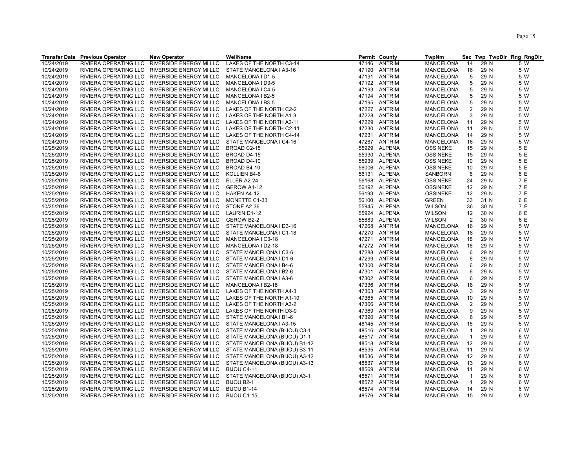| RIVIERA OPERATING LLC<br>RIVERSIDE ENERGY MI LLC<br>LAKES OF THE NORTH C3-14<br>47146<br><b>ANTRIM</b><br><b>MANCELONA</b><br>29 N<br>5 W<br>14<br>RIVIERA OPERATING LLC<br>RIVERSIDE ENERGY MI LLC<br>STATE MANCELONA I A3-16<br>47190<br>ANTRIM<br>MANCELONA<br>16<br>29 N<br>5 W<br>5<br>10/24/2019<br>RIVIERA OPERATING LLC<br>RIVERSIDE ENERGY MI LLC<br><b>ANTRIM</b><br>MANCELONA<br>29 N<br>5 W<br>MANCELONA I D1-5<br>47191<br>10/24/2019<br>RIVIERA OPERATING LLC<br>RIVERSIDE ENERGY MI LLC<br>MANCELONA I D3-5<br>47192<br>ANTRIM<br>MANCELONA<br>5<br>29 N<br>5 W<br>10/24/2019<br>RIVIERA OPERATING LLC<br>RIVERSIDE ENERGY MI LLC<br>MANCELONA I C4-5<br>47193<br><b>ANTRIM</b><br><b>MANCELONA</b><br>5<br>29 N<br>5 W<br>10/24/2019<br>RIVIERA OPERATING LLC<br>ANTRIM<br>5<br>5 W<br>RIVERSIDE ENERGY MI LLC<br>MANCELONA I B2-5<br>47194<br>MANCELONA<br>29 N<br>10/24/2019<br>5<br>RIVIERA OPERATING LLC<br>RIVERSIDE ENERGY MI LLC<br>MANCELONA I B3-5<br>47195<br>ANTRIM<br>MANCELONA<br>29 N<br>5 W<br>10/24/2019<br>RIVIERA OPERATING LLC<br>RIVERSIDE ENERGY MI LLC<br>LAKES OF THE NORTH C2-2<br>47227 ANTRIM<br>MANCELONA<br>2<br>29 N<br>5 W<br>3<br>10/24/2019<br>RIVIERA OPERATING LLC<br>RIVERSIDE ENERGY MI LLC<br><b>ANTRIM</b><br>MANCELONA<br>29 N<br>5 W<br>LAKES OF THE NORTH A1-3<br>47228<br>10/24/2019<br>47229<br>ANTRIM<br><b>MANCELONA</b><br>29 N<br>5 W<br>RIVIERA OPERATING LLC RIVERSIDE ENERGY MI LLC<br>LAKES OF THE NORTH A2-11<br>11<br>10/24/2019<br>ANTRIM<br>5 W<br>RIVIERA OPERATING LLC RIVERSIDE ENERGY MI LLC<br>LAKES OF THE NORTH C2-11<br>47230<br><b>MANCELONA</b><br>11<br>29 N<br>10/24/2019<br><b>ANTRIM</b><br>29 N<br>5 W<br>RIVIERA OPERATING LLC<br>RIVERSIDE ENERGY MI LLC<br>LAKES OF THE NORTH C4-14<br>47231<br><b>MANCELONA</b><br>14<br>10/24/2019<br>RIVIERA OPERATING LLC<br>RIVERSIDE ENERGY MI LLC<br>STATE MANCELONA I C4-16<br>47267 ANTRIM<br>MANCELONA<br>16<br>29 N<br>5 W<br><b>ALPENA</b><br>10/25/2019<br>RIVIERA OPERATING LLC<br>RIVERSIDE ENERGY MI LLC<br>BROAD C2-15<br><b>OSSINEKE</b><br>15<br>29 N<br>5 E<br>55929<br>5 E<br>10/25/2019<br>RIVIERA OPERATING LLC<br>RIVERSIDE ENERGY MI LLC<br>BROAD D4-15<br>ALPENA<br><b>OSSINEKE</b><br>15<br>29 N<br>55930<br>5 E<br>55939 ALPENA<br>10/25/2019<br>RIVIERA OPERATING LLC RIVERSIDE ENERGY MI LLC<br>BROAD D4-10<br><b>OSSINEKE</b><br>10<br>29 N<br><b>ALPENA</b><br>5 E<br>10/25/2019<br>RIVERSIDE ENERGY MI LLC<br>29 N<br>RIVIERA OPERATING LLC<br>BROAD B4-10<br>56006<br><b>OSSINEKE</b><br>10<br>56131 ALPENA<br>8 E<br>10/25/2019<br>RIVIERA OPERATING LLC<br>RIVERSIDE ENERGY MI LLC<br>KOLLIEN B4-8<br>SANBORN<br>8<br>29 N<br>7 E<br>10/25/2019<br>RIVIERA OPERATING LLC RIVERSIDE ENERGY MI LLC<br>ELLER A2-24<br>ALPENA<br>24<br>29 N<br>56168<br><b>OSSINEKE</b><br>7 E<br>10/25/2019<br>RIVIERA OPERATING LLC RIVERSIDE ENERGY MI LLC<br>GEROW A1-12<br>56192 ALPENA<br>29 N<br><b>OSSINEKE</b><br>12<br>7 E<br>10/25/2019<br>RIVIERA OPERATING LLC RIVERSIDE ENERGY MI LLC<br>56193 ALPENA<br>29 N<br><b>HAKEN A4-12</b><br><b>OSSINEKE</b><br>12<br>6 E<br>10/25/2019<br>ALPENA<br>31 N<br>RIVIERA OPERATING LLC RIVERSIDE ENERGY MI LLC<br>MONETTE C1-33<br>56100<br><b>GREEN</b><br>33<br>7 E<br>10/25/2019<br>55945 ALPENA<br>30 N<br>RIVIERA OPERATING LLC<br>RIVERSIDE ENERGY MI LLC<br>STONE A2-36<br><b>WILSON</b><br>36<br>6 E<br>10/25/2019<br>RIVIERA OPERATING LLC<br>RIVERSIDE ENERGY MI LLC<br>LAURIN D1-12<br>ALPENA<br><b>WILSON</b><br>12<br>30 N<br>55924<br>$\overline{c}$<br>6 E<br>10/25/2019<br>RIVIERA OPERATING LLC<br>55883 ALPENA<br>30 N<br>RIVERSIDE ENERGY MI LLC<br>GEROW B2-2<br><b>WILSON</b><br>10/25/2019<br>RIVIERA OPERATING LLC<br>RIVERSIDE ENERGY MI LLC<br>ANTRIM<br>29 N<br>5 W<br>STATE MANCELONA I D3-16<br>47268<br><b>MANCELONA</b><br>16<br>10/25/2019<br>ANTRIM<br>RIVIERA OPERATING LLC RIVERSIDE ENERGY MI LLC<br>STATE MANCELONA I C1-18<br>47270<br>MANCELONA<br>18<br>29 N<br>5 W<br>10/25/2019<br>47271 ANTRIM<br>5 W<br>RIVIERA OPERATING LLC RIVERSIDE ENERGY MI LLC<br>MANCELONA I C3-18<br><b>MANCELONA</b><br>18<br>29 N<br>10/25/2019<br>RIVIERA OPERATING LLC<br>RIVERSIDE ENERGY MI LLC<br>MANCELONA I D2-18<br>47272<br>ANTRIM<br>MANCELONA<br>18<br>29 N<br>5 W<br>10/25/2019<br>5 W<br>RIVIERA OPERATING LLC RIVERSIDE ENERGY MI LLC<br>STATE MANCELONA I C3-6<br>47288<br>ANTRIM<br>MANCELONA<br>6<br>29 N<br>RIVIERA OPERATING LLC RIVERSIDE ENERGY MI LLC<br>STATE MANCELONA I D1-6<br>47299<br>ANTRIM<br><b>MANCELONA</b><br>6<br>29 N<br>5 W<br>ANTRIM<br>29 N<br>5 W<br>RIVIERA OPERATING LLC RIVERSIDE ENERGY MI LLC<br>STATE MANCELONA I B4-6<br>47300<br>MANCELONA<br>6<br><b>ANTRIM</b><br>5 W<br>RIVIERA OPERATING LLC RIVERSIDE ENERGY MI LLC<br>STATE MANCELONA I B2-6<br>47301<br>MANCELONA<br>6<br>29 N<br><b>ANTRIM</b><br>RIVIERA OPERATING LLC<br>RIVERSIDE ENERGY MI LLC<br>STATE MANCELONA I A3-6<br>47302<br>MANCELONA<br>6<br>29 N<br>5 W<br>RIVIERA OPERATING LLC<br>RIVERSIDE ENERGY MI LLC<br>ANTRIM<br>29 N<br>5 W<br>MANCELONA I B2-18<br>47336<br>MANCELONA<br>18<br>ANTRIM<br>3<br>RIVIERA OPERATING LLC<br>RIVERSIDE ENERGY MI LLC<br>LAKES OF THE NORTH A4-3<br>47363<br>MANCELONA<br>29 N<br>5 W<br>ANTRIM<br>29 N<br>5 W<br>RIVIERA OPERATING LLC RIVERSIDE ENERGY MI LLC<br>LAKES OF THE NORTH A1-10<br>47365<br>MANCELONA<br>10<br>RIVIERA OPERATING LLC RIVERSIDE ENERGY MI LLC<br>LAKES OF THE NORTH A3-2<br>47366<br>ANTRIM<br>MANCELONA<br>2<br>29 N<br>5 W<br><b>ANTRIM</b><br>5 W<br>RIVIERA OPERATING LLC<br>RIVERSIDE ENERGY MI LLC<br>LAKES OF THE NORTH D3-9<br>47369<br>MANCELONA<br>9<br>29 N<br>RIVIERA OPERATING LLC<br>RIVERSIDE ENERGY MI LLC<br>STATE MANCELONA I B1-6<br>47390<br>ANTRIM<br>MANCELONA<br>6<br>29 N<br>5 W<br>RIVIERA OPERATING LLC<br>RIVERSIDE ENERGY MI LLC<br>STATE MANCELONA I A3-15<br>48145<br>ANTRIM<br>MANCELONA<br>15<br>29 N<br>5 W<br>10/25/2019<br>RIVIERA OPERATING LLC<br>RIVERSIDE ENERGY MI LLC<br>STATE MANCELONA (BIJOU) C3-1<br>ANTRIM<br><b>MANCELONA</b><br>6 W<br>48516<br>$\mathbf{1}$<br>29 N<br>10/25/2019<br>STATE MANCELONA (BIJOU) D1-1<br>6 W<br>RIVIERA OPERATING LLC<br>RIVERSIDE ENERGY MI LLC<br>48517<br>ANTRIM<br>MANCELONA<br>$\overline{1}$<br>29 N<br><b>ANTRIM</b><br>10/25/2019<br>RIVIERA OPERATING LLC<br>RIVERSIDE ENERGY MI LLC<br>STATE MANCELONA (BIJOU) B1-12<br>48518<br>MANCELONA<br>12<br>29 N<br>6 W<br>10/25/2019<br>RIVIERA OPERATING LLC<br>RIVERSIDE ENERGY MI LLC<br>STATE MANCELONA (BIJOU) B3-11<br>ANTRIM<br>MANCELONA<br>29 N<br>6 W<br>48535<br>11<br>10/25/2019<br>ANTRIM<br>12<br>29 N<br>6 W<br>RIVIERA OPERATING LLC<br>RIVERSIDE ENERGY MI LLC<br>STATE MANCELONA (BIJOU) A3-12<br>48536<br>MANCELONA<br>6 W<br>10/25/2019<br>RIVIERA OPERATING LLC<br>RIVERSIDE ENERGY MI LLC<br>STATE MANCELONA (BIJOU) A3-13<br>48537 ANTRIM<br><b>MANCELONA</b><br>13<br>29 N<br>10/25/2019<br>ANTRIM<br>6 W<br>RIVIERA OPERATING LLC RIVERSIDE ENERGY MI LLC<br>BIJOU C4-11<br>48569<br>MANCELONA<br>11<br>29 N<br>10/25/2019<br>RIVIERA OPERATING LLC RIVERSIDE ENERGY MI LLC<br>STATE MANCELONA (BIJOU) A3-1<br>48571<br>ANTRIM<br>MANCELONA<br>29 N<br>6 W<br>$\mathbf 1$<br>RIVIERA OPERATING LLC RIVERSIDE ENERGY MI LLC<br>48572 ANTRIM<br>29 N |            | <b>Transfer Date Previous Operator</b> | <b>New Operator</b> | WellName   | Permit County | <b>TwpNm</b> |                |  | Sec Twp TwpDir Rng RngDir |
|---------------------------------------------------------------------------------------------------------------------------------------------------------------------------------------------------------------------------------------------------------------------------------------------------------------------------------------------------------------------------------------------------------------------------------------------------------------------------------------------------------------------------------------------------------------------------------------------------------------------------------------------------------------------------------------------------------------------------------------------------------------------------------------------------------------------------------------------------------------------------------------------------------------------------------------------------------------------------------------------------------------------------------------------------------------------------------------------------------------------------------------------------------------------------------------------------------------------------------------------------------------------------------------------------------------------------------------------------------------------------------------------------------------------------------------------------------------------------------------------------------------------------------------------------------------------------------------------------------------------------------------------------------------------------------------------------------------------------------------------------------------------------------------------------------------------------------------------------------------------------------------------------------------------------------------------------------------------------------------------------------------------------------------------------------------------------------------------------------------------------------------------------------------------------------------------------------------------------------------------------------------------------------------------------------------------------------------------------------------------------------------------------------------------------------------------------------------------------------------------------------------------------------------------------------------------------------------------------------------------------------------------------------------------------------------------------------------------------------------------------------------------------------------------------------------------------------------------------------------------------------------------------------------------------------------------------------------------------------------------------------------------------------------------------------------------------------------------------------------------------------------------------------------------------------------------------------------------------------------------------------------------------------------------------------------------------------------------------------------------------------------------------------------------------------------------------------------------------------------------------------------------------------------------------------------------------------------------------------------------------------------------------------------------------------------------------------------------------------------------------------------------------------------------------------------------------------------------------------------------------------------------------------------------------------------------------------------------------------------------------------------------------------------------------------------------------------------------------------------------------------------------------------------------------------------------------------------------------------------------------------------------------------------------------------------------------------------------------------------------------------------------------------------------------------------------------------------------------------------------------------------------------------------------------------------------------------------------------------------------------------------------------------------------------------------------------------------------------------------------------------------------------------------------------------------------------------------------------------------------------------------------------------------------------------------------------------------------------------------------------------------------------------------------------------------------------------------------------------------------------------------------------------------------------------------------------------------------------------------------------------------------------------------------------------------------------------------------------------------------------------------------------------------------------------------------------------------------------------------------------------------------------------------------------------------------------------------------------------------------------------------------------------------------------------------------------------------------------------------------------------------------------------------------------------------------------------------------------------------------------------------------------------------------------------------------------------------------------------------------------------------------------------------------------------------------------------------------------------------------------------------------------------------------------------------------------------------------------------------------------------------------------------------------------------------------------------------------------------------------------------------------------------------------------------------------------------------------------------------------------------------------------------------------------------------------------------------------------------------------------------------------------------------------------------------------------------------------------------------------------------------------------------------------------------------------------------------------------------------------------------------------------------------------------------------------------------------------------------------------------------------------------------------------------------------------------------------------------------------------------------------------------------------------------------------------------------------------------------------------------------------------------------------------------------------------|------------|----------------------------------------|---------------------|------------|---------------|--------------|----------------|--|---------------------------|
|                                                                                                                                                                                                                                                                                                                                                                                                                                                                                                                                                                                                                                                                                                                                                                                                                                                                                                                                                                                                                                                                                                                                                                                                                                                                                                                                                                                                                                                                                                                                                                                                                                                                                                                                                                                                                                                                                                                                                                                                                                                                                                                                                                                                                                                                                                                                                                                                                                                                                                                                                                                                                                                                                                                                                                                                                                                                                                                                                                                                                                                                                                                                                                                                                                                                                                                                                                                                                                                                                                                                                                                                                                                                                                                                                                                                                                                                                                                                                                                                                                                                                                                                                                                                                                                                                                                                                                                                                                                                                                                                                                                                                                                                                                                                                                                                                                                                                                                                                                                                                                                                                                                                                                                                                                                                                                                                                                                                                                                                                                                                                                                                                                                                                                                                                                                                                                                                                                                                                                                                                                                                                                                                                                                                                                                                                                                                                                                                                                                                                                                                                                                                                                                                                                                                                                                                                                                                                                                                                                                                                                                                                                                                                                                                                                                                                                                     | 10/24/2019 |                                        |                     |            |               |              |                |  |                           |
|                                                                                                                                                                                                                                                                                                                                                                                                                                                                                                                                                                                                                                                                                                                                                                                                                                                                                                                                                                                                                                                                                                                                                                                                                                                                                                                                                                                                                                                                                                                                                                                                                                                                                                                                                                                                                                                                                                                                                                                                                                                                                                                                                                                                                                                                                                                                                                                                                                                                                                                                                                                                                                                                                                                                                                                                                                                                                                                                                                                                                                                                                                                                                                                                                                                                                                                                                                                                                                                                                                                                                                                                                                                                                                                                                                                                                                                                                                                                                                                                                                                                                                                                                                                                                                                                                                                                                                                                                                                                                                                                                                                                                                                                                                                                                                                                                                                                                                                                                                                                                                                                                                                                                                                                                                                                                                                                                                                                                                                                                                                                                                                                                                                                                                                                                                                                                                                                                                                                                                                                                                                                                                                                                                                                                                                                                                                                                                                                                                                                                                                                                                                                                                                                                                                                                                                                                                                                                                                                                                                                                                                                                                                                                                                                                                                                                                                     | 10/24/2019 |                                        |                     |            |               |              |                |  |                           |
|                                                                                                                                                                                                                                                                                                                                                                                                                                                                                                                                                                                                                                                                                                                                                                                                                                                                                                                                                                                                                                                                                                                                                                                                                                                                                                                                                                                                                                                                                                                                                                                                                                                                                                                                                                                                                                                                                                                                                                                                                                                                                                                                                                                                                                                                                                                                                                                                                                                                                                                                                                                                                                                                                                                                                                                                                                                                                                                                                                                                                                                                                                                                                                                                                                                                                                                                                                                                                                                                                                                                                                                                                                                                                                                                                                                                                                                                                                                                                                                                                                                                                                                                                                                                                                                                                                                                                                                                                                                                                                                                                                                                                                                                                                                                                                                                                                                                                                                                                                                                                                                                                                                                                                                                                                                                                                                                                                                                                                                                                                                                                                                                                                                                                                                                                                                                                                                                                                                                                                                                                                                                                                                                                                                                                                                                                                                                                                                                                                                                                                                                                                                                                                                                                                                                                                                                                                                                                                                                                                                                                                                                                                                                                                                                                                                                                                                     |            |                                        |                     |            |               |              |                |  |                           |
|                                                                                                                                                                                                                                                                                                                                                                                                                                                                                                                                                                                                                                                                                                                                                                                                                                                                                                                                                                                                                                                                                                                                                                                                                                                                                                                                                                                                                                                                                                                                                                                                                                                                                                                                                                                                                                                                                                                                                                                                                                                                                                                                                                                                                                                                                                                                                                                                                                                                                                                                                                                                                                                                                                                                                                                                                                                                                                                                                                                                                                                                                                                                                                                                                                                                                                                                                                                                                                                                                                                                                                                                                                                                                                                                                                                                                                                                                                                                                                                                                                                                                                                                                                                                                                                                                                                                                                                                                                                                                                                                                                                                                                                                                                                                                                                                                                                                                                                                                                                                                                                                                                                                                                                                                                                                                                                                                                                                                                                                                                                                                                                                                                                                                                                                                                                                                                                                                                                                                                                                                                                                                                                                                                                                                                                                                                                                                                                                                                                                                                                                                                                                                                                                                                                                                                                                                                                                                                                                                                                                                                                                                                                                                                                                                                                                                                                     |            |                                        |                     |            |               |              |                |  |                           |
|                                                                                                                                                                                                                                                                                                                                                                                                                                                                                                                                                                                                                                                                                                                                                                                                                                                                                                                                                                                                                                                                                                                                                                                                                                                                                                                                                                                                                                                                                                                                                                                                                                                                                                                                                                                                                                                                                                                                                                                                                                                                                                                                                                                                                                                                                                                                                                                                                                                                                                                                                                                                                                                                                                                                                                                                                                                                                                                                                                                                                                                                                                                                                                                                                                                                                                                                                                                                                                                                                                                                                                                                                                                                                                                                                                                                                                                                                                                                                                                                                                                                                                                                                                                                                                                                                                                                                                                                                                                                                                                                                                                                                                                                                                                                                                                                                                                                                                                                                                                                                                                                                                                                                                                                                                                                                                                                                                                                                                                                                                                                                                                                                                                                                                                                                                                                                                                                                                                                                                                                                                                                                                                                                                                                                                                                                                                                                                                                                                                                                                                                                                                                                                                                                                                                                                                                                                                                                                                                                                                                                                                                                                                                                                                                                                                                                                                     |            |                                        |                     |            |               |              |                |  |                           |
|                                                                                                                                                                                                                                                                                                                                                                                                                                                                                                                                                                                                                                                                                                                                                                                                                                                                                                                                                                                                                                                                                                                                                                                                                                                                                                                                                                                                                                                                                                                                                                                                                                                                                                                                                                                                                                                                                                                                                                                                                                                                                                                                                                                                                                                                                                                                                                                                                                                                                                                                                                                                                                                                                                                                                                                                                                                                                                                                                                                                                                                                                                                                                                                                                                                                                                                                                                                                                                                                                                                                                                                                                                                                                                                                                                                                                                                                                                                                                                                                                                                                                                                                                                                                                                                                                                                                                                                                                                                                                                                                                                                                                                                                                                                                                                                                                                                                                                                                                                                                                                                                                                                                                                                                                                                                                                                                                                                                                                                                                                                                                                                                                                                                                                                                                                                                                                                                                                                                                                                                                                                                                                                                                                                                                                                                                                                                                                                                                                                                                                                                                                                                                                                                                                                                                                                                                                                                                                                                                                                                                                                                                                                                                                                                                                                                                                                     |            |                                        |                     |            |               |              |                |  |                           |
|                                                                                                                                                                                                                                                                                                                                                                                                                                                                                                                                                                                                                                                                                                                                                                                                                                                                                                                                                                                                                                                                                                                                                                                                                                                                                                                                                                                                                                                                                                                                                                                                                                                                                                                                                                                                                                                                                                                                                                                                                                                                                                                                                                                                                                                                                                                                                                                                                                                                                                                                                                                                                                                                                                                                                                                                                                                                                                                                                                                                                                                                                                                                                                                                                                                                                                                                                                                                                                                                                                                                                                                                                                                                                                                                                                                                                                                                                                                                                                                                                                                                                                                                                                                                                                                                                                                                                                                                                                                                                                                                                                                                                                                                                                                                                                                                                                                                                                                                                                                                                                                                                                                                                                                                                                                                                                                                                                                                                                                                                                                                                                                                                                                                                                                                                                                                                                                                                                                                                                                                                                                                                                                                                                                                                                                                                                                                                                                                                                                                                                                                                                                                                                                                                                                                                                                                                                                                                                                                                                                                                                                                                                                                                                                                                                                                                                                     |            |                                        |                     |            |               |              |                |  |                           |
|                                                                                                                                                                                                                                                                                                                                                                                                                                                                                                                                                                                                                                                                                                                                                                                                                                                                                                                                                                                                                                                                                                                                                                                                                                                                                                                                                                                                                                                                                                                                                                                                                                                                                                                                                                                                                                                                                                                                                                                                                                                                                                                                                                                                                                                                                                                                                                                                                                                                                                                                                                                                                                                                                                                                                                                                                                                                                                                                                                                                                                                                                                                                                                                                                                                                                                                                                                                                                                                                                                                                                                                                                                                                                                                                                                                                                                                                                                                                                                                                                                                                                                                                                                                                                                                                                                                                                                                                                                                                                                                                                                                                                                                                                                                                                                                                                                                                                                                                                                                                                                                                                                                                                                                                                                                                                                                                                                                                                                                                                                                                                                                                                                                                                                                                                                                                                                                                                                                                                                                                                                                                                                                                                                                                                                                                                                                                                                                                                                                                                                                                                                                                                                                                                                                                                                                                                                                                                                                                                                                                                                                                                                                                                                                                                                                                                                                     |            |                                        |                     |            |               |              |                |  |                           |
|                                                                                                                                                                                                                                                                                                                                                                                                                                                                                                                                                                                                                                                                                                                                                                                                                                                                                                                                                                                                                                                                                                                                                                                                                                                                                                                                                                                                                                                                                                                                                                                                                                                                                                                                                                                                                                                                                                                                                                                                                                                                                                                                                                                                                                                                                                                                                                                                                                                                                                                                                                                                                                                                                                                                                                                                                                                                                                                                                                                                                                                                                                                                                                                                                                                                                                                                                                                                                                                                                                                                                                                                                                                                                                                                                                                                                                                                                                                                                                                                                                                                                                                                                                                                                                                                                                                                                                                                                                                                                                                                                                                                                                                                                                                                                                                                                                                                                                                                                                                                                                                                                                                                                                                                                                                                                                                                                                                                                                                                                                                                                                                                                                                                                                                                                                                                                                                                                                                                                                                                                                                                                                                                                                                                                                                                                                                                                                                                                                                                                                                                                                                                                                                                                                                                                                                                                                                                                                                                                                                                                                                                                                                                                                                                                                                                                                                     |            |                                        |                     |            |               |              |                |  |                           |
|                                                                                                                                                                                                                                                                                                                                                                                                                                                                                                                                                                                                                                                                                                                                                                                                                                                                                                                                                                                                                                                                                                                                                                                                                                                                                                                                                                                                                                                                                                                                                                                                                                                                                                                                                                                                                                                                                                                                                                                                                                                                                                                                                                                                                                                                                                                                                                                                                                                                                                                                                                                                                                                                                                                                                                                                                                                                                                                                                                                                                                                                                                                                                                                                                                                                                                                                                                                                                                                                                                                                                                                                                                                                                                                                                                                                                                                                                                                                                                                                                                                                                                                                                                                                                                                                                                                                                                                                                                                                                                                                                                                                                                                                                                                                                                                                                                                                                                                                                                                                                                                                                                                                                                                                                                                                                                                                                                                                                                                                                                                                                                                                                                                                                                                                                                                                                                                                                                                                                                                                                                                                                                                                                                                                                                                                                                                                                                                                                                                                                                                                                                                                                                                                                                                                                                                                                                                                                                                                                                                                                                                                                                                                                                                                                                                                                                                     |            |                                        |                     |            |               |              |                |  |                           |
|                                                                                                                                                                                                                                                                                                                                                                                                                                                                                                                                                                                                                                                                                                                                                                                                                                                                                                                                                                                                                                                                                                                                                                                                                                                                                                                                                                                                                                                                                                                                                                                                                                                                                                                                                                                                                                                                                                                                                                                                                                                                                                                                                                                                                                                                                                                                                                                                                                                                                                                                                                                                                                                                                                                                                                                                                                                                                                                                                                                                                                                                                                                                                                                                                                                                                                                                                                                                                                                                                                                                                                                                                                                                                                                                                                                                                                                                                                                                                                                                                                                                                                                                                                                                                                                                                                                                                                                                                                                                                                                                                                                                                                                                                                                                                                                                                                                                                                                                                                                                                                                                                                                                                                                                                                                                                                                                                                                                                                                                                                                                                                                                                                                                                                                                                                                                                                                                                                                                                                                                                                                                                                                                                                                                                                                                                                                                                                                                                                                                                                                                                                                                                                                                                                                                                                                                                                                                                                                                                                                                                                                                                                                                                                                                                                                                                                                     |            |                                        |                     |            |               |              |                |  |                           |
|                                                                                                                                                                                                                                                                                                                                                                                                                                                                                                                                                                                                                                                                                                                                                                                                                                                                                                                                                                                                                                                                                                                                                                                                                                                                                                                                                                                                                                                                                                                                                                                                                                                                                                                                                                                                                                                                                                                                                                                                                                                                                                                                                                                                                                                                                                                                                                                                                                                                                                                                                                                                                                                                                                                                                                                                                                                                                                                                                                                                                                                                                                                                                                                                                                                                                                                                                                                                                                                                                                                                                                                                                                                                                                                                                                                                                                                                                                                                                                                                                                                                                                                                                                                                                                                                                                                                                                                                                                                                                                                                                                                                                                                                                                                                                                                                                                                                                                                                                                                                                                                                                                                                                                                                                                                                                                                                                                                                                                                                                                                                                                                                                                                                                                                                                                                                                                                                                                                                                                                                                                                                                                                                                                                                                                                                                                                                                                                                                                                                                                                                                                                                                                                                                                                                                                                                                                                                                                                                                                                                                                                                                                                                                                                                                                                                                                                     |            |                                        |                     |            |               |              |                |  |                           |
|                                                                                                                                                                                                                                                                                                                                                                                                                                                                                                                                                                                                                                                                                                                                                                                                                                                                                                                                                                                                                                                                                                                                                                                                                                                                                                                                                                                                                                                                                                                                                                                                                                                                                                                                                                                                                                                                                                                                                                                                                                                                                                                                                                                                                                                                                                                                                                                                                                                                                                                                                                                                                                                                                                                                                                                                                                                                                                                                                                                                                                                                                                                                                                                                                                                                                                                                                                                                                                                                                                                                                                                                                                                                                                                                                                                                                                                                                                                                                                                                                                                                                                                                                                                                                                                                                                                                                                                                                                                                                                                                                                                                                                                                                                                                                                                                                                                                                                                                                                                                                                                                                                                                                                                                                                                                                                                                                                                                                                                                                                                                                                                                                                                                                                                                                                                                                                                                                                                                                                                                                                                                                                                                                                                                                                                                                                                                                                                                                                                                                                                                                                                                                                                                                                                                                                                                                                                                                                                                                                                                                                                                                                                                                                                                                                                                                                                     |            |                                        |                     |            |               |              |                |  |                           |
|                                                                                                                                                                                                                                                                                                                                                                                                                                                                                                                                                                                                                                                                                                                                                                                                                                                                                                                                                                                                                                                                                                                                                                                                                                                                                                                                                                                                                                                                                                                                                                                                                                                                                                                                                                                                                                                                                                                                                                                                                                                                                                                                                                                                                                                                                                                                                                                                                                                                                                                                                                                                                                                                                                                                                                                                                                                                                                                                                                                                                                                                                                                                                                                                                                                                                                                                                                                                                                                                                                                                                                                                                                                                                                                                                                                                                                                                                                                                                                                                                                                                                                                                                                                                                                                                                                                                                                                                                                                                                                                                                                                                                                                                                                                                                                                                                                                                                                                                                                                                                                                                                                                                                                                                                                                                                                                                                                                                                                                                                                                                                                                                                                                                                                                                                                                                                                                                                                                                                                                                                                                                                                                                                                                                                                                                                                                                                                                                                                                                                                                                                                                                                                                                                                                                                                                                                                                                                                                                                                                                                                                                                                                                                                                                                                                                                                                     |            |                                        |                     |            |               |              |                |  |                           |
|                                                                                                                                                                                                                                                                                                                                                                                                                                                                                                                                                                                                                                                                                                                                                                                                                                                                                                                                                                                                                                                                                                                                                                                                                                                                                                                                                                                                                                                                                                                                                                                                                                                                                                                                                                                                                                                                                                                                                                                                                                                                                                                                                                                                                                                                                                                                                                                                                                                                                                                                                                                                                                                                                                                                                                                                                                                                                                                                                                                                                                                                                                                                                                                                                                                                                                                                                                                                                                                                                                                                                                                                                                                                                                                                                                                                                                                                                                                                                                                                                                                                                                                                                                                                                                                                                                                                                                                                                                                                                                                                                                                                                                                                                                                                                                                                                                                                                                                                                                                                                                                                                                                                                                                                                                                                                                                                                                                                                                                                                                                                                                                                                                                                                                                                                                                                                                                                                                                                                                                                                                                                                                                                                                                                                                                                                                                                                                                                                                                                                                                                                                                                                                                                                                                                                                                                                                                                                                                                                                                                                                                                                                                                                                                                                                                                                                                     |            |                                        |                     |            |               |              |                |  |                           |
|                                                                                                                                                                                                                                                                                                                                                                                                                                                                                                                                                                                                                                                                                                                                                                                                                                                                                                                                                                                                                                                                                                                                                                                                                                                                                                                                                                                                                                                                                                                                                                                                                                                                                                                                                                                                                                                                                                                                                                                                                                                                                                                                                                                                                                                                                                                                                                                                                                                                                                                                                                                                                                                                                                                                                                                                                                                                                                                                                                                                                                                                                                                                                                                                                                                                                                                                                                                                                                                                                                                                                                                                                                                                                                                                                                                                                                                                                                                                                                                                                                                                                                                                                                                                                                                                                                                                                                                                                                                                                                                                                                                                                                                                                                                                                                                                                                                                                                                                                                                                                                                                                                                                                                                                                                                                                                                                                                                                                                                                                                                                                                                                                                                                                                                                                                                                                                                                                                                                                                                                                                                                                                                                                                                                                                                                                                                                                                                                                                                                                                                                                                                                                                                                                                                                                                                                                                                                                                                                                                                                                                                                                                                                                                                                                                                                                                                     |            |                                        |                     |            |               |              |                |  |                           |
|                                                                                                                                                                                                                                                                                                                                                                                                                                                                                                                                                                                                                                                                                                                                                                                                                                                                                                                                                                                                                                                                                                                                                                                                                                                                                                                                                                                                                                                                                                                                                                                                                                                                                                                                                                                                                                                                                                                                                                                                                                                                                                                                                                                                                                                                                                                                                                                                                                                                                                                                                                                                                                                                                                                                                                                                                                                                                                                                                                                                                                                                                                                                                                                                                                                                                                                                                                                                                                                                                                                                                                                                                                                                                                                                                                                                                                                                                                                                                                                                                                                                                                                                                                                                                                                                                                                                                                                                                                                                                                                                                                                                                                                                                                                                                                                                                                                                                                                                                                                                                                                                                                                                                                                                                                                                                                                                                                                                                                                                                                                                                                                                                                                                                                                                                                                                                                                                                                                                                                                                                                                                                                                                                                                                                                                                                                                                                                                                                                                                                                                                                                                                                                                                                                                                                                                                                                                                                                                                                                                                                                                                                                                                                                                                                                                                                                                     |            |                                        |                     |            |               |              |                |  |                           |
|                                                                                                                                                                                                                                                                                                                                                                                                                                                                                                                                                                                                                                                                                                                                                                                                                                                                                                                                                                                                                                                                                                                                                                                                                                                                                                                                                                                                                                                                                                                                                                                                                                                                                                                                                                                                                                                                                                                                                                                                                                                                                                                                                                                                                                                                                                                                                                                                                                                                                                                                                                                                                                                                                                                                                                                                                                                                                                                                                                                                                                                                                                                                                                                                                                                                                                                                                                                                                                                                                                                                                                                                                                                                                                                                                                                                                                                                                                                                                                                                                                                                                                                                                                                                                                                                                                                                                                                                                                                                                                                                                                                                                                                                                                                                                                                                                                                                                                                                                                                                                                                                                                                                                                                                                                                                                                                                                                                                                                                                                                                                                                                                                                                                                                                                                                                                                                                                                                                                                                                                                                                                                                                                                                                                                                                                                                                                                                                                                                                                                                                                                                                                                                                                                                                                                                                                                                                                                                                                                                                                                                                                                                                                                                                                                                                                                                                     |            |                                        |                     |            |               |              |                |  |                           |
|                                                                                                                                                                                                                                                                                                                                                                                                                                                                                                                                                                                                                                                                                                                                                                                                                                                                                                                                                                                                                                                                                                                                                                                                                                                                                                                                                                                                                                                                                                                                                                                                                                                                                                                                                                                                                                                                                                                                                                                                                                                                                                                                                                                                                                                                                                                                                                                                                                                                                                                                                                                                                                                                                                                                                                                                                                                                                                                                                                                                                                                                                                                                                                                                                                                                                                                                                                                                                                                                                                                                                                                                                                                                                                                                                                                                                                                                                                                                                                                                                                                                                                                                                                                                                                                                                                                                                                                                                                                                                                                                                                                                                                                                                                                                                                                                                                                                                                                                                                                                                                                                                                                                                                                                                                                                                                                                                                                                                                                                                                                                                                                                                                                                                                                                                                                                                                                                                                                                                                                                                                                                                                                                                                                                                                                                                                                                                                                                                                                                                                                                                                                                                                                                                                                                                                                                                                                                                                                                                                                                                                                                                                                                                                                                                                                                                                                     |            |                                        |                     |            |               |              |                |  |                           |
|                                                                                                                                                                                                                                                                                                                                                                                                                                                                                                                                                                                                                                                                                                                                                                                                                                                                                                                                                                                                                                                                                                                                                                                                                                                                                                                                                                                                                                                                                                                                                                                                                                                                                                                                                                                                                                                                                                                                                                                                                                                                                                                                                                                                                                                                                                                                                                                                                                                                                                                                                                                                                                                                                                                                                                                                                                                                                                                                                                                                                                                                                                                                                                                                                                                                                                                                                                                                                                                                                                                                                                                                                                                                                                                                                                                                                                                                                                                                                                                                                                                                                                                                                                                                                                                                                                                                                                                                                                                                                                                                                                                                                                                                                                                                                                                                                                                                                                                                                                                                                                                                                                                                                                                                                                                                                                                                                                                                                                                                                                                                                                                                                                                                                                                                                                                                                                                                                                                                                                                                                                                                                                                                                                                                                                                                                                                                                                                                                                                                                                                                                                                                                                                                                                                                                                                                                                                                                                                                                                                                                                                                                                                                                                                                                                                                                                                     |            |                                        |                     |            |               |              |                |  |                           |
|                                                                                                                                                                                                                                                                                                                                                                                                                                                                                                                                                                                                                                                                                                                                                                                                                                                                                                                                                                                                                                                                                                                                                                                                                                                                                                                                                                                                                                                                                                                                                                                                                                                                                                                                                                                                                                                                                                                                                                                                                                                                                                                                                                                                                                                                                                                                                                                                                                                                                                                                                                                                                                                                                                                                                                                                                                                                                                                                                                                                                                                                                                                                                                                                                                                                                                                                                                                                                                                                                                                                                                                                                                                                                                                                                                                                                                                                                                                                                                                                                                                                                                                                                                                                                                                                                                                                                                                                                                                                                                                                                                                                                                                                                                                                                                                                                                                                                                                                                                                                                                                                                                                                                                                                                                                                                                                                                                                                                                                                                                                                                                                                                                                                                                                                                                                                                                                                                                                                                                                                                                                                                                                                                                                                                                                                                                                                                                                                                                                                                                                                                                                                                                                                                                                                                                                                                                                                                                                                                                                                                                                                                                                                                                                                                                                                                                                     |            |                                        |                     |            |               |              |                |  |                           |
|                                                                                                                                                                                                                                                                                                                                                                                                                                                                                                                                                                                                                                                                                                                                                                                                                                                                                                                                                                                                                                                                                                                                                                                                                                                                                                                                                                                                                                                                                                                                                                                                                                                                                                                                                                                                                                                                                                                                                                                                                                                                                                                                                                                                                                                                                                                                                                                                                                                                                                                                                                                                                                                                                                                                                                                                                                                                                                                                                                                                                                                                                                                                                                                                                                                                                                                                                                                                                                                                                                                                                                                                                                                                                                                                                                                                                                                                                                                                                                                                                                                                                                                                                                                                                                                                                                                                                                                                                                                                                                                                                                                                                                                                                                                                                                                                                                                                                                                                                                                                                                                                                                                                                                                                                                                                                                                                                                                                                                                                                                                                                                                                                                                                                                                                                                                                                                                                                                                                                                                                                                                                                                                                                                                                                                                                                                                                                                                                                                                                                                                                                                                                                                                                                                                                                                                                                                                                                                                                                                                                                                                                                                                                                                                                                                                                                                                     |            |                                        |                     |            |               |              |                |  |                           |
|                                                                                                                                                                                                                                                                                                                                                                                                                                                                                                                                                                                                                                                                                                                                                                                                                                                                                                                                                                                                                                                                                                                                                                                                                                                                                                                                                                                                                                                                                                                                                                                                                                                                                                                                                                                                                                                                                                                                                                                                                                                                                                                                                                                                                                                                                                                                                                                                                                                                                                                                                                                                                                                                                                                                                                                                                                                                                                                                                                                                                                                                                                                                                                                                                                                                                                                                                                                                                                                                                                                                                                                                                                                                                                                                                                                                                                                                                                                                                                                                                                                                                                                                                                                                                                                                                                                                                                                                                                                                                                                                                                                                                                                                                                                                                                                                                                                                                                                                                                                                                                                                                                                                                                                                                                                                                                                                                                                                                                                                                                                                                                                                                                                                                                                                                                                                                                                                                                                                                                                                                                                                                                                                                                                                                                                                                                                                                                                                                                                                                                                                                                                                                                                                                                                                                                                                                                                                                                                                                                                                                                                                                                                                                                                                                                                                                                                     |            |                                        |                     |            |               |              |                |  |                           |
|                                                                                                                                                                                                                                                                                                                                                                                                                                                                                                                                                                                                                                                                                                                                                                                                                                                                                                                                                                                                                                                                                                                                                                                                                                                                                                                                                                                                                                                                                                                                                                                                                                                                                                                                                                                                                                                                                                                                                                                                                                                                                                                                                                                                                                                                                                                                                                                                                                                                                                                                                                                                                                                                                                                                                                                                                                                                                                                                                                                                                                                                                                                                                                                                                                                                                                                                                                                                                                                                                                                                                                                                                                                                                                                                                                                                                                                                                                                                                                                                                                                                                                                                                                                                                                                                                                                                                                                                                                                                                                                                                                                                                                                                                                                                                                                                                                                                                                                                                                                                                                                                                                                                                                                                                                                                                                                                                                                                                                                                                                                                                                                                                                                                                                                                                                                                                                                                                                                                                                                                                                                                                                                                                                                                                                                                                                                                                                                                                                                                                                                                                                                                                                                                                                                                                                                                                                                                                                                                                                                                                                                                                                                                                                                                                                                                                                                     |            |                                        |                     |            |               |              |                |  |                           |
|                                                                                                                                                                                                                                                                                                                                                                                                                                                                                                                                                                                                                                                                                                                                                                                                                                                                                                                                                                                                                                                                                                                                                                                                                                                                                                                                                                                                                                                                                                                                                                                                                                                                                                                                                                                                                                                                                                                                                                                                                                                                                                                                                                                                                                                                                                                                                                                                                                                                                                                                                                                                                                                                                                                                                                                                                                                                                                                                                                                                                                                                                                                                                                                                                                                                                                                                                                                                                                                                                                                                                                                                                                                                                                                                                                                                                                                                                                                                                                                                                                                                                                                                                                                                                                                                                                                                                                                                                                                                                                                                                                                                                                                                                                                                                                                                                                                                                                                                                                                                                                                                                                                                                                                                                                                                                                                                                                                                                                                                                                                                                                                                                                                                                                                                                                                                                                                                                                                                                                                                                                                                                                                                                                                                                                                                                                                                                                                                                                                                                                                                                                                                                                                                                                                                                                                                                                                                                                                                                                                                                                                                                                                                                                                                                                                                                                                     |            |                                        |                     |            |               |              |                |  |                           |
|                                                                                                                                                                                                                                                                                                                                                                                                                                                                                                                                                                                                                                                                                                                                                                                                                                                                                                                                                                                                                                                                                                                                                                                                                                                                                                                                                                                                                                                                                                                                                                                                                                                                                                                                                                                                                                                                                                                                                                                                                                                                                                                                                                                                                                                                                                                                                                                                                                                                                                                                                                                                                                                                                                                                                                                                                                                                                                                                                                                                                                                                                                                                                                                                                                                                                                                                                                                                                                                                                                                                                                                                                                                                                                                                                                                                                                                                                                                                                                                                                                                                                                                                                                                                                                                                                                                                                                                                                                                                                                                                                                                                                                                                                                                                                                                                                                                                                                                                                                                                                                                                                                                                                                                                                                                                                                                                                                                                                                                                                                                                                                                                                                                                                                                                                                                                                                                                                                                                                                                                                                                                                                                                                                                                                                                                                                                                                                                                                                                                                                                                                                                                                                                                                                                                                                                                                                                                                                                                                                                                                                                                                                                                                                                                                                                                                                                     |            |                                        |                     |            |               |              |                |  |                           |
|                                                                                                                                                                                                                                                                                                                                                                                                                                                                                                                                                                                                                                                                                                                                                                                                                                                                                                                                                                                                                                                                                                                                                                                                                                                                                                                                                                                                                                                                                                                                                                                                                                                                                                                                                                                                                                                                                                                                                                                                                                                                                                                                                                                                                                                                                                                                                                                                                                                                                                                                                                                                                                                                                                                                                                                                                                                                                                                                                                                                                                                                                                                                                                                                                                                                                                                                                                                                                                                                                                                                                                                                                                                                                                                                                                                                                                                                                                                                                                                                                                                                                                                                                                                                                                                                                                                                                                                                                                                                                                                                                                                                                                                                                                                                                                                                                                                                                                                                                                                                                                                                                                                                                                                                                                                                                                                                                                                                                                                                                                                                                                                                                                                                                                                                                                                                                                                                                                                                                                                                                                                                                                                                                                                                                                                                                                                                                                                                                                                                                                                                                                                                                                                                                                                                                                                                                                                                                                                                                                                                                                                                                                                                                                                                                                                                                                                     |            |                                        |                     |            |               |              |                |  |                           |
|                                                                                                                                                                                                                                                                                                                                                                                                                                                                                                                                                                                                                                                                                                                                                                                                                                                                                                                                                                                                                                                                                                                                                                                                                                                                                                                                                                                                                                                                                                                                                                                                                                                                                                                                                                                                                                                                                                                                                                                                                                                                                                                                                                                                                                                                                                                                                                                                                                                                                                                                                                                                                                                                                                                                                                                                                                                                                                                                                                                                                                                                                                                                                                                                                                                                                                                                                                                                                                                                                                                                                                                                                                                                                                                                                                                                                                                                                                                                                                                                                                                                                                                                                                                                                                                                                                                                                                                                                                                                                                                                                                                                                                                                                                                                                                                                                                                                                                                                                                                                                                                                                                                                                                                                                                                                                                                                                                                                                                                                                                                                                                                                                                                                                                                                                                                                                                                                                                                                                                                                                                                                                                                                                                                                                                                                                                                                                                                                                                                                                                                                                                                                                                                                                                                                                                                                                                                                                                                                                                                                                                                                                                                                                                                                                                                                                                                     |            |                                        |                     |            |               |              |                |  |                           |
|                                                                                                                                                                                                                                                                                                                                                                                                                                                                                                                                                                                                                                                                                                                                                                                                                                                                                                                                                                                                                                                                                                                                                                                                                                                                                                                                                                                                                                                                                                                                                                                                                                                                                                                                                                                                                                                                                                                                                                                                                                                                                                                                                                                                                                                                                                                                                                                                                                                                                                                                                                                                                                                                                                                                                                                                                                                                                                                                                                                                                                                                                                                                                                                                                                                                                                                                                                                                                                                                                                                                                                                                                                                                                                                                                                                                                                                                                                                                                                                                                                                                                                                                                                                                                                                                                                                                                                                                                                                                                                                                                                                                                                                                                                                                                                                                                                                                                                                                                                                                                                                                                                                                                                                                                                                                                                                                                                                                                                                                                                                                                                                                                                                                                                                                                                                                                                                                                                                                                                                                                                                                                                                                                                                                                                                                                                                                                                                                                                                                                                                                                                                                                                                                                                                                                                                                                                                                                                                                                                                                                                                                                                                                                                                                                                                                                                                     |            |                                        |                     |            |               |              |                |  |                           |
|                                                                                                                                                                                                                                                                                                                                                                                                                                                                                                                                                                                                                                                                                                                                                                                                                                                                                                                                                                                                                                                                                                                                                                                                                                                                                                                                                                                                                                                                                                                                                                                                                                                                                                                                                                                                                                                                                                                                                                                                                                                                                                                                                                                                                                                                                                                                                                                                                                                                                                                                                                                                                                                                                                                                                                                                                                                                                                                                                                                                                                                                                                                                                                                                                                                                                                                                                                                                                                                                                                                                                                                                                                                                                                                                                                                                                                                                                                                                                                                                                                                                                                                                                                                                                                                                                                                                                                                                                                                                                                                                                                                                                                                                                                                                                                                                                                                                                                                                                                                                                                                                                                                                                                                                                                                                                                                                                                                                                                                                                                                                                                                                                                                                                                                                                                                                                                                                                                                                                                                                                                                                                                                                                                                                                                                                                                                                                                                                                                                                                                                                                                                                                                                                                                                                                                                                                                                                                                                                                                                                                                                                                                                                                                                                                                                                                                                     |            |                                        |                     |            |               |              |                |  |                           |
|                                                                                                                                                                                                                                                                                                                                                                                                                                                                                                                                                                                                                                                                                                                                                                                                                                                                                                                                                                                                                                                                                                                                                                                                                                                                                                                                                                                                                                                                                                                                                                                                                                                                                                                                                                                                                                                                                                                                                                                                                                                                                                                                                                                                                                                                                                                                                                                                                                                                                                                                                                                                                                                                                                                                                                                                                                                                                                                                                                                                                                                                                                                                                                                                                                                                                                                                                                                                                                                                                                                                                                                                                                                                                                                                                                                                                                                                                                                                                                                                                                                                                                                                                                                                                                                                                                                                                                                                                                                                                                                                                                                                                                                                                                                                                                                                                                                                                                                                                                                                                                                                                                                                                                                                                                                                                                                                                                                                                                                                                                                                                                                                                                                                                                                                                                                                                                                                                                                                                                                                                                                                                                                                                                                                                                                                                                                                                                                                                                                                                                                                                                                                                                                                                                                                                                                                                                                                                                                                                                                                                                                                                                                                                                                                                                                                                                                     |            |                                        |                     |            |               |              |                |  |                           |
|                                                                                                                                                                                                                                                                                                                                                                                                                                                                                                                                                                                                                                                                                                                                                                                                                                                                                                                                                                                                                                                                                                                                                                                                                                                                                                                                                                                                                                                                                                                                                                                                                                                                                                                                                                                                                                                                                                                                                                                                                                                                                                                                                                                                                                                                                                                                                                                                                                                                                                                                                                                                                                                                                                                                                                                                                                                                                                                                                                                                                                                                                                                                                                                                                                                                                                                                                                                                                                                                                                                                                                                                                                                                                                                                                                                                                                                                                                                                                                                                                                                                                                                                                                                                                                                                                                                                                                                                                                                                                                                                                                                                                                                                                                                                                                                                                                                                                                                                                                                                                                                                                                                                                                                                                                                                                                                                                                                                                                                                                                                                                                                                                                                                                                                                                                                                                                                                                                                                                                                                                                                                                                                                                                                                                                                                                                                                                                                                                                                                                                                                                                                                                                                                                                                                                                                                                                                                                                                                                                                                                                                                                                                                                                                                                                                                                                                     | 10/25/2019 |                                        |                     |            |               |              |                |  |                           |
|                                                                                                                                                                                                                                                                                                                                                                                                                                                                                                                                                                                                                                                                                                                                                                                                                                                                                                                                                                                                                                                                                                                                                                                                                                                                                                                                                                                                                                                                                                                                                                                                                                                                                                                                                                                                                                                                                                                                                                                                                                                                                                                                                                                                                                                                                                                                                                                                                                                                                                                                                                                                                                                                                                                                                                                                                                                                                                                                                                                                                                                                                                                                                                                                                                                                                                                                                                                                                                                                                                                                                                                                                                                                                                                                                                                                                                                                                                                                                                                                                                                                                                                                                                                                                                                                                                                                                                                                                                                                                                                                                                                                                                                                                                                                                                                                                                                                                                                                                                                                                                                                                                                                                                                                                                                                                                                                                                                                                                                                                                                                                                                                                                                                                                                                                                                                                                                                                                                                                                                                                                                                                                                                                                                                                                                                                                                                                                                                                                                                                                                                                                                                                                                                                                                                                                                                                                                                                                                                                                                                                                                                                                                                                                                                                                                                                                                     | 10/25/2019 |                                        |                     |            |               |              |                |  |                           |
|                                                                                                                                                                                                                                                                                                                                                                                                                                                                                                                                                                                                                                                                                                                                                                                                                                                                                                                                                                                                                                                                                                                                                                                                                                                                                                                                                                                                                                                                                                                                                                                                                                                                                                                                                                                                                                                                                                                                                                                                                                                                                                                                                                                                                                                                                                                                                                                                                                                                                                                                                                                                                                                                                                                                                                                                                                                                                                                                                                                                                                                                                                                                                                                                                                                                                                                                                                                                                                                                                                                                                                                                                                                                                                                                                                                                                                                                                                                                                                                                                                                                                                                                                                                                                                                                                                                                                                                                                                                                                                                                                                                                                                                                                                                                                                                                                                                                                                                                                                                                                                                                                                                                                                                                                                                                                                                                                                                                                                                                                                                                                                                                                                                                                                                                                                                                                                                                                                                                                                                                                                                                                                                                                                                                                                                                                                                                                                                                                                                                                                                                                                                                                                                                                                                                                                                                                                                                                                                                                                                                                                                                                                                                                                                                                                                                                                                     | 10/25/2019 |                                        |                     |            |               |              |                |  |                           |
|                                                                                                                                                                                                                                                                                                                                                                                                                                                                                                                                                                                                                                                                                                                                                                                                                                                                                                                                                                                                                                                                                                                                                                                                                                                                                                                                                                                                                                                                                                                                                                                                                                                                                                                                                                                                                                                                                                                                                                                                                                                                                                                                                                                                                                                                                                                                                                                                                                                                                                                                                                                                                                                                                                                                                                                                                                                                                                                                                                                                                                                                                                                                                                                                                                                                                                                                                                                                                                                                                                                                                                                                                                                                                                                                                                                                                                                                                                                                                                                                                                                                                                                                                                                                                                                                                                                                                                                                                                                                                                                                                                                                                                                                                                                                                                                                                                                                                                                                                                                                                                                                                                                                                                                                                                                                                                                                                                                                                                                                                                                                                                                                                                                                                                                                                                                                                                                                                                                                                                                                                                                                                                                                                                                                                                                                                                                                                                                                                                                                                                                                                                                                                                                                                                                                                                                                                                                                                                                                                                                                                                                                                                                                                                                                                                                                                                                     | 10/25/2019 |                                        |                     |            |               |              |                |  |                           |
|                                                                                                                                                                                                                                                                                                                                                                                                                                                                                                                                                                                                                                                                                                                                                                                                                                                                                                                                                                                                                                                                                                                                                                                                                                                                                                                                                                                                                                                                                                                                                                                                                                                                                                                                                                                                                                                                                                                                                                                                                                                                                                                                                                                                                                                                                                                                                                                                                                                                                                                                                                                                                                                                                                                                                                                                                                                                                                                                                                                                                                                                                                                                                                                                                                                                                                                                                                                                                                                                                                                                                                                                                                                                                                                                                                                                                                                                                                                                                                                                                                                                                                                                                                                                                                                                                                                                                                                                                                                                                                                                                                                                                                                                                                                                                                                                                                                                                                                                                                                                                                                                                                                                                                                                                                                                                                                                                                                                                                                                                                                                                                                                                                                                                                                                                                                                                                                                                                                                                                                                                                                                                                                                                                                                                                                                                                                                                                                                                                                                                                                                                                                                                                                                                                                                                                                                                                                                                                                                                                                                                                                                                                                                                                                                                                                                                                                     | 10/25/2019 |                                        |                     |            |               |              |                |  |                           |
|                                                                                                                                                                                                                                                                                                                                                                                                                                                                                                                                                                                                                                                                                                                                                                                                                                                                                                                                                                                                                                                                                                                                                                                                                                                                                                                                                                                                                                                                                                                                                                                                                                                                                                                                                                                                                                                                                                                                                                                                                                                                                                                                                                                                                                                                                                                                                                                                                                                                                                                                                                                                                                                                                                                                                                                                                                                                                                                                                                                                                                                                                                                                                                                                                                                                                                                                                                                                                                                                                                                                                                                                                                                                                                                                                                                                                                                                                                                                                                                                                                                                                                                                                                                                                                                                                                                                                                                                                                                                                                                                                                                                                                                                                                                                                                                                                                                                                                                                                                                                                                                                                                                                                                                                                                                                                                                                                                                                                                                                                                                                                                                                                                                                                                                                                                                                                                                                                                                                                                                                                                                                                                                                                                                                                                                                                                                                                                                                                                                                                                                                                                                                                                                                                                                                                                                                                                                                                                                                                                                                                                                                                                                                                                                                                                                                                                                     | 10/25/2019 |                                        |                     |            |               |              |                |  |                           |
|                                                                                                                                                                                                                                                                                                                                                                                                                                                                                                                                                                                                                                                                                                                                                                                                                                                                                                                                                                                                                                                                                                                                                                                                                                                                                                                                                                                                                                                                                                                                                                                                                                                                                                                                                                                                                                                                                                                                                                                                                                                                                                                                                                                                                                                                                                                                                                                                                                                                                                                                                                                                                                                                                                                                                                                                                                                                                                                                                                                                                                                                                                                                                                                                                                                                                                                                                                                                                                                                                                                                                                                                                                                                                                                                                                                                                                                                                                                                                                                                                                                                                                                                                                                                                                                                                                                                                                                                                                                                                                                                                                                                                                                                                                                                                                                                                                                                                                                                                                                                                                                                                                                                                                                                                                                                                                                                                                                                                                                                                                                                                                                                                                                                                                                                                                                                                                                                                                                                                                                                                                                                                                                                                                                                                                                                                                                                                                                                                                                                                                                                                                                                                                                                                                                                                                                                                                                                                                                                                                                                                                                                                                                                                                                                                                                                                                                     | 10/25/2019 |                                        |                     |            |               |              |                |  |                           |
|                                                                                                                                                                                                                                                                                                                                                                                                                                                                                                                                                                                                                                                                                                                                                                                                                                                                                                                                                                                                                                                                                                                                                                                                                                                                                                                                                                                                                                                                                                                                                                                                                                                                                                                                                                                                                                                                                                                                                                                                                                                                                                                                                                                                                                                                                                                                                                                                                                                                                                                                                                                                                                                                                                                                                                                                                                                                                                                                                                                                                                                                                                                                                                                                                                                                                                                                                                                                                                                                                                                                                                                                                                                                                                                                                                                                                                                                                                                                                                                                                                                                                                                                                                                                                                                                                                                                                                                                                                                                                                                                                                                                                                                                                                                                                                                                                                                                                                                                                                                                                                                                                                                                                                                                                                                                                                                                                                                                                                                                                                                                                                                                                                                                                                                                                                                                                                                                                                                                                                                                                                                                                                                                                                                                                                                                                                                                                                                                                                                                                                                                                                                                                                                                                                                                                                                                                                                                                                                                                                                                                                                                                                                                                                                                                                                                                                                     | 10/25/2019 |                                        |                     |            |               |              |                |  |                           |
|                                                                                                                                                                                                                                                                                                                                                                                                                                                                                                                                                                                                                                                                                                                                                                                                                                                                                                                                                                                                                                                                                                                                                                                                                                                                                                                                                                                                                                                                                                                                                                                                                                                                                                                                                                                                                                                                                                                                                                                                                                                                                                                                                                                                                                                                                                                                                                                                                                                                                                                                                                                                                                                                                                                                                                                                                                                                                                                                                                                                                                                                                                                                                                                                                                                                                                                                                                                                                                                                                                                                                                                                                                                                                                                                                                                                                                                                                                                                                                                                                                                                                                                                                                                                                                                                                                                                                                                                                                                                                                                                                                                                                                                                                                                                                                                                                                                                                                                                                                                                                                                                                                                                                                                                                                                                                                                                                                                                                                                                                                                                                                                                                                                                                                                                                                                                                                                                                                                                                                                                                                                                                                                                                                                                                                                                                                                                                                                                                                                                                                                                                                                                                                                                                                                                                                                                                                                                                                                                                                                                                                                                                                                                                                                                                                                                                                                     | 10/25/2019 |                                        |                     |            |               |              |                |  |                           |
|                                                                                                                                                                                                                                                                                                                                                                                                                                                                                                                                                                                                                                                                                                                                                                                                                                                                                                                                                                                                                                                                                                                                                                                                                                                                                                                                                                                                                                                                                                                                                                                                                                                                                                                                                                                                                                                                                                                                                                                                                                                                                                                                                                                                                                                                                                                                                                                                                                                                                                                                                                                                                                                                                                                                                                                                                                                                                                                                                                                                                                                                                                                                                                                                                                                                                                                                                                                                                                                                                                                                                                                                                                                                                                                                                                                                                                                                                                                                                                                                                                                                                                                                                                                                                                                                                                                                                                                                                                                                                                                                                                                                                                                                                                                                                                                                                                                                                                                                                                                                                                                                                                                                                                                                                                                                                                                                                                                                                                                                                                                                                                                                                                                                                                                                                                                                                                                                                                                                                                                                                                                                                                                                                                                                                                                                                                                                                                                                                                                                                                                                                                                                                                                                                                                                                                                                                                                                                                                                                                                                                                                                                                                                                                                                                                                                                                                     | 10/25/2019 |                                        |                     |            |               |              |                |  |                           |
|                                                                                                                                                                                                                                                                                                                                                                                                                                                                                                                                                                                                                                                                                                                                                                                                                                                                                                                                                                                                                                                                                                                                                                                                                                                                                                                                                                                                                                                                                                                                                                                                                                                                                                                                                                                                                                                                                                                                                                                                                                                                                                                                                                                                                                                                                                                                                                                                                                                                                                                                                                                                                                                                                                                                                                                                                                                                                                                                                                                                                                                                                                                                                                                                                                                                                                                                                                                                                                                                                                                                                                                                                                                                                                                                                                                                                                                                                                                                                                                                                                                                                                                                                                                                                                                                                                                                                                                                                                                                                                                                                                                                                                                                                                                                                                                                                                                                                                                                                                                                                                                                                                                                                                                                                                                                                                                                                                                                                                                                                                                                                                                                                                                                                                                                                                                                                                                                                                                                                                                                                                                                                                                                                                                                                                                                                                                                                                                                                                                                                                                                                                                                                                                                                                                                                                                                                                                                                                                                                                                                                                                                                                                                                                                                                                                                                                                     | 10/25/2019 |                                        |                     |            |               |              |                |  |                           |
|                                                                                                                                                                                                                                                                                                                                                                                                                                                                                                                                                                                                                                                                                                                                                                                                                                                                                                                                                                                                                                                                                                                                                                                                                                                                                                                                                                                                                                                                                                                                                                                                                                                                                                                                                                                                                                                                                                                                                                                                                                                                                                                                                                                                                                                                                                                                                                                                                                                                                                                                                                                                                                                                                                                                                                                                                                                                                                                                                                                                                                                                                                                                                                                                                                                                                                                                                                                                                                                                                                                                                                                                                                                                                                                                                                                                                                                                                                                                                                                                                                                                                                                                                                                                                                                                                                                                                                                                                                                                                                                                                                                                                                                                                                                                                                                                                                                                                                                                                                                                                                                                                                                                                                                                                                                                                                                                                                                                                                                                                                                                                                                                                                                                                                                                                                                                                                                                                                                                                                                                                                                                                                                                                                                                                                                                                                                                                                                                                                                                                                                                                                                                                                                                                                                                                                                                                                                                                                                                                                                                                                                                                                                                                                                                                                                                                                                     |            |                                        |                     |            |               |              |                |  |                           |
|                                                                                                                                                                                                                                                                                                                                                                                                                                                                                                                                                                                                                                                                                                                                                                                                                                                                                                                                                                                                                                                                                                                                                                                                                                                                                                                                                                                                                                                                                                                                                                                                                                                                                                                                                                                                                                                                                                                                                                                                                                                                                                                                                                                                                                                                                                                                                                                                                                                                                                                                                                                                                                                                                                                                                                                                                                                                                                                                                                                                                                                                                                                                                                                                                                                                                                                                                                                                                                                                                                                                                                                                                                                                                                                                                                                                                                                                                                                                                                                                                                                                                                                                                                                                                                                                                                                                                                                                                                                                                                                                                                                                                                                                                                                                                                                                                                                                                                                                                                                                                                                                                                                                                                                                                                                                                                                                                                                                                                                                                                                                                                                                                                                                                                                                                                                                                                                                                                                                                                                                                                                                                                                                                                                                                                                                                                                                                                                                                                                                                                                                                                                                                                                                                                                                                                                                                                                                                                                                                                                                                                                                                                                                                                                                                                                                                                                     |            |                                        |                     |            |               |              |                |  |                           |
|                                                                                                                                                                                                                                                                                                                                                                                                                                                                                                                                                                                                                                                                                                                                                                                                                                                                                                                                                                                                                                                                                                                                                                                                                                                                                                                                                                                                                                                                                                                                                                                                                                                                                                                                                                                                                                                                                                                                                                                                                                                                                                                                                                                                                                                                                                                                                                                                                                                                                                                                                                                                                                                                                                                                                                                                                                                                                                                                                                                                                                                                                                                                                                                                                                                                                                                                                                                                                                                                                                                                                                                                                                                                                                                                                                                                                                                                                                                                                                                                                                                                                                                                                                                                                                                                                                                                                                                                                                                                                                                                                                                                                                                                                                                                                                                                                                                                                                                                                                                                                                                                                                                                                                                                                                                                                                                                                                                                                                                                                                                                                                                                                                                                                                                                                                                                                                                                                                                                                                                                                                                                                                                                                                                                                                                                                                                                                                                                                                                                                                                                                                                                                                                                                                                                                                                                                                                                                                                                                                                                                                                                                                                                                                                                                                                                                                                     |            |                                        |                     |            |               |              |                |  |                           |
|                                                                                                                                                                                                                                                                                                                                                                                                                                                                                                                                                                                                                                                                                                                                                                                                                                                                                                                                                                                                                                                                                                                                                                                                                                                                                                                                                                                                                                                                                                                                                                                                                                                                                                                                                                                                                                                                                                                                                                                                                                                                                                                                                                                                                                                                                                                                                                                                                                                                                                                                                                                                                                                                                                                                                                                                                                                                                                                                                                                                                                                                                                                                                                                                                                                                                                                                                                                                                                                                                                                                                                                                                                                                                                                                                                                                                                                                                                                                                                                                                                                                                                                                                                                                                                                                                                                                                                                                                                                                                                                                                                                                                                                                                                                                                                                                                                                                                                                                                                                                                                                                                                                                                                                                                                                                                                                                                                                                                                                                                                                                                                                                                                                                                                                                                                                                                                                                                                                                                                                                                                                                                                                                                                                                                                                                                                                                                                                                                                                                                                                                                                                                                                                                                                                                                                                                                                                                                                                                                                                                                                                                                                                                                                                                                                                                                                                     |            |                                        |                     |            |               |              |                |  |                           |
|                                                                                                                                                                                                                                                                                                                                                                                                                                                                                                                                                                                                                                                                                                                                                                                                                                                                                                                                                                                                                                                                                                                                                                                                                                                                                                                                                                                                                                                                                                                                                                                                                                                                                                                                                                                                                                                                                                                                                                                                                                                                                                                                                                                                                                                                                                                                                                                                                                                                                                                                                                                                                                                                                                                                                                                                                                                                                                                                                                                                                                                                                                                                                                                                                                                                                                                                                                                                                                                                                                                                                                                                                                                                                                                                                                                                                                                                                                                                                                                                                                                                                                                                                                                                                                                                                                                                                                                                                                                                                                                                                                                                                                                                                                                                                                                                                                                                                                                                                                                                                                                                                                                                                                                                                                                                                                                                                                                                                                                                                                                                                                                                                                                                                                                                                                                                                                                                                                                                                                                                                                                                                                                                                                                                                                                                                                                                                                                                                                                                                                                                                                                                                                                                                                                                                                                                                                                                                                                                                                                                                                                                                                                                                                                                                                                                                                                     |            |                                        |                     |            |               |              |                |  |                           |
|                                                                                                                                                                                                                                                                                                                                                                                                                                                                                                                                                                                                                                                                                                                                                                                                                                                                                                                                                                                                                                                                                                                                                                                                                                                                                                                                                                                                                                                                                                                                                                                                                                                                                                                                                                                                                                                                                                                                                                                                                                                                                                                                                                                                                                                                                                                                                                                                                                                                                                                                                                                                                                                                                                                                                                                                                                                                                                                                                                                                                                                                                                                                                                                                                                                                                                                                                                                                                                                                                                                                                                                                                                                                                                                                                                                                                                                                                                                                                                                                                                                                                                                                                                                                                                                                                                                                                                                                                                                                                                                                                                                                                                                                                                                                                                                                                                                                                                                                                                                                                                                                                                                                                                                                                                                                                                                                                                                                                                                                                                                                                                                                                                                                                                                                                                                                                                                                                                                                                                                                                                                                                                                                                                                                                                                                                                                                                                                                                                                                                                                                                                                                                                                                                                                                                                                                                                                                                                                                                                                                                                                                                                                                                                                                                                                                                                                     |            |                                        |                     |            |               |              |                |  |                           |
|                                                                                                                                                                                                                                                                                                                                                                                                                                                                                                                                                                                                                                                                                                                                                                                                                                                                                                                                                                                                                                                                                                                                                                                                                                                                                                                                                                                                                                                                                                                                                                                                                                                                                                                                                                                                                                                                                                                                                                                                                                                                                                                                                                                                                                                                                                                                                                                                                                                                                                                                                                                                                                                                                                                                                                                                                                                                                                                                                                                                                                                                                                                                                                                                                                                                                                                                                                                                                                                                                                                                                                                                                                                                                                                                                                                                                                                                                                                                                                                                                                                                                                                                                                                                                                                                                                                                                                                                                                                                                                                                                                                                                                                                                                                                                                                                                                                                                                                                                                                                                                                                                                                                                                                                                                                                                                                                                                                                                                                                                                                                                                                                                                                                                                                                                                                                                                                                                                                                                                                                                                                                                                                                                                                                                                                                                                                                                                                                                                                                                                                                                                                                                                                                                                                                                                                                                                                                                                                                                                                                                                                                                                                                                                                                                                                                                                                     |            |                                        |                     |            |               |              |                |  |                           |
|                                                                                                                                                                                                                                                                                                                                                                                                                                                                                                                                                                                                                                                                                                                                                                                                                                                                                                                                                                                                                                                                                                                                                                                                                                                                                                                                                                                                                                                                                                                                                                                                                                                                                                                                                                                                                                                                                                                                                                                                                                                                                                                                                                                                                                                                                                                                                                                                                                                                                                                                                                                                                                                                                                                                                                                                                                                                                                                                                                                                                                                                                                                                                                                                                                                                                                                                                                                                                                                                                                                                                                                                                                                                                                                                                                                                                                                                                                                                                                                                                                                                                                                                                                                                                                                                                                                                                                                                                                                                                                                                                                                                                                                                                                                                                                                                                                                                                                                                                                                                                                                                                                                                                                                                                                                                                                                                                                                                                                                                                                                                                                                                                                                                                                                                                                                                                                                                                                                                                                                                                                                                                                                                                                                                                                                                                                                                                                                                                                                                                                                                                                                                                                                                                                                                                                                                                                                                                                                                                                                                                                                                                                                                                                                                                                                                                                                     |            |                                        |                     |            |               |              |                |  |                           |
|                                                                                                                                                                                                                                                                                                                                                                                                                                                                                                                                                                                                                                                                                                                                                                                                                                                                                                                                                                                                                                                                                                                                                                                                                                                                                                                                                                                                                                                                                                                                                                                                                                                                                                                                                                                                                                                                                                                                                                                                                                                                                                                                                                                                                                                                                                                                                                                                                                                                                                                                                                                                                                                                                                                                                                                                                                                                                                                                                                                                                                                                                                                                                                                                                                                                                                                                                                                                                                                                                                                                                                                                                                                                                                                                                                                                                                                                                                                                                                                                                                                                                                                                                                                                                                                                                                                                                                                                                                                                                                                                                                                                                                                                                                                                                                                                                                                                                                                                                                                                                                                                                                                                                                                                                                                                                                                                                                                                                                                                                                                                                                                                                                                                                                                                                                                                                                                                                                                                                                                                                                                                                                                                                                                                                                                                                                                                                                                                                                                                                                                                                                                                                                                                                                                                                                                                                                                                                                                                                                                                                                                                                                                                                                                                                                                                                                                     | 10/25/2019 |                                        |                     | BIJOU B2-1 |               | MANCELONA    | $\overline{1}$ |  | 6 W                       |
| RIVIERA OPERATING LLC<br>RIVERSIDE ENERGY MI LLC<br>BIJOU B1-14<br>ANTRIM<br><b>MANCELONA</b><br>29 N<br>6 W<br>48574<br>14                                                                                                                                                                                                                                                                                                                                                                                                                                                                                                                                                                                                                                                                                                                                                                                                                                                                                                                                                                                                                                                                                                                                                                                                                                                                                                                                                                                                                                                                                                                                                                                                                                                                                                                                                                                                                                                                                                                                                                                                                                                                                                                                                                                                                                                                                                                                                                                                                                                                                                                                                                                                                                                                                                                                                                                                                                                                                                                                                                                                                                                                                                                                                                                                                                                                                                                                                                                                                                                                                                                                                                                                                                                                                                                                                                                                                                                                                                                                                                                                                                                                                                                                                                                                                                                                                                                                                                                                                                                                                                                                                                                                                                                                                                                                                                                                                                                                                                                                                                                                                                                                                                                                                                                                                                                                                                                                                                                                                                                                                                                                                                                                                                                                                                                                                                                                                                                                                                                                                                                                                                                                                                                                                                                                                                                                                                                                                                                                                                                                                                                                                                                                                                                                                                                                                                                                                                                                                                                                                                                                                                                                                                                                                                                         | 10/25/2019 |                                        |                     |            |               |              |                |  |                           |
| 48576<br>15<br>RIVIERA OPERATING LLC RIVERSIDE ENERGY MI LLC<br><b>BIJOU C1-15</b><br>ANTRIM<br><b>MANCELONA</b><br>29 N<br>6 W                                                                                                                                                                                                                                                                                                                                                                                                                                                                                                                                                                                                                                                                                                                                                                                                                                                                                                                                                                                                                                                                                                                                                                                                                                                                                                                                                                                                                                                                                                                                                                                                                                                                                                                                                                                                                                                                                                                                                                                                                                                                                                                                                                                                                                                                                                                                                                                                                                                                                                                                                                                                                                                                                                                                                                                                                                                                                                                                                                                                                                                                                                                                                                                                                                                                                                                                                                                                                                                                                                                                                                                                                                                                                                                                                                                                                                                                                                                                                                                                                                                                                                                                                                                                                                                                                                                                                                                                                                                                                                                                                                                                                                                                                                                                                                                                                                                                                                                                                                                                                                                                                                                                                                                                                                                                                                                                                                                                                                                                                                                                                                                                                                                                                                                                                                                                                                                                                                                                                                                                                                                                                                                                                                                                                                                                                                                                                                                                                                                                                                                                                                                                                                                                                                                                                                                                                                                                                                                                                                                                                                                                                                                                                                                     | 10/25/2019 |                                        |                     |            |               |              |                |  |                           |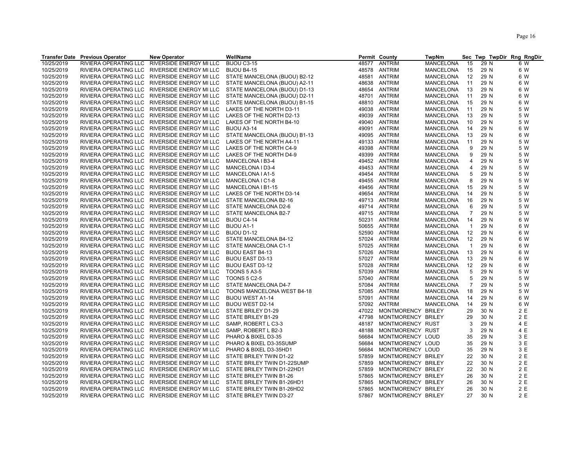|            | <b>Transfer Date Previous Operator</b> | <b>New Operator</b>                           | WellName                      |       | Permit County      | <b>TwpNm</b>     |                |      | Sec Twp TwpDir Rng RngDir |
|------------|----------------------------------------|-----------------------------------------------|-------------------------------|-------|--------------------|------------------|----------------|------|---------------------------|
| 10/25/2019 | RIVIERA OPERATING LLC                  | RIVERSIDE ENERGY MI LLC                       | BIJOU C3-15                   | 48577 | <b>ANTRIM</b>      | <b>MANCELONA</b> | 15             | 29 N | 6 W                       |
| 10/25/2019 | RIVIERA OPERATING LLC                  | RIVERSIDE ENERGY MI LLC                       | BIJOU B4-15                   | 48578 | ANTRIM             | MANCELONA        | 15             | 29 N | 6 W                       |
| 10/25/2019 | RIVIERA OPERATING LLC                  | RIVERSIDE ENERGY MI LLC                       | STATE MANCELONA (BIJOU) B2-12 | 48581 | <b>ANTRIM</b>      | MANCELONA        | 12             | 29 N | 6 W                       |
| 10/25/2019 | RIVIERA OPERATING LLC                  | RIVERSIDE ENERGY MI LLC                       | STATE MANCELONA (BIJOU) A2-11 | 48638 | <b>ANTRIM</b>      | MANCELONA        | 11             | 29 N | 6 W                       |
| 10/25/2019 | RIVIERA OPERATING LLC                  | RIVERSIDE ENERGY MI LLC                       | STATE MANCELONA (BIJOU) D1-13 | 48654 | <b>ANTRIM</b>      | <b>MANCELONA</b> | 13             | 29 N | 6 W                       |
| 10/25/2019 | RIVIERA OPERATING LLC                  | RIVERSIDE ENERGY MI LLC                       | STATE MANCELONA (BIJOU) D2-11 | 48701 | ANTRIM             | <b>MANCELONA</b> | 11             | 29 N | 6 W                       |
| 10/25/2019 | RIVIERA OPERATING LLC                  | RIVERSIDE ENERGY MI LLC                       | STATE MANCELONA (BIJOU) B1-15 | 48810 | ANTRIM             | MANCELONA        | 15             | 29 N | 6 W                       |
| 10/25/2019 |                                        | RIVIERA OPERATING LLC RIVERSIDE ENERGY MI LLC | LAKES OF THE NORTH D3-11      | 49038 | ANTRIM             | MANCELONA        | 11             | 29 N | 5 W                       |
| 10/25/2019 |                                        | RIVIERA OPERATING LLC RIVERSIDE ENERGY MI LLC | LAKES OF THE NORTH D2-13      | 49039 | ANTRIM             | MANCELONA        | 13             | 29 N | 5 W                       |
| 10/25/2019 |                                        | RIVIERA OPERATING LLC RIVERSIDE ENERGY MI LLC | LAKES OF THE NORTH B4-10      | 49040 | ANTRIM             | <b>MANCELONA</b> | 10             | 29 N | 5 W                       |
| 10/25/2019 |                                        | RIVIERA OPERATING LLC RIVERSIDE ENERGY MI LLC | BIJOU A3-14                   | 49091 | ANTRIM             | <b>MANCELONA</b> | 14             | 29 N | 6 W                       |
| 10/25/2019 | RIVIERA OPERATING LLC                  | RIVERSIDE ENERGY MI LLC                       | STATE MANCELONA (BIJOU) B1-13 | 49095 | <b>ANTRIM</b>      | <b>MANCELONA</b> | 13             | 29 N | 6 W                       |
| 10/25/2019 | RIVIERA OPERATING LLC                  | RIVERSIDE ENERGY MI LLC                       | LAKES OF THE NORTH A4-11      | 49133 | ANTRIM             | MANCELONA        | 11             | 29 N | 5 W                       |
|            |                                        |                                               |                               |       |                    |                  |                |      |                           |
| 10/25/2019 | RIVIERA OPERATING LLC                  | RIVERSIDE ENERGY MI LLC                       | LAKES OF THE NORTH C4-9       | 49398 | ANTRIM             | MANCELONA        | 9              | 29 N | 5 W                       |
| 10/25/2019 | RIVIERA OPERATING LLC                  | RIVERSIDE ENERGY MI LLC                       | LAKES OF THE NORTH D4-9       | 49399 | <b>ANTRIM</b>      | MANCELONA        | 9              | 29 N | 5 W                       |
| 10/25/2019 |                                        | RIVIERA OPERATING LLC RIVERSIDE ENERGY MI LLC | MANCELONA I B3-4              | 49452 | ANTRIM             | MANCELONA        | 4              | 29 N | 5 W                       |
| 10/25/2019 | RIVIERA OPERATING LLC                  | RIVERSIDE ENERGY MI LLC                       | MANCELONA I D3-4              | 49453 | <b>ANTRIM</b>      | <b>MANCELONA</b> | $\overline{4}$ | 29 N | 5 W                       |
| 10/25/2019 | RIVIERA OPERATING LLC                  | RIVERSIDE ENERGY MI LLC                       | MANCELONA I A1-5              |       | 49454 ANTRIM       | MANCELONA        | 5              | 29 N | 5 W                       |
| 10/25/2019 | RIVIERA OPERATING LLC                  | RIVERSIDE ENERGY MI LLC                       | MANCELONA I C1-8              | 49455 | ANTRIM             | MANCELONA        | 8              | 29 N | 5 W                       |
| 10/25/2019 |                                        | RIVIERA OPERATING LLC RIVERSIDE ENERGY MI LLC | MANCELONA I B1-15             | 49456 | <b>ANTRIM</b>      | MANCELONA        | 15             | 29 N | 5 W                       |
| 10/25/2019 |                                        | RIVIERA OPERATING LLC RIVERSIDE ENERGY MI LLC | LAKES OF THE NORTH D3-14      | 49654 | ANTRIM             | <b>MANCELONA</b> | 14             | 29 N | 5 W                       |
| 10/25/2019 |                                        | RIVIERA OPERATING LLC RIVERSIDE ENERGY MI LLC | STATE MANCELONA B2-16         | 49713 | ANTRIM             | <b>MANCELONA</b> | 16             | 29 N | 5 W                       |
| 10/25/2019 | RIVIERA OPERATING LLC                  | RIVERSIDE ENERGY MI LLC                       | STATE MANCELONA D2-6          | 49714 | <b>ANTRIM</b>      | MANCELONA        | 6              | 29 N | 5 W                       |
| 10/25/2019 | RIVIERA OPERATING LLC                  | RIVERSIDE ENERGY MI LLC                       | STATE MANCELONA B2-7          | 49715 | ANTRIM             | MANCELONA        | $\overline{7}$ | 29 N | 5 W                       |
| 10/25/2019 | RIVIERA OPERATING LLC                  | RIVERSIDE ENERGY MI LLC                       | BIJOU C4-14                   | 50231 | ANTRIM             | MANCELONA        | 14             | 29 N | 6 W                       |
| 10/25/2019 | RIVIERA OPERATING LLC                  | RIVERSIDE ENERGY MI LLC                       | <b>BIJOU A1-1</b>             | 50655 | ANTRIM             | <b>MANCELONA</b> | $\overline{1}$ | 29 N | 6 W                       |
| 10/25/2019 |                                        | RIVIERA OPERATING LLC RIVERSIDE ENERGY MI LLC | <b>BIJOU D1-12</b>            | 52590 | ANTRIM             | MANCELONA        | 12             | 29 N | 6 W                       |
| 10/25/2019 |                                        | RIVIERA OPERATING LLC RIVERSIDE ENERGY MI LLC | STATE MANCELONA B4-12         | 57024 | <b>ANTRIM</b>      | MANCELONA        | 12             | 29 N | 6 W                       |
| 10/25/2019 | RIVIERA OPERATING LLC                  | RIVERSIDE ENERGY MI LLC                       | STATE MANCELONA C1-1          | 57025 | ANTRIM             | MANCELONA        | $\overline{1}$ | 29 N | 6 W                       |
| 10/25/2019 |                                        | RIVIERA OPERATING LLC RIVERSIDE ENERGY MI LLC | <b>BIJOU EAST B4-13</b>       | 57026 | ANTRIM             | MANCELONA        | 13             | 29 N | 6 W                       |
| 10/25/2019 |                                        | RIVIERA OPERATING LLC RIVERSIDE ENERGY MI LLC | <b>BIJOU EAST D3-13</b>       | 57027 | ANTRIM             | <b>MANCELONA</b> | 13             | 29 N | 6 W                       |
| 10/25/2019 |                                        | RIVIERA OPERATING LLC RIVERSIDE ENERGY MI LLC | <b>BIJOU EAST D3-12</b>       | 57028 | ANTRIM             | MANCELONA        | 12             | 29 N | 6 W                       |
| 10/25/2019 |                                        | RIVIERA OPERATING LLC RIVERSIDE ENERGY MI LLC | <b>TOONS 5 A3-5</b>           | 57039 | <b>ANTRIM</b>      | MANCELONA        | 5              | 29 N | 5 W                       |
| 10/25/2019 | RIVIERA OPERATING LLC                  | RIVERSIDE ENERGY MI LLC                       | <b>TOONS 5 C2-5</b>           | 57040 | <b>ANTRIM</b>      | MANCELONA        | 5              | 29 N | 5 W                       |
| 10/25/2019 | RIVIERA OPERATING LLC                  | RIVERSIDE ENERGY MI LLC                       | STATE MANCELONA D4-7          | 57084 | ANTRIM             | MANCELONA        | $\overline{7}$ | 29 N | 5 W                       |
| 10/25/2019 | RIVIERA OPERATING LLC                  | RIVERSIDE ENERGY MI LLC                       | TOONS MANCELONA WEST B4-18    | 57085 | ANTRIM             | <b>MANCELONA</b> | 18             | 29 N | 5 W                       |
| 10/25/2019 |                                        | RIVIERA OPERATING LLC RIVERSIDE ENERGY MI LLC | <b>BIJOU WEST A1-14</b>       | 57091 | ANTRIM             | MANCELONA        | 14             | 29 N | 6 W                       |
| 10/25/2019 |                                        | RIVIERA OPERATING LLC RIVERSIDE ENERGY MI LLC | BIJOU WEST D2-14              | 57092 | ANTRIM             | <b>MANCELONA</b> | 14             | 29 N | 6 W                       |
| 10/25/2019 |                                        | RIVIERA OPERATING LLC RIVERSIDE ENERGY MI LLC | STATE BRILEY D1-29            | 47022 | MONTMORENCY BRILEY |                  | 29             | 30 N | 2 E                       |
| 10/25/2019 | RIVIERA OPERATING LLC                  | RIVERSIDE ENERGY MI LLC                       | STATE BRILEY B1-29            | 47798 | MONTMORENCY BRILEY |                  | 29             | 30 N | 2 E                       |
| 10/25/2019 | RIVIERA OPERATING LLC                  | RIVERSIDE ENERGY MI LLC                       | SAMP, ROBERT L C3-3           | 48187 | MONTMORENCY RUST   |                  | 3              | 29 N | 4 E                       |
| 10/25/2019 | RIVIERA OPERATING LLC                  | RIVERSIDE ENERGY MI LLC                       | SAMP, ROBERT L B2-3           | 48188 | MONTMORENCY RUST   |                  | 3              | 29 N | 4 E                       |
| 10/25/2019 | RIVIERA OPERATING LLC                  | RIVERSIDE ENERGY MI LLC                       | PHARO & BIXEL D3-35           | 56684 | MONTMORENCY LOUD   |                  | 35             | 29 N | 3 E                       |
| 10/25/2019 |                                        | RIVIERA OPERATING LLC RIVERSIDE ENERGY MI LLC | PHARO & BIXEL D3-35SUMP       | 56684 | MONTMORENCY LOUD   |                  | 35             | 29 N | 3 E                       |
| 10/25/2019 | RIVIERA OPERATING LLC                  | RIVERSIDE ENERGY MI LLC                       | PHARO & BIXEL D3-35HD1        | 56684 | MONTMORENCY LOUD   |                  | 35             | 29 N | 3 E                       |
|            |                                        |                                               |                               |       |                    |                  |                |      | 2 E                       |
| 10/25/2019 | RIVIERA OPERATING LLC                  | RIVERSIDE ENERGY MI LLC                       | STATE BRILEY TWIN D1-22       | 57859 | MONTMORENCY BRILEY |                  | 22             | 30 N | 2 E                       |
| 10/25/2019 | RIVIERA OPERATING LLC                  | RIVERSIDE ENERGY MI LLC                       | STATE BRILEY TWIN D1-22SUMP   | 57859 | MONTMORENCY BRILEY |                  | 22             | 30 N |                           |
| 10/25/2019 |                                        | RIVIERA OPERATING LLC RIVERSIDE ENERGY MI LLC | STATE BRILEY TWIN D1-22HD1    | 57859 | MONTMORENCY BRILEY |                  | 22             | 30 N | 2E                        |
| 10/25/2019 |                                        | RIVIERA OPERATING LLC RIVERSIDE ENERGY MI LLC | STATE BRILEY TWIN B1-26       | 57865 | MONTMORENCY BRILEY |                  | 26             | 30 N | 2 E                       |
| 10/25/2019 |                                        | RIVIERA OPERATING LLC RIVERSIDE ENERGY MI LLC | STATE BRILEY TWIN B1-26HD1    | 57865 | MONTMORENCY BRILEY |                  | 26             | 30 N | 2 E                       |
| 10/25/2019 | RIVIERA OPERATING LLC                  | RIVERSIDE ENERGY MI LLC                       | STATE BRILEY TWIN B1-26HD2    | 57865 | MONTMORENCY BRILEY |                  | 26             | 30 N | 2 E                       |
| 10/25/2019 |                                        | RIVIERA OPERATING LLC RIVERSIDE ENERGY MI LLC | STATE BRILEY TWIN D3-27       | 57867 | MONTMORENCY BRILEY |                  | 27             | 30 N | 2 E                       |